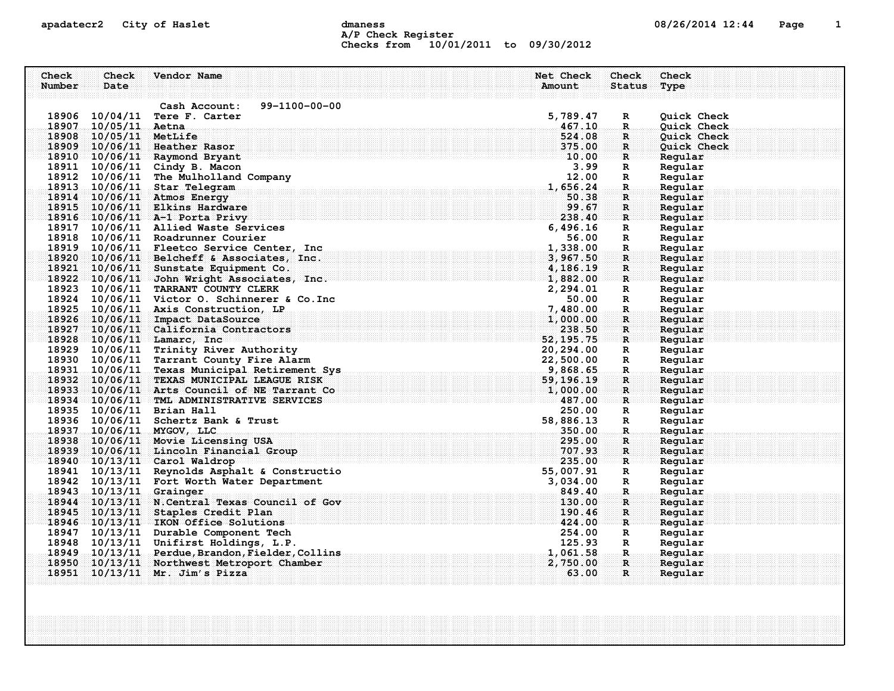## apadatecr2 City of Haslet dmaness dmaness and the 08/26/2014 12:44 Page 1 A/P Check Register Checks from 10/01/2011 to 09/30/2012

| Check |          | Name and the second state of the second state of the second state of the second state of the second state of the second state $\sim$ | a mana any kaodim-paositra 2012–2014. Ilay kaominina dia kaominina mpikambana amin'ny fivondronan-kaominin'i         | Ne | Check        |                         |             |  |
|-------|----------|--------------------------------------------------------------------------------------------------------------------------------------|----------------------------------------------------------------------------------------------------------------------|----|--------------|-------------------------|-------------|--|
|       | Date.    |                                                                                                                                      |                                                                                                                      |    | Amount       |                         | Tvpe        |  |
|       |          |                                                                                                                                      |                                                                                                                      |    |              |                         |             |  |
|       |          | Cash Account:                                                                                                                        | 99-1100-00-00                                                                                                        |    |              |                         |             |  |
| 18906 | 10/04/11 | Tere F. Carter                                                                                                                       |                                                                                                                      |    | 5,789.47     | R                       | Quick Check |  |
| 1890  |          | Aetna                                                                                                                                |                                                                                                                      |    | 467.10       | R                       | Ouick Check |  |
|       |          |                                                                                                                                      |                                                                                                                      |    | 524.08       |                         | Ouick Check |  |
|       |          |                                                                                                                                      | a se a composición de la composición de la composición de la composición de la composición de la composición d       |    | . ററ         | $\mathbb R$             |             |  |
| 18910 |          | Raymond Brvant                                                                                                                       | n de la calcional de la calcional de la calcional de la calcional de la calcional de la calcional de la calcional de |    | <b>10.00</b> | where $\mathbf{R}$ is a |             |  |
| 1891. |          |                                                                                                                                      |                                                                                                                      |    |              |                         |             |  |

|                                  | 99-1100-00-00<br>Cash Account:                                                                                                                                                                                                          |                              |                                 |                    |  |
|----------------------------------|-----------------------------------------------------------------------------------------------------------------------------------------------------------------------------------------------------------------------------------------|------------------------------|---------------------------------|--------------------|--|
| 18906 10/04/11 Tere F. Carter    |                                                                                                                                                                                                                                         | 5,789.47                     | R                               | Quick Check        |  |
| 18907 10/05/11 Aetna             |                                                                                                                                                                                                                                         | 467.10                       | R.                              | Quick Check        |  |
| 18908 10/05/11 MetLife           |                                                                                                                                                                                                                                         | 524.08                       | $\mathbf{R}$                    | Quick Check        |  |
| 18909 10/06/11 Heather Rasor     |                                                                                                                                                                                                                                         | 375.00                       | $\mathbf{R}$                    | <b>Ouick Check</b> |  |
| 18910 10/06/11 Raymond Bryant    |                                                                                                                                                                                                                                         | $\blacksquare\mathsf{10.00}$ | $\mathbb{R}$ . The $\mathbb{R}$ | Regular            |  |
| 18911 10/06/11 Cindy B. Macon    |                                                                                                                                                                                                                                         | 3.99                         | R                               | Regular            |  |
|                                  | 18912 10/06/11 The Mulholland Company                                                                                                                                                                                                   | 12.00                        | R                               | Regular            |  |
| 18913 10/06/11 Star Telegram     |                                                                                                                                                                                                                                         | 1,656.24                     | $\mathbf{R}$                    | Regular            |  |
| 18914 10/06/11 Atmos Energy      |                                                                                                                                                                                                                                         | 50.38                        | $\mathbf R$                     | Regular            |  |
|                                  | 18915 10/06/11 Elkins Hardware                                                                                                                                                                                                          | 99.67                        | R                               | Regular            |  |
|                                  | 18916 10/06/11 A-1 Porta Privy                                                                                                                                                                                                          | 238.40                       | ार                              | Regular            |  |
|                                  | 18917 10/06/11 Allied Waste Services                                                                                                                                                                                                    | 6,496.16                     | R                               | Regular            |  |
|                                  | 18918 10/06/11 Roadrunner Courier                                                                                                                                                                                                       | 56.00                        | R                               | Regular            |  |
|                                  | 18919 10/06/11 Fleetco Service Center, Inc.                                                                                                                                                                                             | 1,338.00                     | $\mathbf{R}$                    | Regular            |  |
|                                  | 18920 10/06/11 Belcheff & Associates, Inc.                                                                                                                                                                                              | 3,967.50                     | $\mathbf{R}$                    | Regular            |  |
|                                  | 18921 10/06/11 Sunstate Equipment Co.                                                                                                                                                                                                   | 4,186.19                     | $\mathbf{R}$                    | Regular            |  |
|                                  | $18922$ $10/06/11$ John Wright Associates, Inc.                                                                                                                                                                                         | 1,882.00                     | $\mathbb{R}$                    | Regular            |  |
|                                  | 18923 10/06/11 TARRANT COUNTY CLERK                                                                                                                                                                                                     | 2,294.01                     | R                               | Regular            |  |
|                                  | 18924 10/06/11 Victor O. Schinnerer & Co. Inc                                                                                                                                                                                           | 50.00                        | R                               | Regular            |  |
|                                  | 18925 10/06/11 Axis Construction, LP                                                                                                                                                                                                    | 7,480.00                     | $\mathbf{R}$                    | Regular            |  |
|                                  | 18926 10/06/11 Impact DataSource                                                                                                                                                                                                        | 1,000.00                     | $\mathbf{R}$                    | Regular            |  |
|                                  | 18927 10/06/11 California Contractors                                                                                                                                                                                                   | 238.50                       | $\mathbf{R}$                    | Regular            |  |
| 18928 10/06/11 Lamarc, Inc.      |                                                                                                                                                                                                                                         | 52, 195. 75                  | R                               | Regular            |  |
|                                  | 18928 10/06/11 Lamarc, inc.<br>18929 10/06/11 Trinity River Authority<br>18930 10/06/11 Tarrant County Fire Alarm<br>18931 10/06/11 Texas Municipal Retirement Sys<br>18932 10/06/11 TEXAS MUNICIPAL LEAGUE RISK<br>18933 10/06/11 Arts |                              | R                               | Regular            |  |
|                                  |                                                                                                                                                                                                                                         |                              | $\mathbb{R}$                    | Regular            |  |
|                                  |                                                                                                                                                                                                                                         |                              | $\mathbf{R}$                    | Regular            |  |
|                                  |                                                                                                                                                                                                                                         |                              | $\mathbf{R}$                    | Regular            |  |
|                                  |                                                                                                                                                                                                                                         |                              | $\mathbf R$                     | Regular            |  |
|                                  |                                                                                                                                                                                                                                         |                              | ाः                              | Reqular            |  |
| 18935 10/06/11 Brian Hall        |                                                                                                                                                                                                                                         | 250.00                       | R                               | Regular            |  |
|                                  | 18936 10/06/11 Schertz Bank & Trust                                                                                                                                                                                                     | 58,886.13                    | R                               | Regular            |  |
| 18937 10/06/11 MYGOV, LLC        |                                                                                                                                                                                                                                         | 350.00                       | $\mathbb{R}$                    | Regular            |  |
|                                  | 18938 10/06/11 Movie Licensing USA                                                                                                                                                                                                      | 295.00                       | $\mathbf R$                     | Reqular            |  |
|                                  | 18939 10/06/11 Lincoln Financial Group                                                                                                                                                                                                  | 707.93                       | $\mathbf{R}$                    | Regular            |  |
| $18940$ $10/13/11$ Carol Waldrop |                                                                                                                                                                                                                                         | 235.00                       | <b>R</b>                        | Regular            |  |
|                                  | 18941 10/13/11 Reynolds Asphalt & Constructio                                                                                                                                                                                           | 55,007.91                    | R                               | Regular            |  |
|                                  | 18942 10/13/11 Fort Worth Water Department                                                                                                                                                                                              | 3,034.00                     | R                               | Regular            |  |
| 18943 10/13/11 Grainger          |                                                                                                                                                                                                                                         | 849.40                       | R.                              | Regular            |  |
|                                  | 18944 10/13/11 N. Central Texas Council of Gov                                                                                                                                                                                          | 130.00                       | R                               | Regular            |  |
|                                  | 18945 10/13/11 Staples Credit Plan                                                                                                                                                                                                      | 190.46                       | R                               | Regular            |  |
|                                  | 18946 10/13/11 IKON Office Solutions                                                                                                                                                                                                    | 424.00                       | R                               | Regular            |  |
|                                  | 18947 10/13/11 Durable Component Tech                                                                                                                                                                                                   | 254.00                       | R                               | Regular            |  |
|                                  | 18948 10/13/11 Unifirst Holdings, L.P.                                                                                                                                                                                                  | 125.93                       | R                               | Regular            |  |
|                                  | 18949 10/13/11 Perdue, Brandon, Fielder, Collins                                                                                                                                                                                        | 1,061.58                     | $\mathbf R$ .                   | Regular            |  |
|                                  | 18950 10/13/11 Northwest Metroport Chamber                                                                                                                                                                                              | 2,750.00                     | $\mathbf{R}$                    | Reqular            |  |
| 18951 10/13/11 Mr. Jim's Pizza   |                                                                                                                                                                                                                                         | 63.00                        | $\mathbf{R}$                    | Regular            |  |
|                                  |                                                                                                                                                                                                                                         |                              |                                 |                    |  |
|                                  |                                                                                                                                                                                                                                         |                              |                                 |                    |  |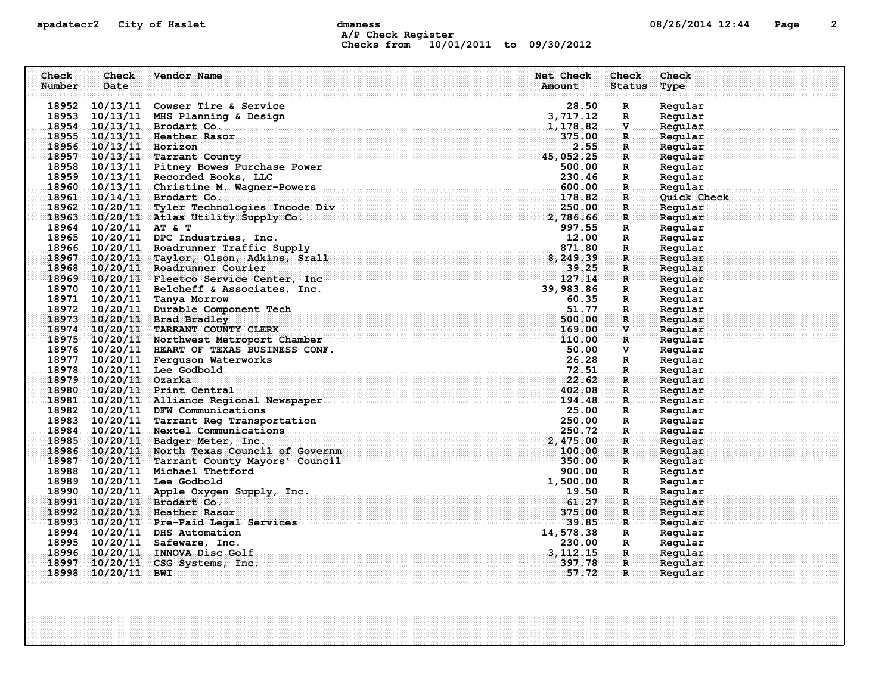## apadatecr2 City of Haslet control dmaness control dmaness control and the US/26/2014 12:44 Page 2 A/P Check Register Checks from 10/01/2011 to 09/30/2012

| Check  | Check                  | Vendor Name                                                          |                                                                                                                      | Net Check      | Check                           | Check              |
|--------|------------------------|----------------------------------------------------------------------|----------------------------------------------------------------------------------------------------------------------|----------------|---------------------------------|--------------------|
| Number | Date                   |                                                                      |                                                                                                                      | Amount         | <b>Status</b>                   | Type               |
|        |                        | 18952 10/13/11 Cowser Tire & Service                                 |                                                                                                                      | 28.50          | $\mathbf R$                     | Regular            |
|        |                        | 18953 10/13/11 MHS Planning & Design                                 |                                                                                                                      | 3,717.12       | R                               | Regular            |
|        |                        | 18954 10/13/11 Brodart Co.                                           |                                                                                                                      | 1,178.82       | $\mathbf v$                     | Regular            |
|        |                        | 18955 10/13/11 Heather Rasor                                         |                                                                                                                      | 375.00         | R.                              | Regular            |
|        | 18956 10/13/11 Horizon |                                                                      |                                                                                                                      | 2.55           | $\mathbf{R}$                    | Regular            |
|        |                        | 18957 10/13/11 Tarrant County                                        | 45,052.25                                                                                                            |                | $\mathbf{R}$                    | Regular            |
|        |                        | 18958 10/13/11 Pitney Bowes Purchase Power                           |                                                                                                                      | 500.00         | $\mathbf{R}$                    | Regular            |
|        |                        | 18959 10/13/11 Recorded Books, LLC                                   |                                                                                                                      | 230.46         | $\mathbf{R}$                    | Regular            |
|        |                        | 18960 10/13/11 Christine M. Wagner-Powers                            |                                                                                                                      | 600.00         | $\mathbf R$ .                   | Regular            |
|        |                        | 18961 10/14/11 Brodart Co.                                           |                                                                                                                      | 178.82         | R                               | Quick Check        |
|        |                        | 18962 10/20/11 Tyler Technologies Incode Div                         | $\mathbf{v}$ and $\mathbf{v}$ and $\mathbf{v}$                                                                       | 250.00         | R                               | Regular            |
|        |                        | 18963 10/20/11 Atlas Utility Supply Co.                              |                                                                                                                      | 2,786.66       | $\mathbf{R}$ .                  | Regular            |
|        | 18964 10/20/11 AT & T  |                                                                      |                                                                                                                      | 997.55         | R                               | Regular            |
|        |                        | 18965 10/20/11 DPC Industries, Inc.                                  |                                                                                                                      | 12.00          | $\mathbf{R}$                    | Regular            |
|        |                        | 18966 10/20/11 Roadrunner Traffic Supply                             | <u>e</u>                                                                                                             | 871.80         | $\mathbf R$                     | Regular            |
|        |                        | 18967 10/20/11 Taylor, Olson, Adkins, Srall                          |                                                                                                                      | 8,249.39       | $\mathbf{R}$                    | Regular            |
|        |                        | 18968 10/20/11 Roadrunner Courier                                    | <u> 1999 - André Maria de Alexandra de Alexandra de Alexandra de Alexandra de Alexandra de Alexandra de Alexandr</u> | 39.25          | $\mathbf{R}$ .                  | Reqular            |
|        |                        | 18969 10/20/11 Fleetco Service Center, Inc.                          |                                                                                                                      | 127.14         | $\mathbb{R}$ . The $\mathbb{R}$ | Regular            |
|        |                        | 18970 10/20/11 Belcheff & Associates, Inc.                           |                                                                                                                      | 39,983.86      | $\mathbf{R}$                    | Regular            |
|        |                        | 18971 10/20/11 Tanya Morrow<br>18972 10/20/11 Durable Component Tech |                                                                                                                      | 60.35<br>51.77 | $\mathbf{R}$                    | Regular<br>Regular |
|        |                        | 18973 10/20/11 Brad Bradley                                          |                                                                                                                      | 500.00         | $\mathbf R$<br>R                | Regular            |
|        |                        | 18974 10/20/11 TARRANT COUNTY CLERK                                  |                                                                                                                      | 169.00         | $\mathbf v$                     | Reqular            |
|        |                        | 18975 10/20/11 Northwest Metroport Chamber                           | $\frac{169.00}{110.00}$                                                                                              |                | $\mathbb{R}$                    | Regular            |
|        |                        | 18976 10/20/11 HEART OF TEXAS BUSINESS CONF.                         |                                                                                                                      | 50.00          | V                               | Regular            |
|        |                        | 18977 10/20/11 Ferguson Waterworks                                   |                                                                                                                      | 26.28          | $\mathbf{R}$                    | Regular            |
|        |                        | 18978 10/20/11 Lee Godbold                                           |                                                                                                                      |                | $\mathbf R$ .                   | Regular            |
|        | 18979 10/20/11 Ozarka  |                                                                      |                                                                                                                      | 22.62          | R.                              | Regular            |
|        |                        | 18980 10/20/11 Print Central                                         |                                                                                                                      | 402.08         | R                               | Regular            |
|        |                        | 18981 10/20/11 Alliance Regional Newspaper                           | 194.48                                                                                                               |                | R                               | Regular            |
|        |                        | 18982 10/20/11 DFW Communications                                    |                                                                                                                      | 25.00          | R                               | Regular            |
|        |                        | 18983 10/20/11 Tarrant Reg Transportation                            |                                                                                                                      | 250.00         | R                               | Regular            |
|        |                        | 18984 10/20/11 Nextel Communications                                 |                                                                                                                      | 250.72         | $\mathbf R$ .                   | Regular            |
|        |                        | 18985 10/20/11 Badger Meter, Inc.                                    |                                                                                                                      | 2,475.00       | R                               | Regular            |
|        |                        | 18986 10/20/11 North Texas Council of Governm                        |                                                                                                                      | 100.00         | $\mathbf{R}$                    | Regular            |
|        |                        | 18987 10/20/11 Tarrant County Mayors' Council                        |                                                                                                                      | 350.00         | R                               | Reqular            |
|        |                        | 18988 10/20/11 Michael Thetford                                      |                                                                                                                      | 900.00         | $\mathbf{R}$                    | Regular            |
|        |                        | 18989 10/20/11 Lee Godbold                                           | $1,500.00$<br>$19.50$                                                                                                |                | R                               | Regular            |
|        |                        | 18990 10/20/11 Apple Oxygen Supply, Inc.                             |                                                                                                                      |                | $_{\dots R}$                    | Regular            |
|        |                        | 18991 10/20/11 Brodart Co.                                           |                                                                                                                      | 61.27          | $\mathbf{R}$                    | Regular            |
|        |                        | 18992 10/20/11 Heather Rasor                                         |                                                                                                                      | 375.00         | R                               | Regular            |
|        |                        | 18993 10/20/11 Pre-Paid Legal Services                               |                                                                                                                      | 39.85          | $\mathbf{R}$                    | Regular            |
|        |                        | 18994 10/20/11 DHS Automation                                        |                                                                                                                      | 14,578.38      | $\mathbf{R}$                    | Regular            |
|        |                        | 18995 10/20/11 Safeware, Inc.                                        |                                                                                                                      | 230.00         | $\mathbf{R}$                    | Regular            |
|        |                        | 18996 10/20/11 INNOVA Disc Golf                                      |                                                                                                                      | 3, 112, 15     | $\dots R$ .                     | Regular            |
|        |                        | 18997 10/20/11 CSG Systems, Inc.                                     |                                                                                                                      | 397.78         | $\mathbf{R}$                    | Regular            |
|        | 18998 10/20/11 BWI     |                                                                      |                                                                                                                      | 57.72          | $\mathbf{R}$                    | Regular            |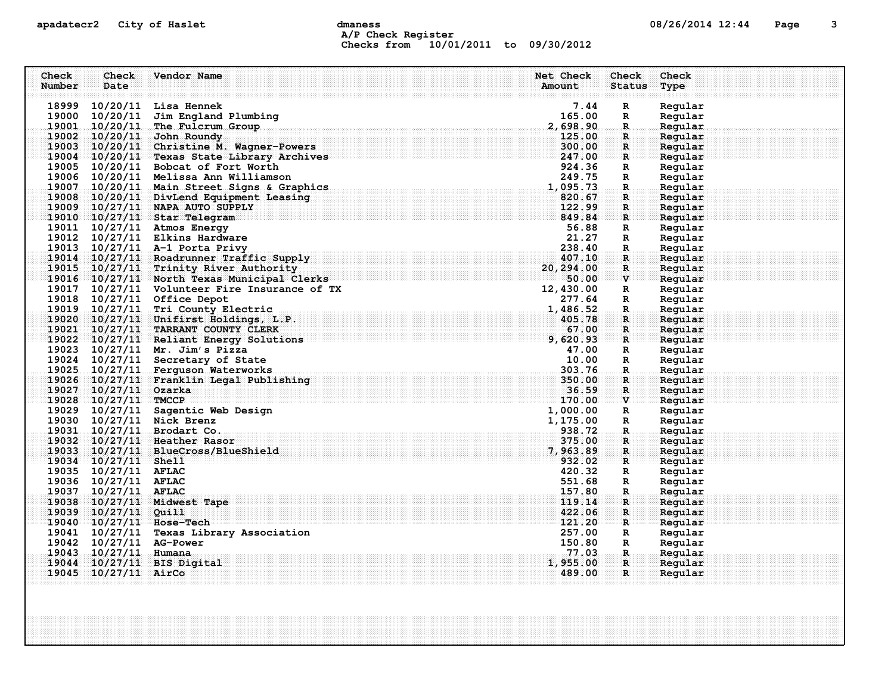# apadatecr2 City of Haslet contracts dmaness contracts that the contracts of  $08/26/2014$  12:44 Page 3 A/P Check Register Checks from 10/01/2011 to 09/30/2012

| Check  | Check                    | Vendor Name                                                    | Net Check          | Check                                                 | Check              |
|--------|--------------------------|----------------------------------------------------------------|--------------------|-------------------------------------------------------|--------------------|
| Number | Date                     |                                                                | Amount             | <b>Status</b>                                         | Type               |
|        |                          |                                                                |                    |                                                       |                    |
|        |                          | 18999 10/20/11 Lisa Hennek                                     | 7.44               | $\mathbf R$                                           | Regular            |
|        |                          | 19000 10/20/11 Jim England Plumbing                            | 165.00             | R                                                     | Regular            |
|        |                          | 19001 10/20/11 The Fulcrum Group<br>19002 10/20/11 John Roundy | 2,698.90<br>125.00 | $\mathbf R$<br>R                                      | Regular<br>Regular |
|        |                          | 19003 10/20/11 Christine M. Wagner-Powers                      | 300.00             | $\mathbf{R}$                                          | Regular            |
|        |                          | 19004 10/20/11 Texas State Library Archives                    | 247.00             | R                                                     | Regular            |
|        |                          | 19005 10/20/11 Bobcat of Fort Worth                            | 924.36             | R                                                     | Regular            |
|        |                          | 19006 10/20/11 Melissa Ann Williamson                          | 249.75             | $\mathbb{R}$                                          | Regular            |
|        |                          | 19007 10/20/11 Main Street Signs & Graphics                    | 1,095.73           | R.                                                    | Regular            |
|        |                          | 19008 10/20/11 DivLend Equipment Leasing                       | 820.67             | R                                                     | Regular            |
|        |                          | 19009 10/27/11 NAPA AUTO SUPPLY                                | 122.99             | $\mathbf R$                                           | Regular            |
|        |                          | 19010 10/27/11 Star Telegram                                   | 849.84             | $\mathbf R$                                           | Regular            |
|        |                          | 19011 10/27/11 Atmos Energy                                    | 56.88              | R                                                     | Regular            |
|        |                          | 19012 10/27/11 Elkins Hardware                                 | 21.27              | $\mathbf R$                                           | Regular            |
|        |                          | 19013 10/27/11 A-1 Porta Privy                                 | 238.40             | R.                                                    | Regular            |
|        |                          | 19014 10/27/11 Roadrunner Traffic Supply                       | 407.10             | $\mathbf{R}$                                          | Regular            |
|        |                          | 19015 10/27/11 Trinity River Authority                         | 20,294.00          | $\mathbf{R}$                                          | Regular            |
|        |                          | 19016 10/27/11 North Texas Municipal Clerks                    | 50.00              | $\mathbb{E}[\mathbf{V}]$ and $\mathbb{E}[\mathbf{V}]$ | Regular            |
|        |                          | 19017 10/27/11 Volunteer Fire Insurance of TX                  | 12,430.00          | R                                                     | Regular            |
|        |                          | 19018 10/27/11 Office Depot                                    | 277.64             | R                                                     | Regular            |
|        |                          | 19019 10/27/11 Tri County Electric                             | 1,486.52           | $\mathbf R$                                           | Regular            |
|        |                          | 19020 10/27/11 Unifirst Holdings, L.P.                         | 405.78             | R                                                     | Regular            |
|        |                          | 19021 10/27/11 TARRANT COUNTY CLERK                            | 67.00              | $\mathbf{R}$                                          | Reqular            |
|        |                          | 19022 10/27/11 Reliant Energy Solutions                        | 9,620.93           | R                                                     | Regular            |
|        |                          | 19023 10/27/11 Mr. Jim's Pizza                                 | 47.00              | R                                                     | Regular            |
|        |                          | 19024 10/27/11 Secretary of State                              | 10.00              | R                                                     | Regular            |
|        |                          | 19025 10/27/11 Ferguson Waterworks                             | 303.76             | R.                                                    | Regular            |
|        |                          | 19026 10/27/11 Franklin Legal Publishing                       | 350.00             | R                                                     | Regular            |
|        | 19027 10/27/11 Ozarka    |                                                                | 36.59              | $\mathbf{R}$                                          | Regular            |
|        | $19028$ $10/27/11$ TMCCP |                                                                | 170.00             | $\mathbf{v}$                                          | Reqular            |
|        |                          | 19029 10/27/11 Sagentic Web Design                             | 1,000.00           | $\mathbf R$                                           | Regular            |
|        |                          | 19030 10/27/11 Nick Brenz                                      | 1,175.00           | R                                                     | Regular            |
|        |                          | 19031 10/27/11 Brodart Co.<br>19032 10/27/11 Heather Rasor     | 938.72<br>375.00   | $\mathbf{R}$                                          | Regular<br>Reqular |
|        |                          | 19033 10/27/11 BlueCross/BlueShield                            | 7,963.89           | R<br>$\mathbf{R}$                                     | Regular            |
|        | $19034$ $10/27/11$ Shell |                                                                | 932.02             | R                                                     | Reqular            |
|        | 19035 10/27/11 AFLAC     |                                                                | 420.32             | R                                                     | Regular            |
|        | 19036 10/27/11 AFLAC     |                                                                | 551.68             | $\mathbb{R}$                                          | Regular            |
|        | 19037 10/27/11 AFLAC     |                                                                | 157.80             | R.                                                    | Regular            |
|        |                          | 19038 10/27/11 Midwest Tape                                    | 119.14             | $\mathbf{R}$                                          | Reqular            |
|        | 19039 10/27/11 Quill     |                                                                | 422.06             | R                                                     | Regular            |
|        |                          | 19040 10/27/11 Hose-Tech                                       | 121.20             | R                                                     | Reqular            |
|        |                          | 19041 10/27/11 Texas Library Association                       | 257.00             | R                                                     | Regular            |
|        | 19042 10/27/11 AG-Power  |                                                                | 150.80             | $\mathbb{R}$                                          | Regular            |
|        | 19043 10/27/11 Humana    |                                                                | 77.03              | R.                                                    | Regular            |
|        |                          | 19044 10/27/11 BIS Digital                                     | 1,955.00           | $\mathbf R$                                           | Regular            |
|        | 19045 10/27/11 AirCo     |                                                                | 489.00             | $\mathbf{R}$                                          | Regular            |
|        |                          |                                                                |                    |                                                       |                    |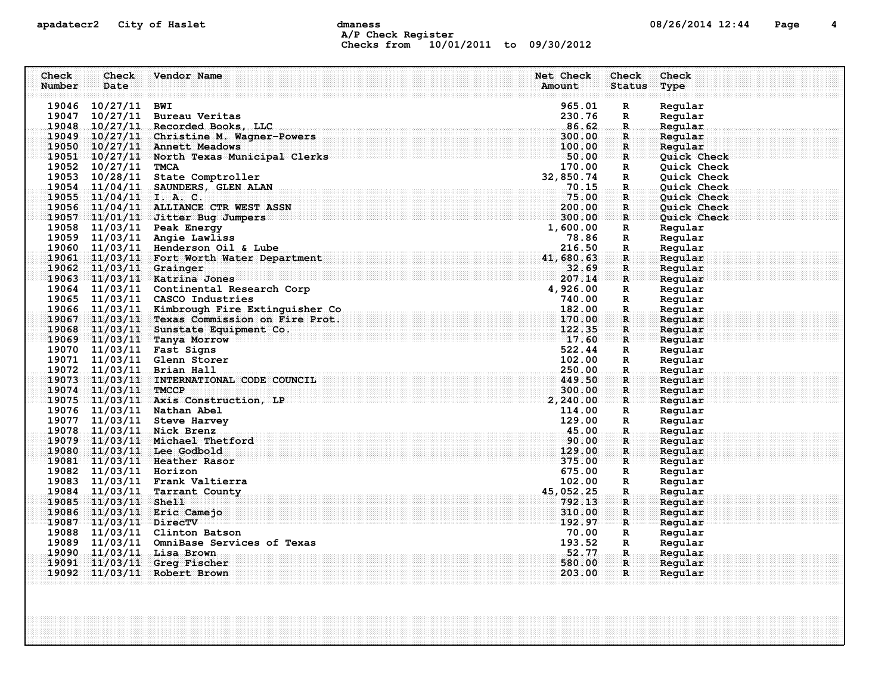# apadatecr2 City of Haslet dmaness dmaness and the US/26/2014 12:44 Page 4 A/P Check Register Checks from 10/01/2011 to 09/30/2012

| Check<br>Number | Check<br>Date           | Vendor Name                                                              | Net Check<br>Amount | Check<br><b>Status</b> | Check<br>Type      |
|-----------------|-------------------------|--------------------------------------------------------------------------|---------------------|------------------------|--------------------|
|                 | 19046 10/27/11 BWI      |                                                                          | 965.01              | R                      | Regular            |
|                 |                         | 19047 10/27/11 Bureau Veritas                                            | 230.76              | $\mathbb{R}$           | Regular            |
|                 |                         | 19048 10/27/11 Recorded Books, LLC                                       | 86.62               | R.                     | Regular            |
|                 |                         | 19049 10/27/11 Christine M. Wagner-Powers                                | 300.00              | R                      | Regular            |
|                 |                         | 19050 10/27/11 Annett Meadows                                            | 100.00              | R                      | Regular            |
|                 |                         | 19051 10/27/11 North Texas Municipal Clerks                              | 50.00               | $\mathbf{R}$           | Quick Check        |
|                 | 19052 10/27/11 TMCA     |                                                                          | 170.00              | R                      | Quick Check        |
|                 |                         | 19053 10/28/11 State Comptroller                                         | 32,850.74           | R                      | Quick Check        |
|                 |                         | 19054 11/04/11 SAUNDERS, GLEN ALAN                                       | .70.15              | $\mathbf R$            | Quick Check        |
|                 | 19055 $11/04/11$ I.A.C. |                                                                          | 75.00               | $\mathbf{R}$           | Quick Check        |
|                 |                         | 19056 11/04/11 ALLIANCE CTR WEST ASSN                                    | 200.00              | R                      | Quick Check        |
|                 |                         | 19057 11/01/11 Jitter Bug Jumpers                                        | 300.00              | $\mathbf{R}$           | Quick Check        |
|                 |                         | 19058 11/03/11 Peak Energy                                               | 1,600.00            | R                      | Regular            |
|                 |                         | 19059 11/03/11 Angie Lawliss                                             | 78.86               | R                      | Regular            |
|                 |                         | 19060 11/03/11 Henderson Oil & Lube                                      | 216.50              | R.                     | Regular            |
|                 |                         | 19061 11/03/11 Fort Worth Water Department                               | 41,680.63           | R                      | Regular            |
|                 | 19062 11/03/11 Grainger |                                                                          | 32.69<br>207.14     | $\mathbf{R}$           | Regular            |
|                 |                         | 19063 11/03/11 Katrina Jones<br>19064 11/03/11 Continental Research Corp | 4,926.00            | $\mathbf{R}$<br>R      | Regular<br>Regular |
|                 |                         | 19065 11/03/11 CASCO Industries                                          | 740.00              | R                      | Regular            |
|                 |                         | 19066 11/03/11 Kimbrough Fire Extinguisher Co                            | 182.00              | $\mathbf R$            | Regular            |
|                 |                         | 19067 11/03/11 Texas Commission on Fire Prot.                            | 170.00              | R                      | Regular            |
|                 |                         | 19068 11/03/11 Sunstate Equipment Co.                                    | 122.35              | R                      | Regular            |
|                 |                         | 19069 11/03/11 Tanya Morrow                                              | 17.60               | $\mathbf{R}$           | Regular            |
|                 |                         | 19070 11/03/11 Fast Signs                                                | 522.44              | R                      | Regular            |
|                 |                         | 19071 11/03/11 Glenn Storer                                              | 102.00              | $\mathbb{R}$           | Regular            |
|                 |                         | 19072 11/03/11 Brian Hall                                                | 250.00              | $\mathbf R$            | Regular            |
|                 |                         | 19073 11/03/11 INTERNATIONAL CODE COUNCIL                                | 449.50              | R                      | Regular            |
|                 | 19074 11/03/11 TMCCP    |                                                                          | 300.00              | $\mathbf{R}$           | Regular            |
|                 |                         | $19075$ 11/03/11 Axis Construction, LP                                   | 2,240.00            | $\mathbf R$ :          | Regular            |
|                 |                         | 19076 11/03/11 Nathan Abel                                               | 114.00              | R                      | Regular            |
|                 |                         | 19077 11/03/11 Steve Harvey                                              | 129.00              | $\mathbb{R}$           | Regular            |
|                 |                         | 19078 11/03/11 Nick Brenz                                                | 45.00               | R.                     | Regular            |
|                 |                         | 19079 11/03/11 Michael Thetford                                          | 90.00               | R                      | Regular            |
|                 |                         | 19080 11/03/11 Lee Godbold                                               | 129.00              | R                      | Regular            |
|                 |                         | 19081 11/03/11 Heather Rasor                                             | 375.00              | $\mathbf{R}$           | Regular            |
|                 | 19082 11/03/11 Horizon  |                                                                          | 675.00              | R                      | Regular            |
|                 |                         | 19083 11/03/11 Frank Valtierra                                           | 102.00              | R                      | Regular            |
|                 | 19085 11/03/11 Shell    | 19084 11/03/11 Tarrant County                                            | 45,052.25<br>792.13 | R.                     | Regular<br>Regular |
|                 |                         | 19086 11/03/11 Eric Camejo                                               | 310.00              | $\mathbf R$<br>R       | Regular            |
|                 | 19087 11/03/11 DirecTV  |                                                                          | 192.97              | R                      | Regular            |
|                 |                         | 19088 11/03/11 Clinton Batson                                            | 70.00               | R                      | Regular            |
|                 |                         | 19089 11/03/11 OmniBase Services of Texas                                | 193.52              | R                      | Regular            |
|                 |                         | 19090 11/03/11 Lisa Brown                                                | 52.77               | .R.                    | Regular            |
|                 |                         | 19091 11/03/11 Greq Fischer                                              | 580.00              | $\mathbf{R}$           | Reqular            |
|                 |                         | 19092 11/03/11 Robert Brown                                              | 203.00              | R.                     | Regular            |
|                 |                         |                                                                          |                     |                        |                    |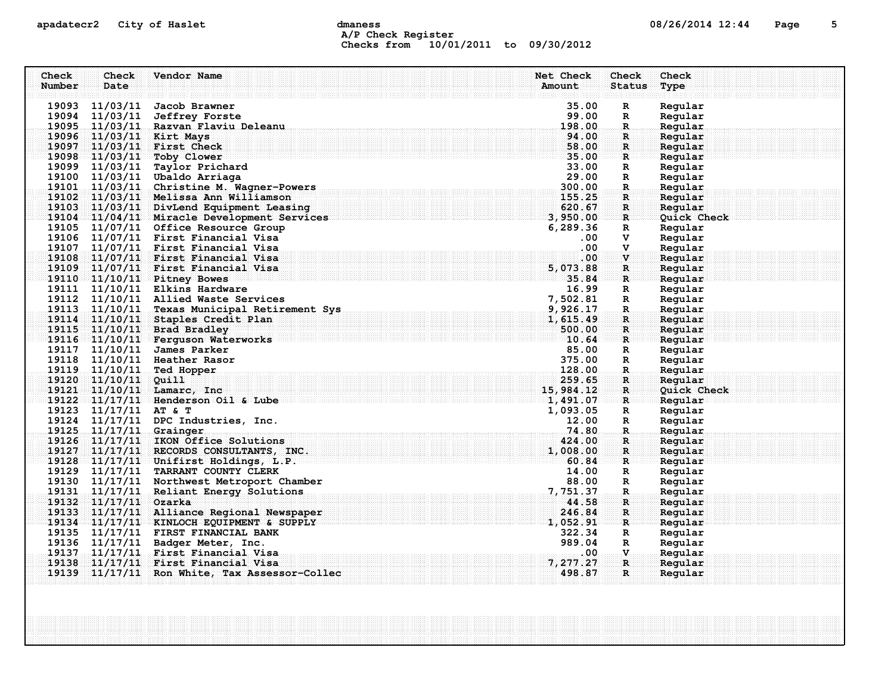# apadatecr2 City of Haslet contracts dmaness contracts that the contracts of  $08/26/2014$  12:44 Page 5 A/P Check Register Checks from 10/01/2011 to 09/30/2012

| Check  | Check                   | Vendor Name                                                                  | Net Check         | Check                        | Check              |
|--------|-------------------------|------------------------------------------------------------------------------|-------------------|------------------------------|--------------------|
| Number | Date                    |                                                                              | Amount            | <b>Status</b>                | Type               |
|        |                         |                                                                              |                   |                              |                    |
|        | 19093 11/03/11          | Jacob Brawner                                                                | 35.00             | $\mathbf R$                  | Regular            |
|        | 19094 11/03/11          | <b>Jeffrey Forste</b>                                                        | 99.00             | R                            | Regular            |
|        |                         | 19095 11/03/11 Razvan Flaviu Deleanu                                         | 198.00<br>94.00   | $\mathbb{R}$                 | Regular            |
|        |                         | 19096 11/03/11 Kirt Mays<br>19097 11/03/11 First Check                       | 58.00             | $\mathbf{R}$<br>$\mathbf{R}$ | Regular<br>Regular |
|        |                         | 19098 11/03/11 Toby Clower                                                   | 35.00             | $\mathbf{R}$                 | Regular            |
|        |                         | 19099 11/03/11 Taylor Prichard                                               | 33.00             | R                            | Regular            |
|        |                         | 19100 11/03/11 Ubaldo Arriaga                                                | 29.00             | R                            | Regular            |
|        |                         | 19101 11/03/11 Christine M. Wagner-Powers                                    | 300.00            | $\mathbf R$                  | Regular            |
|        |                         | 19102 11/03/11 Melissa Ann Williamson                                        | 155.25            | R                            | Regular            |
|        |                         | 19103 11/03/11 DivLend Equipment Leasing                                     | 620.67            | $\mathbf R$                  | Regular            |
|        |                         | 19104 11/04/11 Miracle Development Services                                  | 3,950.00          | $\mathbf{R}$                 | Quick Check        |
|        |                         | 19105 11/07/11 Office Resource Group                                         | 6,289.36          | R                            | Regular            |
|        |                         | 19106 11/07/11 First Financial Visa                                          | $.00 \,$          | v                            | Regular            |
|        |                         | 19107 11/07/11 First Financial Visa                                          | .00               | $\mathbf{v}$                 | Regular            |
|        |                         | 19108 11/07/11 First Financial Visa                                          | .00               | V                            | Regular            |
|        |                         | 19109 11/07/11 First Financial Visa                                          | 5,073.88          | R                            | Regular            |
|        |                         | 19110 11/10/11 Pitney Bowes                                                  | 35.84             | $\mathbf{R}$                 | Regular            |
|        |                         | 19111 11/10/11 Elkins Hardware                                               | 16.99             | $\mathbf{R}$                 | Regular            |
|        |                         | 19112 11/10/11 Allied Waste Services                                         | 7,502.81          | $\mathbf R$                  | Regular            |
|        |                         | 19113 11/10/11 Texas Municipal Retirement Sys                                | 9,926.17          | $\mathbf R$                  | Regular            |
|        |                         | 19114 11/10/11 Staples Credit Plan                                           | 1,615.49          | R                            | Regular            |
|        |                         | $\begin{array}{c} 7, \\ 9, \\ 1, \end{array}$<br>19115 11/10/11 Brad Bradley | 500.00            | $\mathbf{R}$                 | Regular            |
|        |                         | 19116 11/10/11 Ferguson Waterworks                                           | 10.64             | $\mathbf{R}$                 | Regular            |
|        |                         | 19117 11/10/11 James Parker                                                  | 85.00             | R                            | Regular            |
|        |                         | 19118 11/10/11 Heather Rasor                                                 | 375.00            | $\mathbf R$                  | Regular            |
|        | 19119 11/10/11          | Ted Hopper                                                                   |                   | $\mathbf R$                  | Regular            |
|        | 19120 11/10/11          | Quill                                                                        | 259.65            | R.                           | Regular            |
|        |                         | $\frac{15,984.12}{1,491.07}$<br>19121 11/10/11 Lamarc, Inc                   |                   | $\mathbf{R}$                 | Quick Check        |
|        |                         | 19122 11/17/11 Henderson Oil & Lube                                          |                   | R                            | Regular            |
|        | 19123 11/17/11 AT & T   |                                                                              | 1,093.05<br>12.00 | R                            | Regular            |
|        | 19125 11/17/11 Grainger | 19124 11/17/11 DPC Industries, Inc.                                          | 74.80             | $\mathbf R$<br>$\mathbb{R}$  | Regular<br>Regular |
|        |                         | 19126 11/17/11 IKON Office Solutions                                         | 424.00            | $\mathbf R$                  | Regular            |
|        |                         | 19127 11/17/11 RECORDS CONSULTANTS, INC.                                     | 1,008.00          | $\mathbf{R}$                 | Regular            |
|        |                         | $19128$ $11/17/11$ Unifirst Holdings, L.P.                                   | 60.84             | $\mathbf{R}$                 | Regular            |
|        |                         | 19129 11/17/11 TARRANT COUNTY CLERK                                          | 14.00             | R                            | Regular            |
|        |                         | 19130 11/17/11 Northwest Metroport Chamber                                   | 88.00             | $\mathbf R$                  | Regular            |
|        |                         | 19131 11/17/11 Reliant Energy Solutions                                      | 7,751.37          | R.                           | Regular            |
|        | 19132 11/17/11 Ozarka   |                                                                              | 44.58             | $\mathbf R$                  | Reqular            |
|        |                         | 19133 11/17/11 Alliance Regional Newspaper                                   | 246.84            | $\mathbf{R}$                 | Regular            |
|        |                         | 19134 11/17/11 KINLOCH EQUIPMENT & SUPPLY                                    | 1,052.91          | R                            | Regular            |
|        |                         | 19135 11/17/11 FIRST FINANCIAL BANK                                          | 322.34            | R                            | Regular            |
|        |                         | 19136 11/17/11 Badger Meter, Inc.                                            | 989.04            | $\mathbf R$                  | Regular            |
|        |                         | 19137 11/17/11 First Financial Visa                                          | .00.              | $\mathbf{V}$                 | Regular            |
|        |                         | 19138 11/17/11 First Financial Visa                                          | 7, 277.27         | $\mathbf{R}$                 | Regular            |
|        |                         | 19139 11/17/11 Ron White, Tax Assessor-Collec.                               | 498.87            | $\mathbf{R}$                 | Regular            |
|        |                         |                                                                              |                   |                              |                    |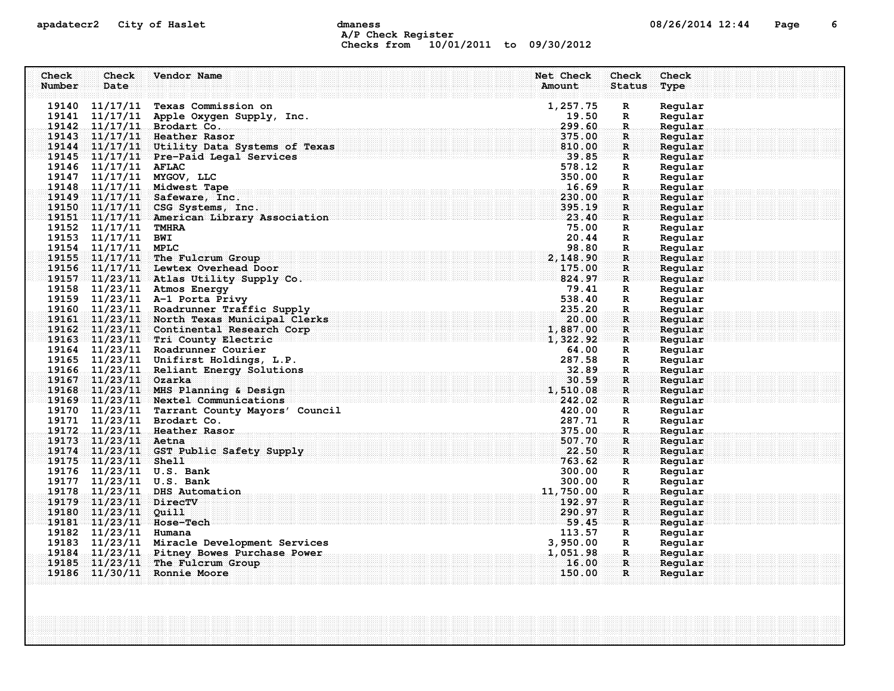# apadatecr2 City of Haslet dmaness dmaness and the control of the 12:44 Page 6 A/P Check Register Checks from 10/01/2011 to 09/30/2012

| Check<br>Number | Check<br>Date          | Vendor Name                                                                    | Net Check<br>Check<br>Amount<br><b>Status</b>                                                                                | Check<br>Type      |
|-----------------|------------------------|--------------------------------------------------------------------------------|------------------------------------------------------------------------------------------------------------------------------|--------------------|
|                 |                        |                                                                                |                                                                                                                              |                    |
|                 |                        | 19140 11/17/11 Texas Commission on                                             | 1,257.75<br>$\mathbf R$                                                                                                      | Regular            |
|                 |                        | 19141 11/17/11 Apple Oxygen Supply, Inc.                                       | 19.50<br>R                                                                                                                   | Regular            |
|                 |                        | 19142 11/17/11 Brodart Co.                                                     | 299.60<br>$\mathbf R$                                                                                                        | Regular            |
|                 |                        | 19143 11/17/11 Heather Rasor                                                   | 375.00<br>$\mathbf R$                                                                                                        | Regular            |
|                 |                        | 19144 11/17/11 Utility Data Systems of Texas                                   | 810.00<br>$\mathbf{R}$                                                                                                       | Regular            |
|                 |                        | $19145$ $11/17/11$ Pre-Paid Legal Services                                     | 39.85<br>R                                                                                                                   | Regular            |
|                 | 19146 11/17/11 AFLAC   |                                                                                | 578.12<br>R                                                                                                                  | Regular            |
|                 |                        | 19147 11/17/11 MYGOV, LLC                                                      | 350.00<br>$\mathbb{R}$                                                                                                       | Regular            |
|                 |                        | 19148 11/17/11 Midwest Tape                                                    | 16.69<br>R.                                                                                                                  | Regular            |
|                 |                        | 19149 11/17/11 Safeware, Inc.                                                  | 230.00<br>$\mathbf R$                                                                                                        | Regular            |
|                 |                        | 19150 11/17/11 CSG Systems, Inc.                                               | 395.19<br>$\mathbf R$                                                                                                        | Regular            |
|                 |                        | 19151 11/17/11 American Library Association                                    | 23.40<br>R                                                                                                                   | Regular            |
|                 | 19152 11/17/11 TMHRA   |                                                                                | 75.00<br>$\mathbf R$                                                                                                         | Regular            |
|                 | 19153 11/17/11 BWI     |                                                                                | 20.44<br>R                                                                                                                   | Regular            |
|                 | 19154 11/17/11 MPLC    |                                                                                | 98.80<br>$\mathbf R$                                                                                                         | Regular            |
|                 |                        | 19155 11/17/11 The Fulcrum Group                                               | 2,148.90<br>$\mathbf R$                                                                                                      | Regular            |
|                 |                        | 19156 11/17/11 Lewtex Overhead Door                                            | 175.00<br>R                                                                                                                  | Reqular            |
|                 |                        | 19157 11/23/11 Atlas Utility Supply Co.                                        | 824.97<br>R                                                                                                                  | Regular            |
|                 |                        | 19158 11/23/11 Atmos Energy                                                    | 79.41<br>R                                                                                                                   | Regular            |
|                 |                        | 19159 11/23/11 A-1 Porta Privy                                                 | 538.40<br>R                                                                                                                  | Regular            |
|                 |                        | 19160 11/23/11 Roadrunner Traffic Supply                                       | 235.20<br>R.                                                                                                                 | Regular            |
|                 |                        | 19161 11/23/11 North Texas Municipal Clerks                                    | 20.00<br>$\mathbf R$                                                                                                         | Regular            |
|                 |                        | 19162 11/23/11 Continental Research Corp<br>19163 11/23/11 Tri County Electric | 1,887.00<br>$\mathbf R$<br>1,322.92                                                                                          | Reqular            |
|                 |                        | 19164 11/23/11 Roadrunner Courier                                              | R                                                                                                                            | Regular            |
|                 |                        | 19165 11/23/11 Unifirst Holdings, L.P.                                         | 64.00<br>R<br>287.58                                                                                                         | Regular<br>Regular |
|                 |                        |                                                                                | R                                                                                                                            | Regular            |
|                 | 19167 11/23/11 Ozarka  | 19166 11/23/11 Reliant Energy Solutions                                        | R.<br>30.59<br>$\mathbf R$                                                                                                   | Regular            |
|                 |                        | 19168 11/23/11 MHS Planning & Design                                           | 1,510.08<br>R                                                                                                                | Regular            |
|                 |                        | 19169 11/23/11 Nextel Communications                                           | 1999 - Paul Barbara, papa yang bermula pada 2009. Pada 2009 - Pada 2009 - Pada 2009 - Pada 2009 - Pada 2009 -<br>242.02<br>R | Regular            |
|                 |                        | 19170 11/23/11 Tarrant County Mayors' Council                                  | 420.00<br>R                                                                                                                  | Regular            |
|                 |                        | 19171 11/23/11 Brodart Co.                                                     | 287.71<br>$\mathbb{R}$                                                                                                       | Regular            |
|                 |                        | 19172 11/23/11 Heather Rasor                                                   | 375.00<br>R.                                                                                                                 | Regular            |
|                 | 19173 11/23/11 Aetna   |                                                                                | 507.70<br>$\mathbf R$                                                                                                        | Regular            |
|                 |                        | 19174 11/23/11 GST Public Safety Supply                                        | 22.50<br>R                                                                                                                   | Regular            |
|                 | 19175 11/23/11 Shell   |                                                                                | 763.62<br>R                                                                                                                  | Regular            |
|                 |                        | 19176 11/23/11 U.S. Bank                                                       | 300.00<br>R                                                                                                                  | Regular            |
|                 |                        | 19177 11/23/11 U.S. Bank                                                       | 300.00<br>R                                                                                                                  | Regular            |
|                 |                        | 19178 11/23/11 DHS Automation                                                  | 11,750.00<br>$\mathbf R$ .                                                                                                   | Regular            |
|                 | 19179 11/23/11 DirecTV |                                                                                | 192.97<br>$\mathbf R$                                                                                                        | Reqular            |
|                 | 19180 11/23/11 Quill   |                                                                                | 290.97<br>$\mathbf R$                                                                                                        | Regular            |
|                 |                        | 19181 11/23/11 Hose-Tech                                                       | 59.45<br>R                                                                                                                   | Regular            |
|                 | 19182 11/23/11 Humana  |                                                                                | 113.57<br>R                                                                                                                  | Regular            |
|                 |                        | 19183 11/23/11 Miracle Development Services                                    | 3,950.00<br>R                                                                                                                | Regular            |
|                 |                        | 19184 11/23/11 Pitney Bowes Purchase Power                                     | 1,051.98<br>$\mathbf R$                                                                                                      | Regular            |
|                 |                        | 19185 11/23/11 The Fulcrum Group                                               | 16.00<br>$\mathbf R$                                                                                                         | Regular            |
|                 |                        | 19186 11/30/11 Ronnie Moore                                                    | 150.00<br>R                                                                                                                  | Regular            |
|                 |                        |                                                                                |                                                                                                                              |                    |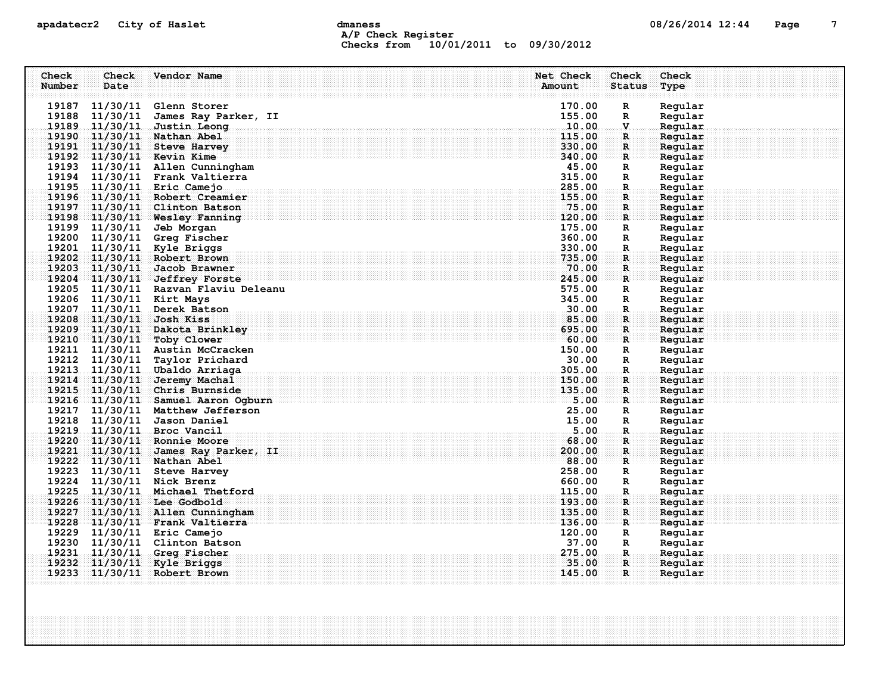# apadatecr2 City of Haslet contracts dmaness contracts that the contracts of  $08/26/2014$  12:44 Page 7 A/P Check Register Checks from 10/01/2011 to 09/30/2012

| Check  | Check          | Vendor Name                                                       | Net Check        | Check                      | Check              |
|--------|----------------|-------------------------------------------------------------------|------------------|----------------------------|--------------------|
| Number | Date           |                                                                   | Amount           | <b>Status</b>              | Type               |
|        |                | 19187 11/30/11 Glenn Storer                                       | 170.00           | R                          | Regular            |
|        | 19188 11/30/11 | James Ray Parker, II                                              | 155.00           | R                          | Regular            |
|        | 19189 11/30/11 | Justin Leong                                                      | 10.00            | v                          | Regular            |
|        |                | 19190 11/30/11 Nathan Abel                                        | 115.00           | R                          | Regular            |
|        | 19191 11/30/11 | <b>Steve Harvey</b>                                               | 330.00           | R                          | Regular            |
|        |                | 19192 11/30/11 Kevin Kime                                         | 340.00           | $\mathbf{R}$               | Regular            |
|        |                | 19193 11/30/11 Allen Cunningham                                   | 45.00            | $\mathbb{R}$               | Regular            |
|        |                | 19194 11/30/11 Frank Valtierra                                    | 315.00           | R                          | Regular            |
|        |                | 19195 11/30/11 Eric Camejo                                        | 285.00           | R.                         | Regular            |
|        |                | 19196 11/30/11 Robert Creamier                                    | 155.00           | R.                         | Regular            |
|        |                | 19197 11/30/11 Clinton Batson                                     | 75.00            | R                          | Regular            |
|        |                | 19198 11/30/11 Wesley Fanning                                     | 120.00           | R                          | Regular            |
|        | 19199 11/30/11 | Jeb Morgan                                                        | 175.00           | R                          | Regular            |
|        |                | 19200 11/30/11 Greg Fischer                                       | 360.00           | $\mathbb{R}$               | Regular            |
|        |                | 19201 11/30/11 Kyle Briggs                                        | 330.00           | R                          | Regular            |
|        |                | 19202 11/30/11 Robert Brown                                       | 735.00           | $\mathbf R$                | Regular            |
|        | 19203 11/30/11 | Jacob Brawner                                                     | 70.00            | R                          | Regular            |
|        |                | 19204 11/30/11 Jeffrey Forste                                     | 245.00<br>575.00 | R                          | Regular            |
|        |                | 19205 11/30/11 Razvan Flaviu Deleanu<br>19206 11/30/11 Kirt Mays  | 345.00           | R<br>R                     | Regular<br>Regular |
|        | 19207 11/30/11 | Derek Batson                                                      | 30.00            | R.                         | Regular            |
|        | 19208 11/30/11 | Josh Kiss                                                         | 85.00            | R                          | Regular            |
|        |                | 19209 11/30/11 Dakota Brinkley                                    | 695.00           | $\mathbf R$                | Regular            |
|        |                | 19210 11/30/11 Toby Clower                                        | 60.00            | R                          | Reqular            |
|        |                | 19211 11/30/11 Austin McCracken                                   | 150.00           | R                          | Regular            |
|        | 19212 11/30/11 | Taylor Prichard                                                   | 30.00            | R                          | Regular            |
|        |                | 19213 11/30/11 Ubaldo Arriaga                                     | 305.00           | $\mathbf{R}$               | Regular            |
|        | 19214 11/30/11 | Jeremy Machal                                                     | 150.00           | R.                         | Regular            |
|        |                | 19215 11/30/11 Chris Burnside                                     | 135.00           | $\mathbf R$                | Regular            |
|        |                | 19216 11/30/11 Samuel Aaron Ogburn                                | 5.00             | $\mathbf R$                | Regular            |
|        |                | 19217 11/30/11 Matthew Jefferson                                  | 25.00            | R                          | Regular            |
|        |                | 19218 11/30/11 Jason Daniel                                       | 15.00            | R                          | Regular            |
|        |                | 19219 11/30/11 Broc Vancil                                        | 5.00             | R.                         | Regular            |
|        |                | 19220 11/30/11 Ronnie Moore                                       | 68.00            | R.                         | Regular            |
|        |                | 19221 11/30/11 James Ray Parker, II                               | 200.00           | $\mathbf{R}$               | Regular            |
|        |                | 19222 11/30/11 Nathan Abel                                        | 88.00            | R                          | Regular            |
|        |                | 19223 11/30/11 Steve Harvey                                       | 258.00           | R                          | Regular            |
|        |                | 19224 11/30/11 Nick Brenz                                         | 660.00<br>115.00 | $\mathbb{R}$               | Regular            |
|        |                | 19225 11/30/11 Michael Thetford                                   |                  | R.                         | Regular            |
|        |                | 19226 11/30/11 Lee Godbold                                        | 193.00<br>135.00 | $\mathbf R$<br>$\mathbf R$ | Regular<br>Regular |
|        |                | 19227 11/30/11 Allen Cunningham<br>19228 11/30/11 Frank Valtierra | 136.00           | R                          | Regular            |
|        |                | 19229 11/30/11 Eric Camejo                                        | 120.00           | R                          | Regular            |
|        |                | 19230 11/30/11 Clinton Batson                                     | 37.00            | $\mathbb{R}$               | Regular            |
| 19231  | 11/30/11       | Greq Fischer                                                      | 275.00           | R.                         | Regular            |
|        | 19232 11/30/11 | <b>Kyle Briggs</b>                                                | 35.00            | R                          | Regular            |
|        |                | 19233 11/30/11 Robert Brown                                       | 145.00           | R.                         | Regular            |
|        |                |                                                                   |                  |                            |                    |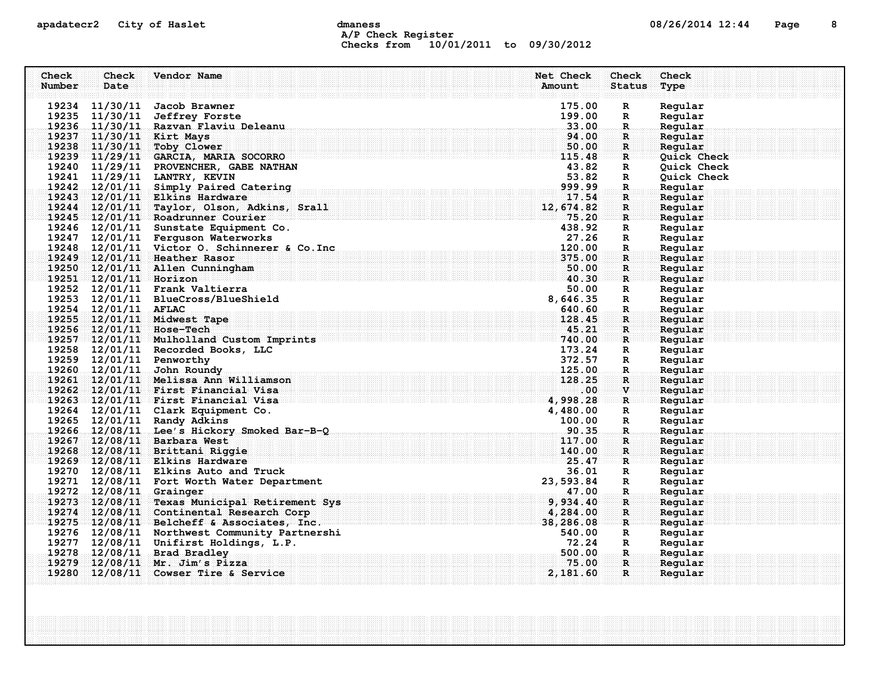## apadatecr2 City of Haslet dmaness dmaness and the US/26/2014 12:44 Page 8 A/P Check Register Checks from 10/01/2011 to 09/30/2012

| Check<br>Check         | Vendor Name                                                           | Net Check        | Check             | Check              |
|------------------------|-----------------------------------------------------------------------|------------------|-------------------|--------------------|
| Number<br>Date         |                                                                       | Amount           | <b>Status</b>     | Type               |
|                        |                                                                       |                  |                   |                    |
|                        | 19234 11/30/11 Jacob Brawner                                          | 175.00           | $\mathbf R$       | Regular            |
|                        | 19235 11/30/11 Jeffrey Forste<br>19236 11/30/11 Razvan Flaviu Deleanu | 199.00<br>33.00  | $\mathbf R$       | Regular<br>Regular |
|                        | 19237 11/30/11 Kirt Mays                                              | 94.00            | $\mathbf R$<br>R. | Regular            |
|                        | 19238 11/30/11 Toby Clower                                            | 50.00            | $\mathbf{R}$      | Regular            |
|                        | 19239 11/29/11 GARCIA, MARIA SOCORRO                                  | 115.48           | R                 | <b>Quick Check</b> |
|                        | 19240 11/29/11 PROVENCHER, GABE NATHAN                                | 43.82            | $\mathbb{R}$      | Quick Check        |
|                        | 19241 11/29/11 LANTRY, KEVIN                                          | 53.82            | $\mathbb{R}$      | Quick Check        |
|                        | 19242 12/01/11 Simply Paired Catering                                 | 999.99           | R.                | Regular            |
|                        | 19243 12/01/11 Elkins Hardware                                        | 17.54            | R                 | Regular            |
|                        | 19244 12/01/11 Taylor, Olson, Adkins, Srall                           | 12,674.82        | $\mathbf R$       | Regular            |
|                        | 19245 12/01/11 Roadrunner Courier                                     | 75.20            | $\mathbf{R}$      | Regular            |
|                        | 19246 12/01/11 Sunstate Equipment Co.                                 | 438.92           | R                 | Regular            |
|                        | 19247 12/01/11 Ferguson Waterworks                                    | 27.26            | R                 | Regular            |
|                        | 19248 12/01/11 Victor O. Schinnerer & Co. Inc                         | 120.00           | R.                | Regular            |
|                        | 19249 12/01/11 Heather Rasor                                          | 375.00           | R                 | Regular            |
|                        | 19250 12/01/11 Allen Cunningham                                       | 50.00            | $\mathbf{R}$      | Regular            |
| 19251 12/01/11 Horizon |                                                                       | 40.30            | $\mathbf{R}$      | Regular            |
|                        | 19252 12/01/11 Frank Valtierra                                        | 50.00            | R                 | Regular            |
|                        | 19253 12/01/11 BlueCross/BlueShield                                   | 8,646.35         | $\mathbb{R}$      | Regular            |
| 19254 12/01/11 AFLAC   |                                                                       | 640.60           | $\mathbf{R}$      | Regular            |
|                        | 19255 12/01/11 Midwest Tape                                           | 128.45           | $\mathbf{R}$      | Regular            |
|                        | 19256 12/01/11 Hose-Tech                                              | 45.21            | $\mathbf{R}$      | Regular            |
|                        | 19257 12/01/11 Mulholland Custom Imprints                             | 740.00           | R                 | Regular            |
|                        | 19258 12/01/11 Recorded Books, LLC                                    | 173.24           | $\mathbb{R}$      | Regular            |
|                        | 19259 12/01/11 Penworthy<br>19260 12/01/11 John Roundy                | 372.57<br>125.00 | $\mathbb{R}$      | Regular<br>Regular |
|                        | 19261 12/01/11 Melissa Ann Williamson                                 | 128.25           | $\mathbf{R}$<br>R | Regular            |
|                        | 19262 12/01/11 First Financial Visa                                   | .00              | $\mathbf{V}$      | Regular            |
|                        | $19263$ 12/01/11 First Financial Visa                                 | 4,998.28         | $\mathbf{R}$      | Reqular            |
|                        | 19264 12/01/11 Clark Equipment Co.                                    | 4,480.00         | R                 | Regular            |
|                        | 19265 12/01/11 Randy Adkins                                           | 100.00           | $\mathbf R$       | Regular            |
|                        | 19266 12/08/11 Lee's Hickory Smoked Bar-B-Q                           | 90.35            | R.                | Regular            |
|                        | 19267 12/08/11 Barbara West                                           | 117.00           | $\mathbf R$       | Regular            |
|                        | 19268 12/08/11 Brittani Riggie                                        | 140.00           | $\mathbb{R}$      | Regular            |
|                        | 19269 12/08/11 Elkins Hardware                                        | 25.47            | R                 | Regular            |
|                        | 19270 12/08/11 Elkins Auto and Truck                                  | 36.01            | R                 | Regular            |
|                        | 19271 12/08/11 Fort Worth Water Department                            | 23,593.84        | R                 | Regular            |
|                        | 19272 12/08/11 Grainger                                               | 47.00            | $\mathbf R$       | Regular            |
|                        | 19273 12/08/11 Texas Municipal Retirement Sys                         | 9,934.40         | R                 | Regular            |
|                        | 19274 12/08/11 Continental Research Corp                              | 4,284.00         | $\mathbf{R}$      | Regular            |
|                        | 19275 12/08/11 Belcheff & Associates, Inc.                            | 38,286.08        | $\mathbf{R}$      | Regular            |
|                        | 19276 12/08/11 Northwest Community Partnershi                         | 540.00           | R                 | Regular            |
|                        | 19277 12/08/11 Unifirst Holdings, L.P.                                | 72.24            | $\mathbb{R}$      | Regular            |
|                        | 19278 12/08/11 Brad Bradley                                           | 500.00           | $\mathbf{R}$      | Regular            |
|                        | 19279 12/08/11 Mr. Jim's Pizza                                        | 75.00            | $\mathbf{R}$      | Regular            |
|                        | $19280$ $12/08/11$ Cowser Tire & Service                              | 2,181.60         | $\mathbf{R}$      | Regular            |
|                        |                                                                       |                  |                   |                    |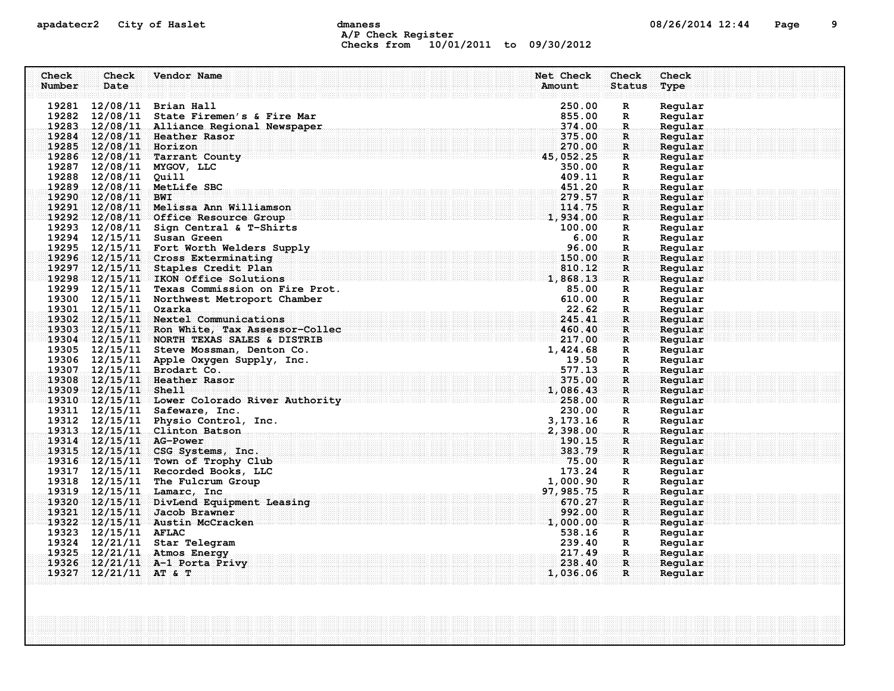# apadatecr2 City of Haslet control dmaness control dmaness control and the US/26/2014 12:44 Page 9 A/P Check Register Checks from 10/01/2011 to 09/30/2012

| Check<br>Check                | Vendor Name                                                                         | Net Check<br>Check                     | Check              |
|-------------------------------|-------------------------------------------------------------------------------------|----------------------------------------|--------------------|
| Number<br>Date                |                                                                                     | Amount<br><b>Status</b>                | Type               |
|                               |                                                                                     |                                        |                    |
| 19281 12/08/11 Brian Hall     |                                                                                     | 250.00<br>R                            | Regular            |
|                               | 19282 12/08/11 State Firemen's & Fire Mar                                           | 855.00<br>$\mathbf R$                  | Regular            |
|                               | 19283 12/08/11 Alliance Regional Newspaper                                          | 374.00<br>$\mathbb{R}$ .               | Regular            |
| 19284 12/08/11 Heather Rasor  |                                                                                     | 375.00<br>$\mathbf R$                  | Regular            |
| 19285 12/08/11 Horizon        |                                                                                     | 270.00<br>$\mathbf{R}$                 | Regular            |
|                               | $19286$ $12/08/11$ Tarrant County                                                   | 45,052.25<br>R                         | Regular            |
| 19287 12/08/11 MYGOV, LLC     |                                                                                     | 350.00<br>R                            | Regular            |
| 19288 12/08/11 Quill          |                                                                                     | 409.11<br>R                            | Regular            |
| 19289 12/08/11 MetLife SBC    |                                                                                     | 451.20<br>$\mathbf R$<br>279.57        | Regular            |
| 19290 12/08/11 BWI            |                                                                                     | R<br>114.75                            | Regular            |
|                               | 19291 12/08/11 Melissa Ann Williamson                                               | R<br>1,934.00                          | Regular            |
|                               | 19292 12/08/11 Office Resource Group<br>19293 12/08/11 Sign Central & T-Shirts      | $\mathbf R$<br>100.00                  | Regular<br>Regular |
| 19294 12/15/11 Susan Green    |                                                                                     | R<br>6.00                              | Regular            |
|                               | 19295 12/15/11 Fort Worth Welders Supply                                            | $\mathbf R$<br>96.00                   | Regular            |
|                               | 19296 12/15/11 Cross Exterminating                                                  | $\mathbf{R}$<br>150.00<br>$\mathbf{R}$ | Regular            |
|                               | 19297 12/15/11 Staples Credit Plan                                                  | 810.12<br>$\mathbf{R}$                 | Regular            |
|                               | 19297 12/15/11 Staples Credit Plan<br>19298 12/15/11 IKON Office Solutions 1,868.13 | $\mathbf{R}$                           | Regular            |
|                               | 19299 12/15/11 Texas Commission on Fire Prot.                                       | 85.00<br>R                             | Regular            |
|                               | 19300 12/15/11 Northwest Metroport Chamber                                          | 610.00<br>R                            | Regular            |
| 19301 12/15/11 Ozarka         |                                                                                     | 22.62<br>R.                            | Regular            |
|                               | 19302 12/15/11 Nextel Communications                                                | 245.41<br>R                            | Regular            |
|                               | 19303 12/15/11 Ron White, Tax Assessor-Collec                                       | 460.40<br>$\mathbf{R}$                 | Regular            |
|                               | $19304$ $12/15/11$ NORTH TEXAS SALES & DISTRIB                                      | 217.00<br>R                            | Regular            |
|                               | 19305 12/15/11 Steve Mossman, Denton Co.                                            | 1,424.68<br>R                          | Regular            |
|                               | 19306 12/15/11 Apple Oxygen Supply, Inc.                                            | 19.50<br>R                             | Regular            |
| 19307 12/15/11 Brodart Co.    |                                                                                     | 577.13<br>R.                           | Regular            |
| 19308 12/15/11 Heather Rasor  |                                                                                     | 375.00<br>R.                           | Regular            |
| 19309 12/15/11 Shell          |                                                                                     | 1,086.43<br>R                          | Regular            |
|                               | 19310 12/15/11 Lower Colorado River Authority 19310 1258.00                         | R                                      | Reqular            |
| 19311 12/15/11 Safeware, Inc. |                                                                                     | 230.00<br>$\mathbf R$                  | Regular            |
|                               | 19312 12/15/11 Physio Control, Inc.                                                 | 3, 173. 16<br>R                        | Regular            |
|                               | 19313 12/15/11 Clinton Batson                                                       | 2,398.00<br>$\mathbf R$                | Regular            |
| 19314 12/15/11 AG-Power       |                                                                                     | 190.15<br>$\mathbf R$                  | Regular            |
|                               | 19315 12/15/11 CSG Systems, Inc.                                                    | 383.79<br>R                            | Regular            |
|                               | 19316 12/15/11 Town of Trophy Club                                                  | 75.00<br>R                             | Regular            |
|                               | 19317 12/15/11 Recorded Books, LLC                                                  | 173.24<br>R                            | Regular            |
|                               | 19318 12/15/11 The Fulcrum Group                                                    | 1,000.90<br>R                          | Regular            |
| 19319 12/15/11 Lamarc, Inc.   |                                                                                     | 97, 985. 75<br>R.                      | Regular            |
|                               | 19320 12/15/11 DivLend Equipment Leasing                                            | 670.27<br>R                            | Regular            |
| 19321 12/15/11 Jacob Brawner  |                                                                                     | 992.00<br>$\mathbf R$                  | Regular            |
|                               | 19322 12/15/11 Austin McCracken                                                     | 1,000.00<br>R                          | Regular            |
| 19323 12/15/11 AFLAC          |                                                                                     | 538.16<br>R                            | Regular            |
| 19324 12/21/11 Star Telegram  |                                                                                     | 239.40<br>R                            | Regular            |
| 19325 12/21/11 Atmos Energy   |                                                                                     | 217.49<br>$\mathbf R$                  | Regular            |
|                               | 19326 12/21/11 A-1 Porta Privy                                                      | 238.40<br>$\mathbf{R}$                 | Regular            |
| 19327 $12/21/11$ AT & T       |                                                                                     | $\mathbf{R}$<br>1,036.06               | Regular            |
|                               |                                                                                     |                                        |                    |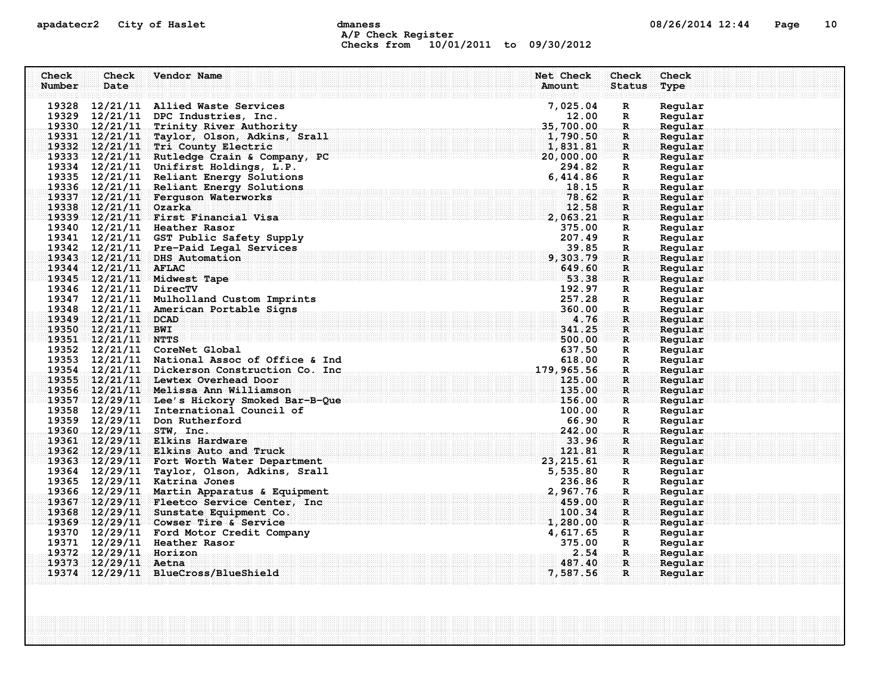## apadatecr2 City of Haslet compound dmaness compound the definition of the compound of the Page 10 A/P Check Register Checks from 10/01/2011 to 09/30/2012

| Check<br>Check                                 | Vendor Name                                                                        | Net Check      | Check                    | Check              |
|------------------------------------------------|------------------------------------------------------------------------------------|----------------|--------------------------|--------------------|
| Number<br>Date                                 |                                                                                    | Amount         | <b>Status</b>            | Type               |
|                                                |                                                                                    |                |                          |                    |
|                                                | 19328 12/21/11 Allied Waste Services                                               | 7,025.04       | $\mathbf R$              | Regular            |
|                                                | 19329 12/21/11 DPC Industries, Inc.                                                | 12.00          | R                        | Regular            |
|                                                | 19330 12/21/11 Trinity River Authority                                             | 35,700.00      | $\mathbf R$              | Regular            |
|                                                | 19331 12/21/11 Taylor, Olson, Adkins, Srall                                        | 1,790.50       | R.                       | Regular            |
|                                                | 19332 12/21/11 Tri County Electric                                                 | 1,831.81       | $\mathbf{R}$             | Regular            |
|                                                | 19333 12/21/11 Rutledge Crain & Company, PC                                        | 20,000.00      | R                        | Regular            |
|                                                | 19334 12/21/11 Unifirst Holdings, L.P.                                             | 294.82         | R                        | Regular            |
|                                                | 19335 12/21/11 Reliant Energy Solutions<br>19336 12/21/11 Reliant Energy Solutions | 6,414.86       | R                        | Regular            |
|                                                | 19337 12/21/11 Ferguson Waterworks                                                 | 18.15<br>78.62 | R.                       | Regular<br>Regular |
| 19338 12/21/11 Ozarka                          |                                                                                    | 12.58          | $\mathbf{R}$<br>R        | Regular            |
|                                                | 19339 12/21/11 First Financial Visa                                                | 2,063.21       | $\mathbf{R}$             | Regular            |
| 19340 12/21/11 Heather Rasor                   |                                                                                    | 375.00         | R                        | Regular            |
|                                                | 19341 12/21/11 GST Public Safety Supply                                            | 207.49         | R                        | Regular            |
|                                                | 19342 12/21/11 Pre-Paid Legal Services                                             | 39.85          | $\mathbf R$              | Regular            |
| 19343 12/21/11 DHS Automation                  |                                                                                    | 9,303.79       | R                        | Regular            |
| 19344 12/21/11 AFLAC                           |                                                                                    | 649.60         | $\mathbf{R}$             | Reqular            |
| 19345 12/21/11 Midwest Tape                    |                                                                                    | 53.38          | $\mathbf{R}$             | Regular            |
| 19346 12/21/11 DirecTV                         |                                                                                    | 192.97         | R                        | Regular            |
|                                                | 19347 12/21/11 Mulholland Custom Imprints                                          | 257.28         | R                        | Regular            |
|                                                | 19348 12/21/11 American Portable Signs                                             | 360.00         | R.                       | Regular            |
| 19349 12/21/11 DCAD                            |                                                                                    | 4.76           | R                        | Regular            |
| 19350 12/21/11 BWI                             |                                                                                    | 341.25         | $\mathbf{R}$             | Regular            |
| 19351 12/21/11 NTTS                            |                                                                                    | 500.00         | R                        | Regular            |
| 19352 12/21/11 CoreNet Global                  |                                                                                    | 637.50         | $\mathbb{R}$             | Regular            |
|                                                | 19353 12/21/11 National Assoc of Office & Ind                                      | 618.00         | R                        | Regular            |
|                                                | 19354 12/21/11 Dickerson Construction Co. Inc.                                     | 179,965.56     | $\mathbf R$              | Regular            |
|                                                | 19355 12/21/11 Lewtex Overhead Door                                                | 125.00         | R                        | Regular            |
|                                                | 19356 12/21/11 Melissa Ann Williamson                                              | 135.00         | $\mathbf{R}$             | Regular            |
|                                                | 19357 12/29/11 Lee's Hickory Smoked Bar-B-Que                                      | 156.00         | R                        | Reqular            |
|                                                | 19358 12/29/11 International Council of                                            | 100.00         | $\mathbf R$              | Regular            |
| 19359 12/29/11 Don Rutherford                  |                                                                                    | 66.90          | R                        | Regular            |
| 19360 12/29/11 STW, Inc.                       |                                                                                    | 242.00         | R.                       | Regular            |
|                                                | 19361 12/29/11 Elkins Hardware                                                     | 33.96          | R                        | Regular            |
|                                                | 19362 12/29/11 Elkins Auto and Truck                                               | 121.81         | $\mathbf{R}$             | Regular            |
|                                                | 19363 12/29/11 Fort Worth Water Department                                         | 23, 215.61     | $\mathbf{R}$             | Regular            |
|                                                | 19364 12/29/11 Taylor, Olson, Adkins, Srall                                        | 5,535.80       | R                        | Regular            |
| 19365 12/29/11 Katrina Jones                   |                                                                                    | 236.86         | R                        | Regular            |
|                                                | 19366 12/29/11 Martin Apparatus & Equipment                                        | 2,967.76       | R.                       | Regular            |
|                                                | 19367 12/29/11 Fleetco Service Center, Inc                                         | 459.00         | R                        | Regular            |
|                                                | 19368 12/29/11 Sunstate Equipment Co.                                              | 100.34         | $\mathbf{R}$             | Regular            |
|                                                | 19369 12/29/11 Cowser Tire & Service                                               | 1,280.00       | $\mathbf{R}$             | Regular            |
|                                                | 19370 12/29/11 Ford Motor Credit Company                                           | 4,617.65       | R                        | Regular            |
| 19371 12/29/11 Heather Rasor                   |                                                                                    | 375.00<br>2.54 | $\mathbf{R}$             | Regular            |
| 19372 12/29/11 Horizon<br>19373 12/29/11 Aetna |                                                                                    | 487.40         | <b>R</b><br>$\mathbf{R}$ | Regular<br>Regular |
|                                                | 19374 12/29/11 BlueCross/BlueShield                                                | 7,587.56       | R                        | Regular            |
|                                                |                                                                                    |                |                          |                    |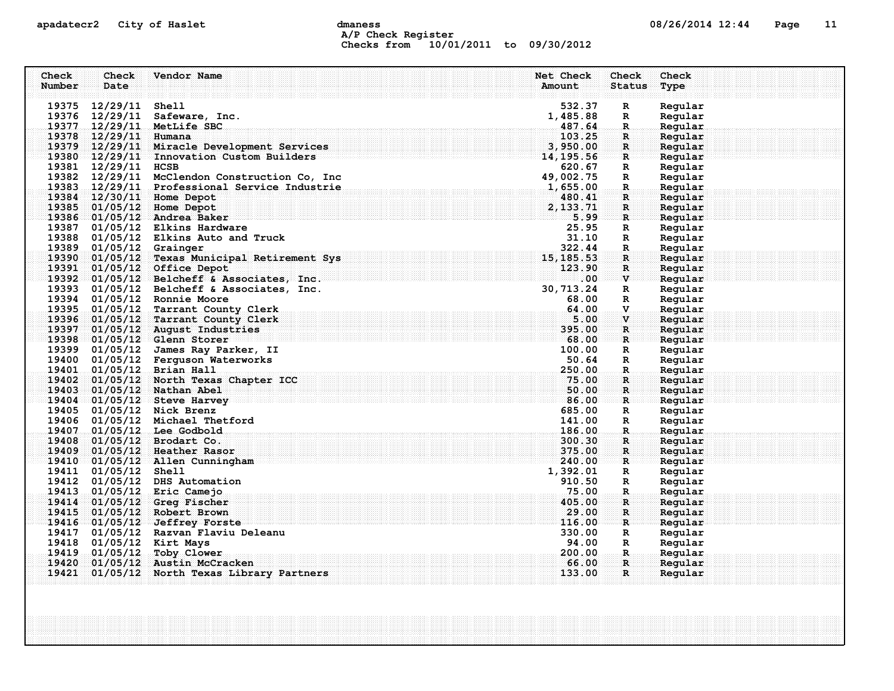## apadatecr2 City of Haslet control dmaness control dmaness control and the US/26/2014 12:44 Page 11 A/P Check Register Checks from 10/01/2011 to 09/30/2012

| Check<br>Number | <b>Check</b><br>Date    | Vendor Name                                                           | Net Check<br>Amount               | Check<br><b>Status</b>      | Check<br>Type      |
|-----------------|-------------------------|-----------------------------------------------------------------------|-----------------------------------|-----------------------------|--------------------|
|                 |                         |                                                                       |                                   |                             |                    |
|                 | 19375 12/29/11 Shell    |                                                                       | 532.37                            | $\mathbf R$                 | Regular            |
|                 |                         | 19376 12/29/11 Safeware, Inc.                                         | 1,485.88                          | R                           | Regular            |
|                 |                         | 19377 12/29/11 MetLife SBC                                            | 487.64                            | $\mathbf R$                 | Regular            |
|                 | 19378 12/29/11 Humana   |                                                                       | 103.25                            | $\mathbf R$                 | Regular            |
|                 |                         | 19379 12/29/11 Miracle Development Services                           | 3,950.00                          | $\mathbf{R}$                | Regular            |
|                 |                         | 19380 12/29/11 Innovation Custom Builders                             | 14, 195.56                        | $\mathbf R$                 | Regular            |
|                 | 19381 12/29/11 HCSB     |                                                                       | 620.67                            | $\mathbf R$                 | Regular            |
|                 |                         | 19382 12/29/11 McClendon Construction Co, Inc                         | 820.67<br>49, 002.75<br>1, 655.00 | $\mathbb{R}$                | Regular            |
|                 |                         | 19383 12/29/11 Professional Service Industrie                         |                                   | $\mathbf R$ .               | Regular            |
|                 |                         | 19384 12/30/11 Home Depot                                             | 480.41                            | $\mathbf R$                 | Regular            |
|                 |                         | 19385 01/05/12 Home Depot                                             | 2,133.71                          | R                           | Regular            |
|                 |                         | 19386 01/05/12 Andrea Baker                                           | 5.99                              | $\mathbf{R}$                | Regular            |
|                 |                         | 19387 01/05/12 Elkins Hardware                                        | 25.95                             | $\mathbf R$                 | Regular            |
|                 |                         | 19388 01/05/12 Elkins Auto and Truck                                  | 31.10                             | $\mathbb{R}$                | Regular            |
|                 | 19389 01/05/12 Grainger | 19390 01/05/12 Texas Municipal Retirement Sys                         | 322.44<br>15, 185.53              | $\mathbf R$<br>$\mathbf{R}$ | Regular<br>Regular |
|                 |                         | 19391 01/05/12 Office Depot                                           | 123.90                            | R.                          | Regular            |
|                 |                         | 19392 01/05/12 Belcheff & Associates, Inc.                            | $.00\,$                           | $\mathbf{v}$                | Regular            |
|                 |                         | 19393 01/05/12 Belcheff & Associates, Inc.                            | 30, 713.24                        | $\mathbf R$                 | Regular            |
|                 |                         | 19394 01/05/12 Ronnie Moore                                           | 68.00                             | $\mathbb{R}$                | Regular            |
|                 |                         | 19395 01/05/12 Tarrant County Clerk                                   | 64.00                             | $\mathbf{V}$ .              | Regular            |
|                 |                         | 19396 01/05/12 Tarrant County Clerk                                   | 5.00                              | $\mathbf{v}$                | Regular            |
|                 |                         | 19397 01/05/12 August Industries                                      | 395.00                            | $\mathbf R$                 | Regular            |
|                 |                         | 19398 01/05/12 Glenn Storer                                           | 68.00                             | $\mathbf{R}$                | Regular            |
|                 |                         | 19399 01/05/12 James Ray Parker, II                                   | 100.00                            | R                           | Regular            |
|                 |                         | 19400 01/05/12 Ferguson Waterworks                                    | 50.64                             | R                           | Regular            |
|                 |                         | 19401 01/05/12 Brian Hall                                             | 250.00                            | $\mathbf R$                 | Regular            |
|                 |                         | 19402 01/05/12 North Texas Chapter ICC                                | 75.00                             | R                           | Regular            |
|                 |                         | 19403 01/05/12 Nathan Abel                                            | 50.00                             | $\mathbf{R}$                | Regular            |
|                 |                         | 19404 01/05/12 Steve Harvey                                           | 86.00                             | $\mathbf R$ :               | Reqular            |
|                 |                         | 19405 01/05/12 Nick Brenz                                             | 685.00                            | R                           | Regular            |
|                 |                         | 19406 01/05/12 Michael Thetford                                       | 141.00                            | R                           | Regular            |
| 19407           |                         | $01/05/12$ Lee Godbold                                                | 186.00                            | R.                          | Regular            |
| 19408           |                         | $01/05/12$ Brodart Co.                                                | 300.30                            | $\mathbf R$                 | Regular            |
| 19409           |                         | 01/05/12 Heather Rasor                                                | 375.00                            | $\mathbf{R}$                | Regular            |
|                 |                         | 19410 01/05/12 Allen Cunningham                                       | 240.00                            | $\mathbf{R}$                | Reqular            |
|                 | 19411 01/05/12 Shell    |                                                                       | 1,392.01                          | R                           | Regular            |
|                 |                         | 19412 01/05/12 DHS Automation                                         | 910.50                            | $\mathbf R$                 | Regular            |
|                 |                         | 19413 01/05/12 Eric Camejo                                            | 75.00                             | R.                          | Regular            |
| 19414           |                         | $01/05/12$ Greq Fischer                                               | 405.00                            | R                           | Regular            |
| 19415           |                         | 01/05/12 Robert Brown                                                 | 29.00<br>116.00                   | $\mathbf R$                 | Regular            |
|                 |                         | 19416 01/05/12 Jeffrey Forste<br>19417 01/05/12 Razvan Flaviu Deleanu | 330.00                            | $\mathbf{R}$                | Reqular<br>Regular |
|                 |                         | 19418 01/05/12 Kirt Mays                                              | 94.00                             | R                           | Regular            |
|                 |                         | 19419 01/05/12 Toby Clower                                            | 200.00                            | R<br>R.                     | Regular            |
| 19420           |                         | 01/05/12 Austin McCracken                                             | 66.00                             | R.                          | Reqular            |
| 19421           |                         | 01/05/12 North Texas Library Partners                                 | 133.00                            | $\mathbf{R}$                | Regular            |
|                 |                         |                                                                       |                                   |                             |                    |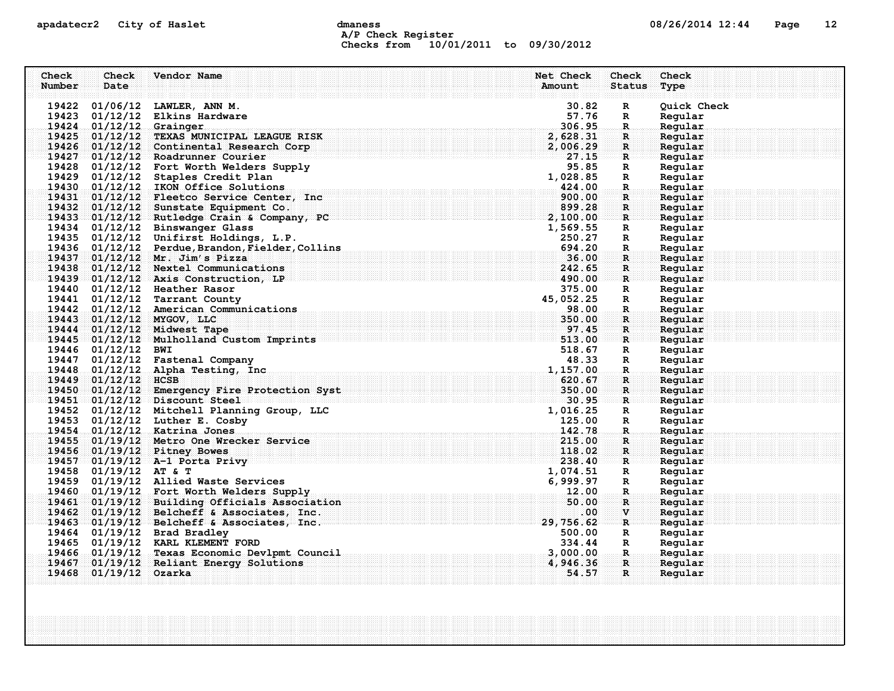## apadatecr2 City of Haslet compound dmaness compound the definition of the compound of the Page 12 A/P Check Register Checks from 10/01/2011 to 09/30/2012

| Check  | Check                   | Vendor Name                                                               | Net Check                                                                                                                                                                                                                                                                                                                                                                                                                                                                                  | <b>Check</b>                 | Check              |
|--------|-------------------------|---------------------------------------------------------------------------|--------------------------------------------------------------------------------------------------------------------------------------------------------------------------------------------------------------------------------------------------------------------------------------------------------------------------------------------------------------------------------------------------------------------------------------------------------------------------------------------|------------------------------|--------------------|
| Number | Date                    |                                                                           | Amount                                                                                                                                                                                                                                                                                                                                                                                                                                                                                     | Status                       | Type               |
|        |                         |                                                                           |                                                                                                                                                                                                                                                                                                                                                                                                                                                                                            |                              |                    |
|        |                         | 19422 01/06/12 LAWLER, ANN M.                                             | 30.82                                                                                                                                                                                                                                                                                                                                                                                                                                                                                      | $\mathbf R$                  | Quick Check        |
|        |                         | 19423 01/12/12 Elkins Hardware                                            | 57.76                                                                                                                                                                                                                                                                                                                                                                                                                                                                                      | $\mathbb{R}$                 | Regular            |
|        | 19424 01/12/12 Grainger |                                                                           | 306.95                                                                                                                                                                                                                                                                                                                                                                                                                                                                                     | $\mathbf{R}_\odot$           | Regular            |
|        |                         | 19425 01/12/12 TEXAS MUNICIPAL LEAGUE RISK                                | 2,628.31                                                                                                                                                                                                                                                                                                                                                                                                                                                                                   | $\mathbf{R}$                 | Regular            |
|        |                         | 19426 01/12/12 Continental Research Corp                                  | 2,006.29                                                                                                                                                                                                                                                                                                                                                                                                                                                                                   | $\mathbf{R}$ .               | Regular            |
|        |                         | 19427 01/12/12 Roadrunner Courier                                         | 27.15                                                                                                                                                                                                                                                                                                                                                                                                                                                                                      | $\mathbf{R}$                 | Regular            |
|        |                         | 19428 01/12/12 Fort Worth Welders Supply<br>. $\bf{1}$                    | 95.85                                                                                                                                                                                                                                                                                                                                                                                                                                                                                      | R                            | Regular            |
|        |                         | 19429 01/12/12 Staples Credit Plan                                        | 1,028.85                                                                                                                                                                                                                                                                                                                                                                                                                                                                                   | R                            | Regular            |
|        |                         | 19430 01/12/12 IKON Office Solutions                                      | 424.00                                                                                                                                                                                                                                                                                                                                                                                                                                                                                     | $\mathbf R$ .                | Regular            |
|        |                         | 19431 01/12/12 Fleetco Service Center, Inc                                | 900.00<br>899.28                                                                                                                                                                                                                                                                                                                                                                                                                                                                           | $\mathbf{R}$                 | Regular            |
|        |                         | 19432 01/12/12 Sunstate Equipment Co.                                     |                                                                                                                                                                                                                                                                                                                                                                                                                                                                                            | R                            | Regular            |
|        |                         | 19433 01/12/12 Rutledge Crain & Company, PC                               | 2,100.00                                                                                                                                                                                                                                                                                                                                                                                                                                                                                   | $\mathbf{R}$                 | Regular            |
|        |                         | 19434 01/12/12 Binswanger Glass<br>19435 01/12/12 Unifirst Holdings, L.P. | 1,569.55<br>250.27                                                                                                                                                                                                                                                                                                                                                                                                                                                                         | R                            | Regular<br>Regular |
|        |                         | 19436 01/12/12 Perdue, Brandon, Fielder, Collins                          | 694.20                                                                                                                                                                                                                                                                                                                                                                                                                                                                                     | $\mathbf{R}$                 |                    |
|        |                         | 19437 01/12/12 Mr. Jim's Pizza                                            | 36.00                                                                                                                                                                                                                                                                                                                                                                                                                                                                                      | $\mathbf{R}$                 | Regular<br>Regular |
|        |                         | 19438 01/12/12 Nextel Communications                                      | 242.65                                                                                                                                                                                                                                                                                                                                                                                                                                                                                     | R                            |                    |
|        |                         | $19439$ 01/12/12 Axis Construction, LP                                    | $\blacksquare$ $\blacksquare$ $\blacksquare$ $\blacksquare$ $\blacksquare$ $\blacksquare$ $\blacksquare$ $\blacksquare$ $\blacksquare$ $\blacksquare$ $\blacksquare$ $\blacksquare$ $\blacksquare$ $\blacksquare$ $\blacksquare$ $\blacksquare$ $\blacksquare$ $\blacksquare$ $\blacksquare$ $\blacksquare$ $\blacksquare$ $\blacksquare$ $\blacksquare$ $\blacksquare$ $\blacksquare$ $\blacksquare$ $\blacksquare$ $\blacksquare$ $\blacksquare$ $\blacksquare$ $\blacksquare$ $\blacks$ | $\mathbf{R}$<br>$\mathbf{R}$ | Regular<br>Regular |
|        |                         | 19440 01/12/12 Heather Rasor                                              | 375.00                                                                                                                                                                                                                                                                                                                                                                                                                                                                                     | R                            | Regular            |
|        |                         | 19441 01/12/12 Tarrant County                                             | 45,052.25                                                                                                                                                                                                                                                                                                                                                                                                                                                                                  | R                            | Regular            |
|        |                         | 19442 01/12/12 American Communications                                    | 98.00                                                                                                                                                                                                                                                                                                                                                                                                                                                                                      | $\mathbf R$ .                | Regular            |
|        |                         | 19443 01/12/12 MYGOV, LLC                                                 | 350.00                                                                                                                                                                                                                                                                                                                                                                                                                                                                                     | R                            | Regular            |
|        |                         | 19444 01/12/12 Midwest Tape                                               | 97.45                                                                                                                                                                                                                                                                                                                                                                                                                                                                                      | R                            | Regular            |
|        |                         | 19445 01/12/12 Mulholland Custom Imprints                                 | 513.00                                                                                                                                                                                                                                                                                                                                                                                                                                                                                     | $\mathbf{R}$                 | Regular            |
|        | 19446 01/12/12 BWI      |                                                                           | 518.67                                                                                                                                                                                                                                                                                                                                                                                                                                                                                     | R                            | Regular            |
|        |                         | 19447 01/12/12 Fastenal Company                                           | 48.33                                                                                                                                                                                                                                                                                                                                                                                                                                                                                      | R                            | Regular            |
|        |                         | 19448 01/12/12 Alpha Testing, Inc.                                        | . The component of the component of the component of $1,157$ , $00$                                                                                                                                                                                                                                                                                                                                                                                                                        | $\mathbf{R}$                 | Reqular            |
|        | 19449 01/12/12 HCSB     |                                                                           | 620.67                                                                                                                                                                                                                                                                                                                                                                                                                                                                                     | $\mathbf R$ :                | Regular            |
|        |                         | 19450 01/12/12 Emergency Fire Protection Syst                             | 350.00                                                                                                                                                                                                                                                                                                                                                                                                                                                                                     | $\mathbf{R}$                 | Regular            |
|        |                         | 19451 01/12/12 Discount Steel                                             | 30.95                                                                                                                                                                                                                                                                                                                                                                                                                                                                                      | $\mathbf{R}$                 | Regular            |
|        |                         | 19452 01/12/12 Mitchell Planning Group, LLC                               | 1,016.25                                                                                                                                                                                                                                                                                                                                                                                                                                                                                   | R                            | Regular            |
|        |                         | 19453 01/12/12 Luther E. Cosby                                            | 125.00                                                                                                                                                                                                                                                                                                                                                                                                                                                                                     | R                            | Regular            |
|        |                         | 19454 01/12/12 Katrina Jones                                              | 142.78                                                                                                                                                                                                                                                                                                                                                                                                                                                                                     | .R.                          | Regular            |
|        |                         | 19455 01/19/12 Metro One Wrecker Service                                  | 215.00                                                                                                                                                                                                                                                                                                                                                                                                                                                                                     | $\mathbf{R}$                 | Regular            |
|        |                         | 19456 01/19/12 Pitney Bowes                                               | 118.02                                                                                                                                                                                                                                                                                                                                                                                                                                                                                     | R                            | Regular            |
|        |                         | 19457 01/19/12 A-1 Porta Privy                                            | 238.40                                                                                                                                                                                                                                                                                                                                                                                                                                                                                     | $\mathbf{R}$                 | Regular            |
|        | 19458 01/19/12 AT & T   |                                                                           | 1,074.51                                                                                                                                                                                                                                                                                                                                                                                                                                                                                   | R                            | Regular            |
|        |                         | 19459 01/19/12 Allied Waste Services                                      | 6,999.97                                                                                                                                                                                                                                                                                                                                                                                                                                                                                   | R                            | Regular            |
|        |                         | 19460 01/19/12 Fort Worth Welders Supply                                  | 12.00                                                                                                                                                                                                                                                                                                                                                                                                                                                                                      | $\mathbf R$ .                | Regular            |
|        |                         | 19461 01/19/12 Building Officials Association                             | 50.00                                                                                                                                                                                                                                                                                                                                                                                                                                                                                      | $\mathbf R$                  | Regular            |
|        |                         | 19462 01/19/12 Belcheff & Associates, Inc.                                | .00.                                                                                                                                                                                                                                                                                                                                                                                                                                                                                       | $\mathbf{v}$                 | Regular            |
|        |                         | 19463 01/19/12 Belcheff & Associates, Inc.                                | 29,756.62                                                                                                                                                                                                                                                                                                                                                                                                                                                                                  | $\mathbf{R}$                 | Regular            |
|        |                         | 19464 01/19/12 Brad Bradley                                               | 500.00                                                                                                                                                                                                                                                                                                                                                                                                                                                                                     | $\mathbf{R}$                 | Regular            |
|        |                         | 19465 01/19/12 KARL KLEMENT FORD                                          | 334.44                                                                                                                                                                                                                                                                                                                                                                                                                                                                                     | $\mathbf{R}$                 | Regular            |
|        |                         | 19466 01/19/12 Texas Economic Devlpmt Council                             | 3,000.00                                                                                                                                                                                                                                                                                                                                                                                                                                                                                   | .R.                          | Regular            |
|        |                         | 19467 01/19/12 Reliant Energy Solutions                                   | 4,946.36                                                                                                                                                                                                                                                                                                                                                                                                                                                                                   | $\mathbf{R}$                 | Reqular            |
|        | 19468 01/19/12 Ozarka   |                                                                           | 54.57                                                                                                                                                                                                                                                                                                                                                                                                                                                                                      | R                            | Regular            |
|        |                         |                                                                           |                                                                                                                                                                                                                                                                                                                                                                                                                                                                                            |                              |                    |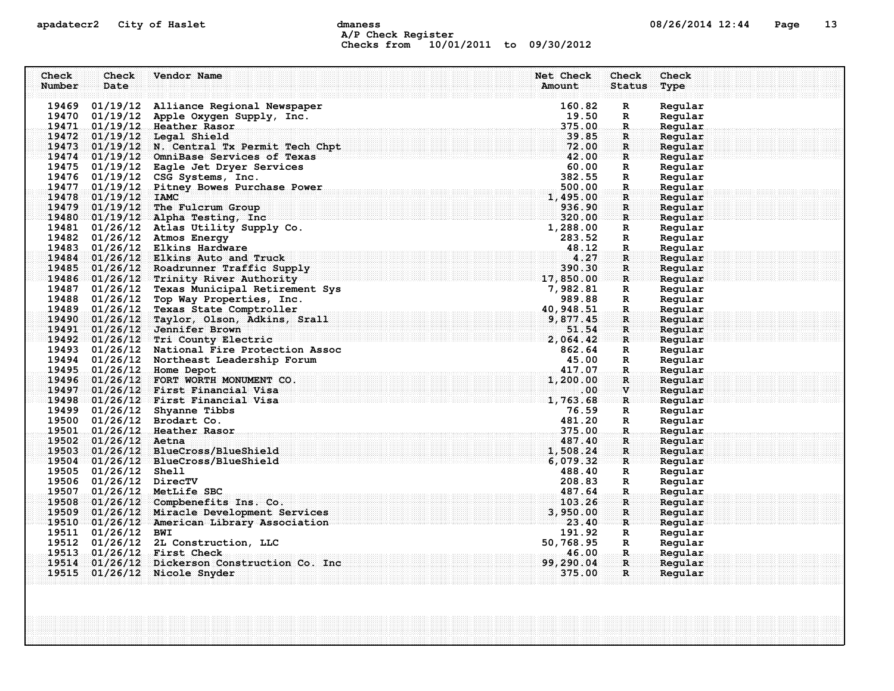## apadatecr2 City of Haslet dmaness dmanness and the US/26/2014 12:44 Page 13 A/P Check Register Checks from 10/01/2011 to 09/30/2012

| Check  | Check                  | Vendor Name                                                                            | Net Check       | <b>Check</b>       | Check              |
|--------|------------------------|----------------------------------------------------------------------------------------|-----------------|--------------------|--------------------|
| Number | Date                   |                                                                                        | Amount          | <b>Status</b>      | Type               |
|        |                        |                                                                                        |                 |                    |                    |
|        |                        | 19469 01/19/12 Alliance Regional Newspaper<br>19470 01/19/12 Apple Oxygen Supply, Inc. | 160.82<br>19.50 | $\mathbf{R}$       | Regular<br>Regular |
|        |                        | 19471 01/19/12 Heather Rasor                                                           | 375.00          | R<br>R.            | Regular            |
|        |                        | 19472 01/19/12 Legal Shield                                                            | 39.85           | $\mathbf R$ :      | Regular            |
|        |                        | 19473 01/19/12 N. Central Tx Permit Tech Chpt                                          | 72.00           | $\mathbf{R}$       | Regular            |
|        |                        | 19474 01/19/12 OmniBase Services of Texas                                              | 42.00           | R                  | Regular            |
|        |                        | 19475 01/19/12 Eagle Jet Dryer Services                                                | 60.00           | R                  | Regular            |
|        |                        | 19476 01/19/12 CSG Systems, Inc.                                                       | 382.55          | R                  | Regular            |
|        |                        | 19477 01/19/12 Pitney Bowes Purchase Power                                             | 500.00          | R.                 | Regular            |
|        | 19478 01/19/12 IAMC    |                                                                                        | 1,495.00        | R                  | Regular            |
|        |                        | 19479 01/19/12 The Fulcrum Group                                                       | 936.90          | R                  | Regular            |
|        |                        | 19480 01/19/12 Alpha Testing, Inc                                                      | 320.00          | $\mathbf{R}$       | Regular            |
|        |                        | 19481 01/26/12 Atlas Utility Supply Co.                                                | 1,288.00        | R                  | Regular            |
|        |                        | 19482 01/26/12 Atmos Energy                                                            | 283.52          | R                  | Regular            |
|        |                        | 19483 01/26/12 Elkins Hardware                                                         | 48.12           | R.                 | Regular            |
|        |                        | 19484 01/26/12 Elkins Auto and Truck                                                   | 4.27            | $\mathbf{R}$ .     | Regular            |
|        |                        | 19485 01/26/12 Roadrunner Traffic Supply                                               | 390.30          | $\mathbf R$        | Regular            |
|        |                        | 19486 01/26/12 Trinity River Authority                                                 | 17,850.00       | $\mathbf{R}$       | Regular            |
|        |                        | 19487 01/26/12 Texas Municipal Retirement Sys                                          | 7,982.81        | $\mathbb{R}$       | Regular            |
|        |                        | 19488 01/26/12 Top Way Properties, Inc.                                                | 989.88          | R                  | Regular            |
|        |                        | 19489 01/26/12 Texas State Comptroller                                                 | 40, 948.51      | R.                 | Regular            |
|        |                        | 19490 01/26/12 Taylor, Olson, Adkins, Srall                                            | 9,877.45        | R                  | Regular            |
|        |                        | 19491 01/26/12 Jennifer Brown                                                          | 51.54           | $\mathbf{R}$ :     | Regular            |
|        |                        | 19492 01/26/12 Tri County Electric                                                     | 2,064.42        | $\mathbf{R}$       | Regular            |
|        |                        | 19493 01/26/12 National Fire Protection Assoc                                          | 862.64          | R                  | Regular            |
|        |                        | 19494 01/26/12 Northeast Leadership Forum                                              | 45.00<br>417.07 | R                  | Regular            |
|        |                        | 19495 01/26/12 Home Depot<br>19496 01/26/12 FORT WORTH MONUMENT CO.                    | 1,200.00        | $\mathbf{R}$<br>R  | Regular<br>Regular |
|        |                        | 19497 01/26/12 First Financial Visa                                                    | $.00\,$         | $\mathbf{v}$       | Regular            |
|        |                        | 19498 01/26/12 First Financial Visa                                                    | 1,763.68        | R                  | Regular            |
|        |                        | 19499 01/26/12 Shyanne Tibbs                                                           | 76.59           | $\mathbb{R}$       | Regular            |
|        |                        | 19500 01/26/12 Brodart Co.                                                             | 481.20          | R                  | Regular            |
|        |                        | 19501 01/26/12 Heather Rasor                                                           | 375.00          | $\mathbf R$ .      | Regular            |
|        | 19502 01/26/12 Aetna   |                                                                                        | 487.40          | R                  | Regular            |
|        |                        | 19503 01/26/12 BlueCross/BlueShield                                                    | 1,508.24        | R                  | Regular            |
|        |                        | 19504 01/26/12 BlueCross/BlueShield                                                    | 6,079.32        | $\mathbf{R}$       | Regular            |
|        | 19505 01/26/12 Shell   |                                                                                        | 488.40          | R                  | Regular            |
|        | 19506 01/26/12 DirecTV |                                                                                        | 208.83          | R                  | Regular            |
|        |                        | 19507 01/26/12 MetLife SBC                                                             | 487.64          | $\mathbf{R}_\odot$ | Regular            |
|        |                        | 19508 01/26/12 Compbenefits Ins. Co.                                                   | 103.26          | R                  | Regular            |
|        |                        | 19509 01/26/12 Miracle Development Services                                            | 3,950.00        | $\mathbf R$        | Regular            |
|        |                        | 19510 01/26/12 American Library Association                                            | 23.40           | ार                 | Regular            |
|        | 19511 01/26/12 BWI     |                                                                                        | 191.92          | $\mathbf{R}$       | Regular            |
|        |                        | 19512 01/26/12 2L Construction, LLC                                                    | 50,768.95       | $\mathbf{R}$       | Regular            |
|        |                        | 19513 01/26/12 First Check                                                             | 46.00           | -R.,               | Regular            |
|        |                        | 19514 01/26/12 Dickerson Construction Co. Inc                                          | 99,290.04       | $\mathbf{R}$       | Reqular            |
|        |                        | 19515 01/26/12 Nicole Snyder                                                           | 375.00          | R                  | Regular            |
|        |                        |                                                                                        |                 |                    |                    |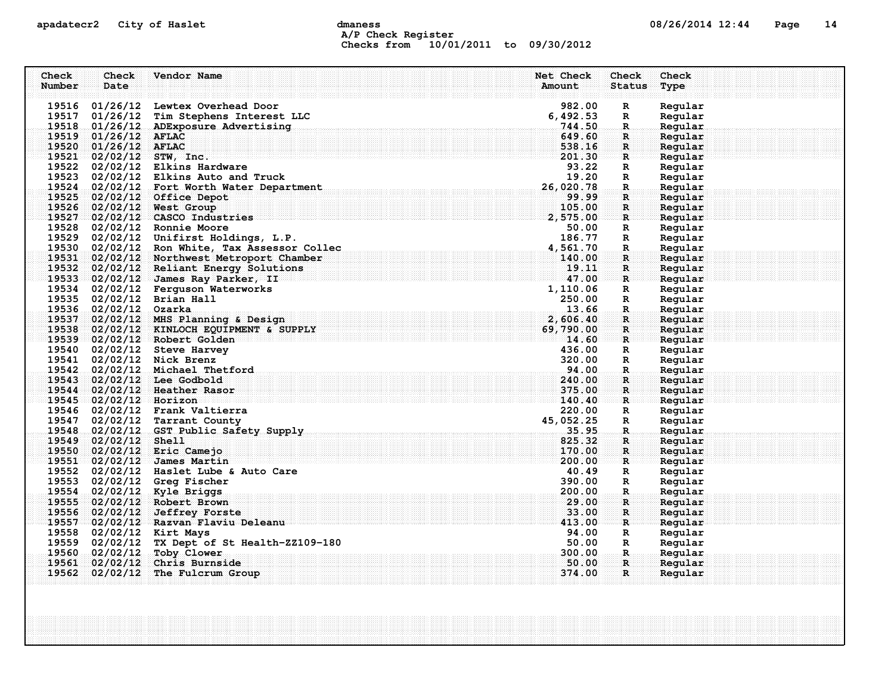## apadatecr2 City of Haslet dmaness dmaness and the control of the 14 Page 14 A/P Check Register Checks from 10/01/2011 to 09/30/2012

| Check  | Check                  | Vendor Name                                                               | Net Check          | <b>Check</b>       | Check              |
|--------|------------------------|---------------------------------------------------------------------------|--------------------|--------------------|--------------------|
| Number | Date                   |                                                                           | Amount             | <b>Status</b>      | Type               |
|        |                        | 19516 01/26/12 Lewtex Overhead Door                                       | 982.00             | $\mathbf R$        | Regular            |
|        |                        | 19517 01/26/12 Tim Stephens Interest LLC                                  | 6,492.53           | R                  | Regular            |
|        |                        | 19518 01/26/12 ADExposure Advertising                                     | 744.50             | $\mathbf R$        | Regular            |
|        | 19519 01/26/12 AFLAC   |                                                                           | 649.60             | R                  | Regular            |
|        | 19520 01/26/12 AFLAC   |                                                                           | 538.16             | $\mathbf{R}$       | Regular            |
|        |                        | $19521$ 02/02/12 STW, Inc.                                                | 201.30             | $\mathbf{R}$       | Regular            |
|        |                        | 19522 02/02/12 Elkins Hardware                                            | 93.22              | R                  | Regular            |
|        |                        | 19523 02/02/12 Elkins Auto and Truck                                      | 19.20              | $\mathbb{R}$       | Regular            |
|        |                        | 19524 02/02/12 Fort Worth Water Department                                | 26,020.78          | $\mathbf R$ .      | Regular            |
|        |                        | 19525 02/02/12 Office Depot                                               | 99.99              | R                  | Regular            |
|        |                        | 19526 02/02/12 West Group                                                 | 105.00             | $\mathbf R$        | Regular            |
|        |                        | 19527 02/02/12 CASCO Industries                                           | 2,575.00           | $\mathbf{R}$       | Regular            |
|        |                        | 19528 02/02/12 Ronnie Moore                                               | 50.00              | R                  | Regular            |
|        |                        | 19529 02/02/12 Unifirst Holdings, L.P.                                    | 186.77             | $\mathbb{R}$       | Regular            |
|        |                        | 19530 02/02/12 Ron White, Tax Assessor Collec                             | 4,561.70           | R.                 | Regular            |
|        |                        | 19531 02/02/12 Northwest Metroport Chamber                                | 140.00             | $\mathbf{R}$       | Regular            |
|        |                        | 19532 02/02/12 Reliant Energy Solutions                                   | 19.11              | R                  | Regular            |
|        |                        | 19533 02/02/12 James Ray Parker, II                                       | 47.00              | $\mathbf{R}$       | Regular            |
|        |                        | 19534 02/02/12 Ferguson Waterworks<br>19535 02/02/12 Brian Hall           | 1,110.06<br>250.00 | $\mathbb{R}$       | Regular<br>Regular |
|        | 19536 02/02/12 Ozarka  |                                                                           | 13.66              | R<br>$\mathbf R$ . | Regular            |
|        |                        | 19537 02/02/12 MHS Planning & Design                                      | 2,606.40           | $\mathbf R$        | Regular            |
|        |                        | 19538 02/02/12 KINLOCH EQUIPMENT & SUPPLY                                 | 69,790.00          | R                  | Reqular            |
|        |                        | 19539 02/02/12 Robert Golden                                              | 14.60              | R                  | Regular            |
|        |                        | 19540 02/02/12 Steve Harvey                                               | 436.00             | R                  | Regular            |
|        |                        | 19541 02/02/12 Nick Brenz                                                 | 320.00             | $\mathbb{R}$       | Regular            |
|        |                        | 19542 02/02/12 Michael Thetford                                           | 94.00              | $\mathbf{R}$ .     | Regular            |
|        |                        | 19543 02/02/12 Lee Godbold                                                | 240.00             | R                  | Regular            |
|        |                        | 19544 02/02/12 Heather Rasor                                              | 375.00             | $\mathbf{R}$       | Regular            |
|        | 19545 02/02/12 Horizon |                                                                           | 140.40             | R                  | Regular            |
|        |                        | 19546 02/02/12 Frank Valtierra                                            | 220.00             | R                  | Regular            |
|        |                        | 19547 02/02/12 Tarrant County                                             | 45,052.25          | R                  | Regular            |
|        |                        | 19548 02/02/12 GST Public Safety Supply                                   | 35.95              | .R.                | Regular            |
|        | 19549 02/02/12 Shell   |                                                                           | 825.32             | R                  | Regular            |
|        |                        | 19550 02/02/12 Eric Camejo                                                | 170.00             | $\mathbf{R}$       | Regular            |
|        |                        | 19551 02/02/12 James Martin                                               | 200.00             | R                  | Regular            |
|        |                        | 19552 02/02/12 Haslet Lube & Auto Care                                    | 40.49              | R                  | Regular            |
|        |                        | 19553 02/02/12 Greg Fischer                                               | 390.00             | $\mathbb{R}$       | Regular            |
|        |                        | 19554 02/02/12 Kyle Briggs                                                | 200.00             | R.                 | Regular            |
|        |                        | 19555 02/02/12 Robert Brown                                               | 29.00              | R                  | Regular            |
|        |                        | 19556 02/02/12 Jeffrey Forste                                             | 33.00              | R                  | Regular            |
|        |                        | 19557 02/02/12 Razvan Flaviu Deleanu                                      | 413.00             | $\mathbf{R}$       | Regular            |
|        |                        | 19558 02/02/12 Kirt Mays<br>19559 02/02/12 TX Dept of St Health-ZZ109-180 | 94.00<br>50.00     | $\mathbf{R}$<br>R  | Regular<br>Regular |
|        | 19560 02/02/12         | Toby Clower                                                               | 300,00             | R.,                | Regular            |
|        |                        | 19561 02/02/12 Chris Burnside                                             | 50.00              | $\mathbf{R}$       | Reqular            |
|        |                        | 19562 02/02/12 The Fulcrum Group                                          | 374.00             | R                  | Regular            |
|        |                        |                                                                           |                    |                    |                    |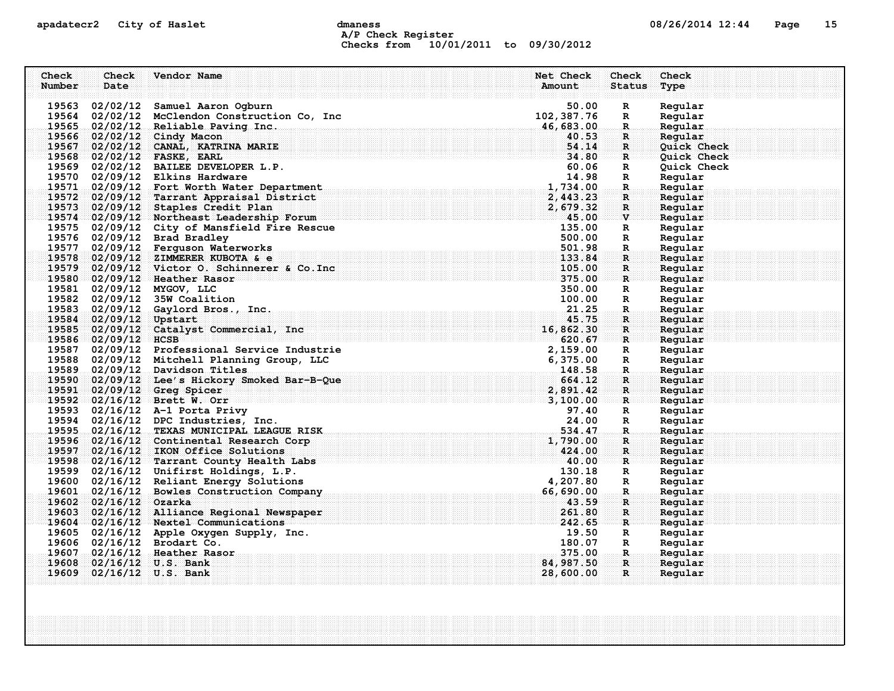## apadatecr2 City of Haslet compound dmaness compound the definition of the compound of the Page 15 A/P Check Register Checks from 10/01/2011 to 09/30/2012

| Check<br>Number | Check<br>Date          | Vendor Name                                                                                                                                                                                                                                | Net Check<br>Amount | Check<br><b>Status</b> | Check<br>Type      |
|-----------------|------------------------|--------------------------------------------------------------------------------------------------------------------------------------------------------------------------------------------------------------------------------------------|---------------------|------------------------|--------------------|
|                 |                        | 19563 02/02/12 Samuel Aaron Ogburn                                                                                                                                                                                                         | 50.00               | R                      | Regular            |
|                 |                        | 19564 02/02/12 McClendon Construction Co, Inc                                                                                                                                                                                              | 102,387.76          | R                      | Regular            |
|                 |                        | 19565 02/02/12 Reliable Paving Inc.                                                                                                                                                                                                        | 46,683.00           | $\mathbf{R}$           | Regular            |
|                 |                        | 19566 02/02/12 Cindy Macon                                                                                                                                                                                                                 | 40.53               | $\mathbf{R}$ .         | Regular            |
|                 |                        | 19567 02/02/12 CANAL, KATRINA MARIE                                                                                                                                                                                                        | 54.14               | $\mathbf{R}$           | <b>Ouick Check</b> |
|                 |                        | $\frac{34.33}{34.80}$<br>$19568$ $02/02/12$ FASKE, EARL                                                                                                                                                                                    |                     | $\mathbf{R}$           | <b>Quick Check</b> |
|                 |                        | 19569 02/02/12 BAILEE DEVELOPER L.P.                                                                                                                                                                                                       | 60.06               | R                      | Quick Check        |
|                 |                        | 19570 02/09/12 Elkins Hardware                                                                                                                                                                                                             | 14.98               | R                      | Regular            |
|                 |                        | 19571 02/09/12 Fort Worth Water Department<br>. The sequence of the sequence of the sequence of $\bf 1,734$ , $\bf 00$ , $\bf$                                                                                                             |                     | $\mathbf{R}$           | Regular            |
|                 |                        | 19572 02/09/12 Tarrant Appraisal District                                                                                                                                                                                                  | 2,443.23            | $\mathbf{R}$           | Regular            |
|                 |                        | 19573 02/09/12 Staples Credit Plan                                                                                                                                                                                                         | 2,679.32            | $\mathbf R$            | Reqular            |
|                 |                        | 19574 02/09/12 Northeast Leadership Forum                                                                                                                                                                                                  | 45.00               | $\mathbf{v}$           | Regular            |
|                 |                        | 19575 02/09/12 City of Mansfield Fire Rescue                                                                                                                                                                                               | 135.00              | R                      | Regular            |
|                 |                        | 19576 02/09/12 Brad Bradley                                                                                                                                                                                                                | 500.00              | R                      | Regular            |
|                 |                        | 19577 02/09/12 Ferguson Waterworks                                                                                                                                                                                                         | 501.98              | R.                     | Regular            |
|                 |                        | 19578 02/09/12 ZIMMERER KUBOTA & e                                                                                                                                                                                                         | 133.84              | R.                     | Regular            |
|                 |                        | 19579 02/09/12 Victor O. Schinnerer & Co. Inc.                                                                                                                                                                                             | 105.00              | $\mathbf R$            | Regular            |
|                 |                        | 19580 02/09/12 Heather Rasor                                                                                                                                                                                                               | 375.00              | $\mathbf{R}$           | Regular            |
|                 |                        | 19581 02/09/12 MYGOV, LLC                                                                                                                                                                                                                  | 350.00              | R                      | Regular            |
|                 |                        | 19582 02/09/12 35W Coalition                                                                                                                                                                                                               | 100.00              | R                      | Regular            |
|                 |                        | 19583 02/09/12 Gaylord Bros., Inc.                                                                                                                                                                                                         | 21.25               | $\mathbf{R}$ .         | Regular            |
|                 | 19584 02/09/12 Upstart |                                                                                                                                                                                                                                            | 45.75               | R                      | Regular            |
|                 |                        | 19585 02/09/12 Catalyst Commercial, Inc                                                                                                                                                                                                    | 16,862.30           | $\mathbf{R}$           | Reqular            |
|                 | $19586$ 02/09/12 HCSB  | 9586 02/09/12 HCSB<br>19587 02/09/12 Professional Service Industrie<br>1958 02/09/12 Mitchell Planning Group, LLC<br>19589 02/09/12 Davidson Titles<br>19590 02/09/12 Lee's Hickory Smoked Bar-B-Que<br>19591 02/09/12 Greg Spicer<br>1959 | 620.67              | $\mathbf{R}$           | Regular            |
|                 |                        |                                                                                                                                                                                                                                            |                     | $\mathbf{R}$           | Regular            |
|                 |                        |                                                                                                                                                                                                                                            |                     | $\mathbf R$            | Regular            |
|                 |                        |                                                                                                                                                                                                                                            |                     | $\ldots$ R $\ldots$    | Regular            |
|                 |                        |                                                                                                                                                                                                                                            |                     | R.                     | Regular            |
|                 |                        |                                                                                                                                                                                                                                            |                     | R                      | Regular            |
|                 |                        |                                                                                                                                                                                                                                            |                     | ः R                    | Regular            |
|                 |                        | 19593 02/16/12 A-1 Porta Privy                                                                                                                                                                                                             | 97.40               | $\mathbf R$            | Regular            |
|                 |                        | 19594 02/16/12 DPC Industries, Inc.                                                                                                                                                                                                        | 24.00               | $\mathbb{R}$           | Regular            |
|                 |                        | 19595 02/16/12 TEXAS MUNICIPAL LEAGUE RISK                                                                                                                                                                                                 | 534.47              | $\mathbf R$ .          | Regular            |
|                 |                        | 19596 02/16/12 Continental Research Corp                                                                                                                                                                                                   | 1,790.00            | $\mathbf R$ :          | Regular            |
|                 |                        | 19597 02/16/12 IKON Office Solutions                                                                                                                                                                                                       | 424.00              | R                      | Regular            |
|                 |                        | $\overline{\textbf{40.00}}$<br>19598 02/16/12 Tarrant County Health Labs                                                                                                                                                                   |                     | $\mathbf{R}$           | Regular            |
|                 |                        | 19599 02/16/12 Unifirst Holdings, L.P.                                                                                                                                                                                                     | 130.18              | R                      | Regular            |
|                 |                        | 19600 02/16/12 Reliant Energy Solutions                                                                                                                                                                                                    | 4,207.80            | $\mathbb{R}$           | Regular            |
|                 |                        | 19601 02/16/12 Bowles Construction Company                                                                                                                                                                                                 | 66,690.00           | $\mathbf{R}$           | Regular            |
|                 | 19602 02/16/12 Ozarka  |                                                                                                                                                                                                                                            | 43.59               | $\mathbf{R}$           | Regular            |
|                 |                        | 19603 02/16/12 Alliance Regional Newspaper                                                                                                                                                                                                 | 261.80              | R                      | Regular            |
|                 |                        | 19604 02/16/12 Nextel Communications                                                                                                                                                                                                       | 242.65              | $\mathbf{R}$           | Regular            |
|                 |                        | 19605 02/16/12 Apple Oxygen Supply, Inc.                                                                                                                                                                                                   | 19.50               | R                      | Regular            |
|                 |                        | 19606 02/16/12 Brodart Co.                                                                                                                                                                                                                 | 180.07              | R                      | Regular            |
|                 |                        | 19607 02/16/12 Heather Rasor                                                                                                                                                                                                               | 375.00              | -R.,                   | Regular            |
|                 |                        | 19608 02/16/12 U.S. Bank                                                                                                                                                                                                                   | 84,987.50           | $\mathbf{R}$           | Regular            |
|                 |                        | 19609 02/16/12 U.S. Bank                                                                                                                                                                                                                   | 28,600.00           | $\mathbf{R}$           | Regular            |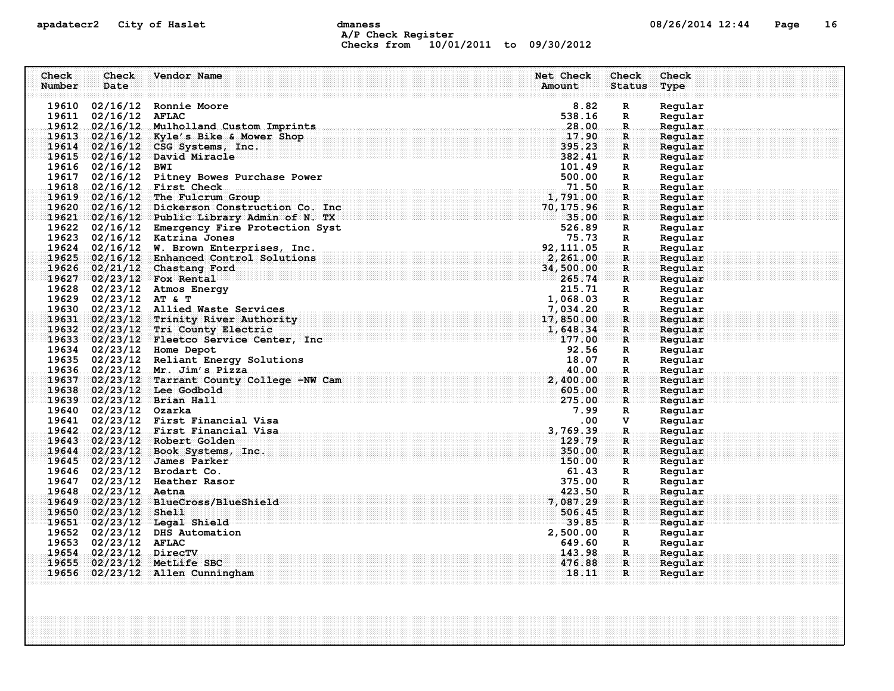## apadatecr2 City of Haslet and dmaness dmaness and the US/26/2014 12:44 Page 16 A/P Check Register Checks from 10/01/2011 to 09/30/2012

| Check  | Check                  | Vendor Name                                   | Net Check<br>Check           | Check   |
|--------|------------------------|-----------------------------------------------|------------------------------|---------|
| Number | Date                   |                                               | Amount<br><b>Status</b>      | Type    |
|        |                        |                                               |                              |         |
|        | 19610 02/16/12         | Ronnie Moore                                  | 8.82<br>R                    | Regular |
|        | 19611 02/16/12 AFLAC   |                                               | 538.16<br>R                  | Regular |
|        |                        | 19612 02/16/12 Mulholland Custom Imprints     | 28.00<br>R.                  | Regular |
|        |                        | 19613 02/16/12 Kyle's Bike & Mower Shop       | 17.90<br>$\mathbf R$         | Regular |
|        |                        | 19614 02/16/12 CSG Systems, Inc.              | 395.23<br>$\mathbf{R}$       | Regular |
|        |                        | 19615 02/16/12 David Miracle                  | 382.41<br>$\mathbf{R}$       | Regular |
|        | 19616 02/16/12         | <b>BWI</b>                                    | 101.49<br>R                  | Regular |
|        |                        | 19617 02/16/12 Pitney Bowes Purchase Power    | 500.00<br>R                  | Regular |
|        |                        | 19618 02/16/12 First Check                    | 71.50<br>R.                  | Regular |
|        |                        | $19619$ $02/16/12$ The Fulcrum Group          | 1,791.00<br>$\mathbf R$      | Regular |
|        |                        | 19620 02/16/12 Dickerson Construction Co. Inc | 70,175.96<br>R               | Regular |
|        |                        | 19621 02/16/12 Public Library Admin of N. TX  | 35.00<br>R                   | Regular |
|        |                        | 19622 02/16/12 Emergency Fire Protection Syst | 526.89<br>R                  | Regular |
|        |                        | 19623 02/16/12 Katrina Jones                  | 75.73<br>R                   | Regular |
|        |                        | 19624 02/16/12 W. Brown Enterprises, Inc.     | 92, 111, 05<br>R.            | Regular |
|        |                        | 19625 02/16/12 Enhanced Control Solutions     | 2,261.00<br>$\mathbf R$      | Regular |
|        |                        | 19626 02/21/12 Chastang Ford                  | 34,500.00<br>R.              | Regular |
|        |                        | 19627 02/23/12 Fox Rental                     | 265.74<br>$\mathbf{R}$       | Regular |
|        |                        | 19628 02/23/12 Atmos Energy                   | 215.71<br>R                  | Regular |
|        | 19629 02/23/12 AT & T  |                                               | 1,068.03<br>$\mathbb{R}$     | Regular |
|        |                        | 19630 02/23/12 Allied Waste Services          | 7,034.20<br>$\mathbf R$ .    | Regular |
|        |                        | 19631 02/23/12 Trinity River Authority        | 17,850.00<br>R               | Regular |
|        |                        | 19632 02/23/12 Tri County Electric            | R                            | Reqular |
|        |                        | 19633 02/23/12 Fleetco Service Center, Inc    | $1, 648.34$<br>$177.00$<br>R | Regular |
|        |                        | 19634 02/23/12 Home Depot                     | 92.56<br>R                   | Regular |
|        |                        | 19635 02/23/12 Reliant Energy Solutions       | 18.07<br>$\mathbb{R}$        | Regular |
|        |                        | 19636 02/23/12 Mr. Jim's Pizza                | 40.00<br>$\mathbf R$         | Regular |
|        |                        | 19637 02/23/12 Tarrant County College -NW Cam | 2,400.00<br>R                | Regular |
|        |                        | 19638 02/23/12 Lee Godbold                    | 605.00<br>$\mathbf{R}$       | Regular |
|        |                        | $19639 = 02/23/12$ Brian Hall                 | 275.00<br>$\mathbf R$ .      | Regular |
|        | 19640 02/23/12 Ozarka  |                                               | 7.99<br>R                    | Regular |
|        |                        | 19641 02/23/12 First Financial Visa           | .00<br>v                     | Regular |
|        |                        | 19642 02/23/12 First Financial Visa           | 3,769.39<br>$\mathbf R$      | Regular |
|        |                        | 19643 02/23/12 Robert Golden                  | 129.79<br>$\mathbf R$        | Regular |
|        |                        | 19644 02/23/12 Book Systems, Inc.             | 350.00<br>$\mathbf{R}$       | Reqular |
|        |                        | 19645 02/23/12 James Parker                   | 150.00<br>R                  | Regular |
|        |                        | 19646 02/23/12 Brodart Co.                    | 61.43<br>R                   | Regular |
|        |                        | 19647 02/23/12 Heather Rasor                  | 375.00<br>$\mathbb{R}$       | Regular |
|        | 19648 02/23/12 Aetna   |                                               | 423.50<br>$\mathbf{R}$       | Regular |
|        |                        | 19649 02/23/12 BlueCross/BlueShield           | 7,087.29<br>R                | Regular |
|        | 19650 02/23/12 Shell   |                                               | 506.45<br>$\mathbf{R}$       | Regular |
|        |                        | 19651 02/23/12 Legal Shield                   | 39.85<br>R                   | Regular |
|        |                        | 19652 02/23/12 DHS Automation                 | 2,500.00<br>R                | Regular |
|        | 19653 02/23/12 AFLAC   |                                               | 649.60<br>R                  | Regular |
|        | 19654 02/23/12 DirecTV |                                               | 143.98<br>$\mathbf R$        | Regular |
|        |                        | 19655 02/23/12 MetLife SBC                    | 476.88<br>R                  | Reqular |
|        |                        | 19656 02/23/12 Allen Cunningham               | 18.11<br>$\mathbf{R}$        | Regular |
|        |                        |                                               |                              |         |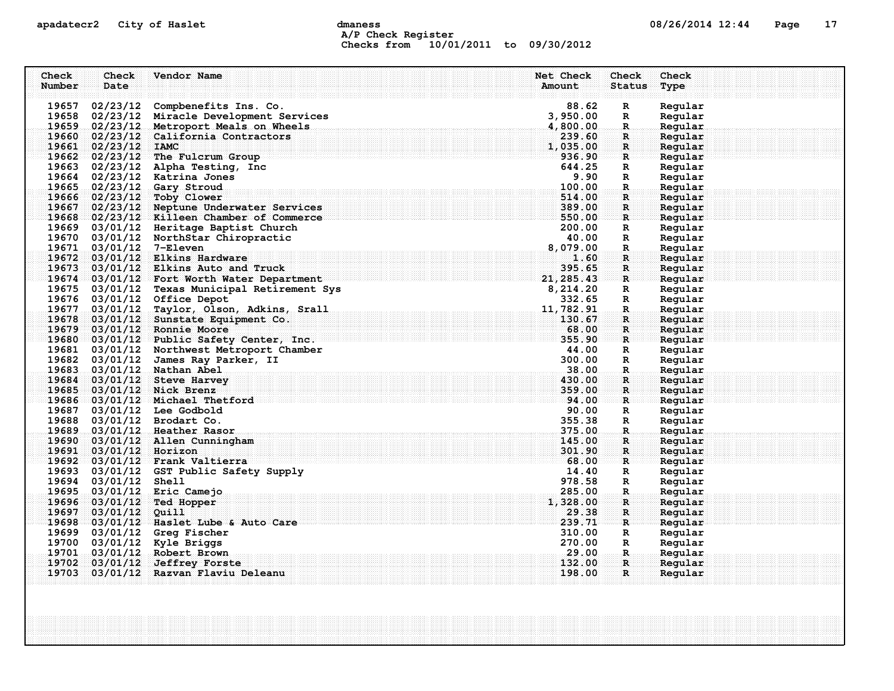## apadatecr2 City of Haslet dmaness dmaness and the control of the 17 control of the Page 17 A/P Check Register Checks from 10/01/2011 to 09/30/2012

| Check  | Check                   | Vendor Name                                                                                                                                      | Net Check | Check                | Check              |
|--------|-------------------------|--------------------------------------------------------------------------------------------------------------------------------------------------|-----------|----------------------|--------------------|
| Number | Date                    |                                                                                                                                                  | Amount    | <b>Status</b>        | Type               |
|        |                         | 19657 02/23/12 Compbenefits Ins. Co.                                                                                                             | 88.62     |                      | Regular            |
|        |                         | 19658 02/23/12 Miracle Development Services                                                                                                      | 3,950.00  | R<br>R               | Regular            |
|        |                         | 19659 02/23/12 Metroport Meals on Wheels                                                                                                         | 4,800.00  | $\mathbf R$          | Regular            |
|        |                         | 19660 02/23/12 California Contractors                                                                                                            | 239.60    | $\mathbf{R}$         | Regular            |
|        | 19661 02/23/12 IAMC     |                                                                                                                                                  | 1,035.00  | $\mathbf{R}$         | Regular            |
|        |                         | 19662 02/23/12 The Fulcrum Group                                                                                                                 | 936.90    | $\mathbf{R}$         | Regular            |
|        |                         | 19663 02/23/12 Alpha Testing, Inc                                                                                                                | 644.25    | R                    | Regular            |
|        |                         | 19664 02/23/12 Katrina Jones                                                                                                                     | 9.90      | R                    | Regular            |
|        |                         | 19665 02/23/12 Gary Stroud                                                                                                                       | 100.00    | $\mathbf R$ .        | Regular            |
|        |                         | 19666 02/23/12 Toby Clower                                                                                                                       | 514.00    | R.                   | Regular            |
| 19667  |                         | 02/23/12 Neptune Underwater Services                                                                                                             | 389.00    | $\mathbf R$          | Regular            |
|        |                         | 19668 02/23/12 Killeen Chamber of Commerce                                                                                                       | 550.00    | $\mathbf{R}$         | Regular            |
|        |                         | 19669 03/01/12 Heritage Baptist Church                                                                                                           | 200.00    | R                    | Regular            |
|        |                         | 19670 03/01/12 NorthStar Chiropractic                                                                                                            | 40.00     | $\mathbb{R}$         | Regular            |
|        | 19671 03/01/12 7-Eleven |                                                                                                                                                  | 8,079.00  | R.                   | Regular            |
|        |                         | 19672 03/01/12 Elkins Hardware                                                                                                                   | 1.60      | R                    | Regular            |
|        |                         | 19673 03/01/12 Elkins Auto and Truck                                                                                                             | 395.65    | $\mathbf{R}$         | Regular            |
|        |                         | 21, 285. 43<br>19674 03/01/12 Fort Worth Water Department                                                                                        |           | R                    | Regular            |
|        |                         | 19675 03/01/12 Texas Municipal Retirement Sys                                                                                                    | 8,214.20  | R                    | Regular            |
|        |                         | 19676 03/01/12 Office Depot                                                                                                                      | 332.65    | $\mathbf R$          | Regular            |
|        |                         | 19677 03/01/12 Taylor, Olson, Adkins, Srall                                                                                                      | 11,782.91 | $\mathbf{R}$         | Regular            |
|        |                         | 19678 03/01/12 Sunstate Equipment Co.                                                                                                            | 130.67    | $\mathbf R$          | Reqular            |
|        |                         | 19679 03/01/12 Ronnie Moore                                                                                                                      | 68.00     | $\mathbf{R}$         | Regular            |
|        |                         | 19680 03/01/12 Public Safety Center, Inc.                                                                                                        | 355.90    | R                    | Regular            |
|        |                         | 19681 03/01/12 Northwest Metroport Chamber                                                                                                       | 44.00     | R                    | Regular            |
|        |                         | 19682 03/01/12 James Ray Parker, II                                                                                                              | 300.00    | R                    | Regular            |
| 19683  |                         | $03/01/12$ Nathan Abel                                                                                                                           |           | $\mathbf R$          | Regular            |
| 19684  |                         | $03/01/12$ Steve Harvey                                                                                                                          | 430.00    | R                    | Regular            |
|        |                         | 19685 03/01/12 Nick Brenz<br>$\overline{\mathbf{54.00}}$<br>19686 03/01/12 Michael Thetford                                                      | 359.00    | R                    | Regular            |
|        |                         | 19687 03/01/12 Lee Godbold                                                                                                                       | 90.00     | R                    | Regular<br>Regular |
|        |                         | 19688 03/01/12 Brodart Co.                                                                                                                       | 355.38    | R<br>R               | Regular            |
|        |                         | 19689 03/01/12 Heather Rasor                                                                                                                     | 375.00    | $\mathbf{R}$         | Regular            |
|        |                         | 19690 03/01/12 Allen Cunningham                                                                                                                  | 145.00    | R                    | Regular            |
|        | 19691 03/01/12 Horizon  |                                                                                                                                                  | 301.90    | $\mathbf{R}$         | Regular            |
|        |                         | a a composito de la construcción de la construcción de la construcción de la construcción de la construcción d<br>19692 03/01/12 Frank Valtierra |           | R                    | Regular            |
|        |                         | 19693 03/01/12 GST Public Safety Supply                                                                                                          | 14.40     | R                    | Regular            |
|        | 19694 03/01/12 Shell    |                                                                                                                                                  | 978.58    | $\mathbb{R}$         | Regular            |
|        |                         | 19695 03/01/12 Eric Camejo                                                                                                                       | 285.00    | $\mathbf{R}_{\cdot}$ | Regular            |
| 19696  |                         | $03/01/12$ Ted Hopper                                                                                                                            | 1,328.00  | $\mathbf{R}$         | Reqular            |
|        | 19697 03/01/12 Quill    |                                                                                                                                                  | 29.38     | R                    | Regular            |
|        |                         | 19698 03/01/12 Haslet Lube & Auto Care                                                                                                           | 239.71    | $\mathbf{R}$         | Reqular            |
|        |                         | 19699 03/01/12 Greg Fischer                                                                                                                      | 310.00    | R                    | Regular            |
|        |                         | 19700 03/01/12 Kyle Briggs                                                                                                                       | 270.00    | R                    | Regular            |
|        |                         | 19701 03/01/12 Robert Brown                                                                                                                      | 29.00     | R.                   | Regular            |
|        |                         | 19702 03/01/12 Jeffrey Forste                                                                                                                    | 132.00    | $\mathbf{R}$         | Regular            |
| 19703  |                         | 03/01/12 Razvan Flaviu Deleanu                                                                                                                   | 198.00    | $\mathbf{R}$         | Regular            |
|        |                         |                                                                                                                                                  |           |                      |                    |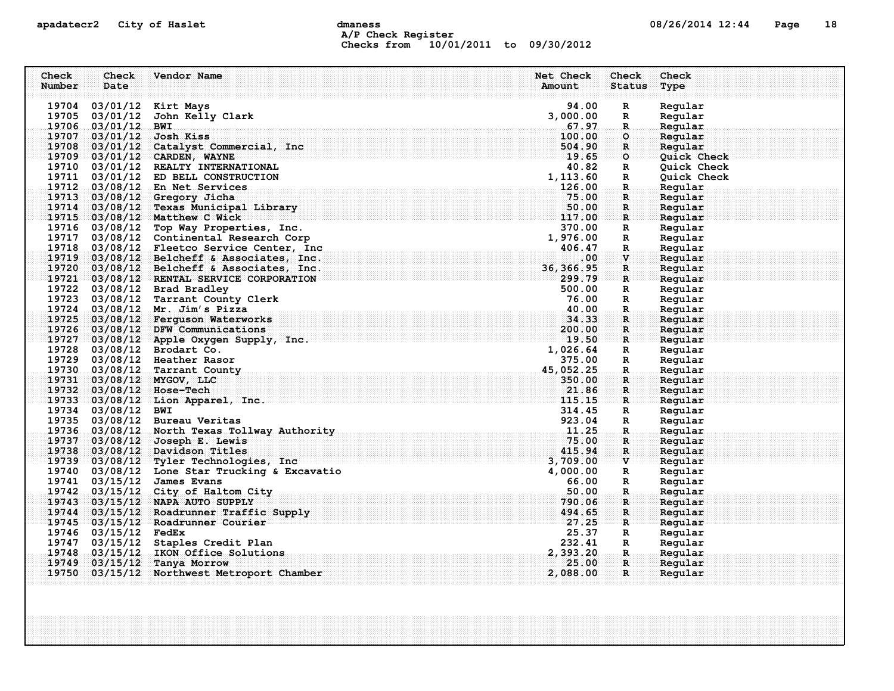## apadatecr2 City of Haslet compound dmaness compound the definition of the compound of the Page 18 A/P Check Register Checks from 10/01/2011 to 09/30/2012

| Check  | Check                            | Vendor Name                                                   | Net Check                                                                                                                         | Check                       | Check              |
|--------|----------------------------------|---------------------------------------------------------------|-----------------------------------------------------------------------------------------------------------------------------------|-----------------------------|--------------------|
| Number | Date                             |                                                               | Amount                                                                                                                            | <b>Status</b>               | Type               |
|        |                                  |                                                               |                                                                                                                                   |                             |                    |
|        |                                  | 19704 03/01/12 Kirt Mays                                      | 94.00                                                                                                                             | $\mathbf R$                 | Regular            |
|        | 19705 03/01/12<br>19706 03/01/12 | John Kelly Clark<br><b>BWI</b>                                | 3,000.00<br>67.97                                                                                                                 | R<br>$\mathbf R$            | Regular<br>Regular |
| 19707  |                                  | 03/01/12 Josh Kiss                                            | 100.00                                                                                                                            | $\circ$                     | Regular            |
| 19708  |                                  | 03/01/12 Catalyst Commercial, Inc                             | 504.90                                                                                                                            | $\mathbf{R}$                | Regular            |
|        |                                  | 19709 03/01/12 CARDEN, WAYNE                                  | $\mathbf{19.65}$                                                                                                                  | $\bullet$                   | Quick Check        |
|        |                                  | 19710 03/01/12 REALTY INTERNATIONAL                           | 40.82                                                                                                                             | R                           | Quick Check        |
|        |                                  | 19711 03/01/12 ED BELL CONSTRUCTION                           | 1,113.60                                                                                                                          | $\mathbb{R}$                | Quick Check        |
|        |                                  | 19712 03/08/12 En Net Services                                | 126.00                                                                                                                            | $\mathbf R$                 | Regular            |
|        |                                  | 19713 03/08/12 Gregory Jicha                                  | 75.00                                                                                                                             | $\mathbf{R}$                | Regular            |
|        |                                  | 19714 03/08/12 Texas Municipal Library                        | 50.00                                                                                                                             | $\mathbf{R}$                | Regular            |
|        |                                  | 19715 03/08/12 Matthew C Wick                                 | 117.00                                                                                                                            | $\mathbf{R}$                | Regular            |
|        |                                  | 19716 03/08/12 Top Way Properties, Inc.                       | 370.00                                                                                                                            | R                           | Regular            |
|        |                                  | 19717 03/08/12 Continental Research Corp                      | 1,976.00                                                                                                                          | R                           | Regular            |
|        |                                  | 19718 03/08/12 Fleetco Service Center, Inc.                   | 406.47                                                                                                                            | R.                          | Regular            |
| 19719  |                                  | 03/08/12 Belcheff & Associates, Inc.                          | .00                                                                                                                               | $\mathbf{v}$                | Regular            |
| 19720  |                                  | 03/08/12 Belcheff & Associates, Inc.                          | 36, 366.95                                                                                                                        | $\mathbf R$                 | Regular            |
|        |                                  | 19721 03/08/12 RENTAL SERVICE CORPORATION                     | 299.79                                                                                                                            | $\mathbf{R}$                | Regular            |
|        |                                  | 19722 03/08/12 Brad Bradley                                   | 500.00                                                                                                                            | $\mathbf R$                 | Regular            |
|        |                                  | 19723 03/08/12 Tarrant County Clerk                           | 76.00                                                                                                                             | $\mathbf{R}$                | Regular            |
|        |                                  | 19724 03/08/12 Mr. Jim's Pizza                                |                                                                                                                                   | $\mathbf R$                 | Regular            |
|        |                                  | 19725 03/08/12 Ferguson Waterworks                            | 34.33                                                                                                                             | $\mathbf R$                 | Regular            |
|        |                                  | 19726 03/08/12 DFW Communications                             | 200.00<br>. The contract of the contract of $\mathbf{19.50}$                                                                      | $\mathbf{R}$                | Regular            |
|        |                                  | 19727 03/08/12 Apple Oxygen Supply, Inc.                      |                                                                                                                                   | $\mathbf{R}$                | Regular            |
|        |                                  | 19728 03/08/12 Brodart Co.                                    | 1,026.64                                                                                                                          | $\mathbf R$                 | Regular            |
|        |                                  | 19729 03/08/12 Heather Rasor<br>19730 03/08/12 Tarrant County | 375.00<br>45,052.25                                                                                                               | $\mathbb{R}$                | Regular            |
| 19731  |                                  | 03/08/12 MYGOV, LLC                                           | 350.00                                                                                                                            | $\mathbf R$<br>$\mathbf{R}$ | Regular<br>Regular |
|        |                                  | 19732 03/08/12 Hose-Tech                                      | 21.86                                                                                                                             | $\mathbf{R}$                | Regular            |
|        |                                  | 19733 03/08/12 Lion Apparel, Inc.                             | 115.15                                                                                                                            | $\mathbf{R}$ :              | Reqular            |
|        | 19734 03/08/12 BWI               |                                                               | 314.45                                                                                                                            | R                           | Regular            |
|        |                                  | 19735 03/08/12 Bureau Veritas                                 | 923.04                                                                                                                            | R                           | Regular            |
|        |                                  | 19736 03/08/12 North Texas Tollway Authority                  |                                                                                                                                   | $\mathbf R$                 | Regular            |
|        |                                  | 19737 03/08/12 Joseph E. Lewis                                | 75.00                                                                                                                             | $\mathbf R$                 | Regular            |
|        |                                  | 19738 03/08/12 Davidson Titles                                | 415.94                                                                                                                            | $\mathbf{R}$                | Regular            |
|        |                                  | 19739 03/08/12 Tyler Technologies, Inc.                       | <u> Handels and Handels and Handels and Handels and Handels and Handels and Handels and Handels and Handels and H</u><br>3,709.00 | $\mathbf{v}$                | Reqular            |
|        |                                  | 19740 03/08/12 Lone Star Trucking & Excavatio                 | 4,000.00                                                                                                                          | $\mathbf R$                 | Regular            |
|        |                                  | 19741 03/15/12 James Evans                                    | 66.00                                                                                                                             | $\mathbf R$                 | Regular            |
|        |                                  | 19742 03/15/12 City of Haltom City                            | 50.00                                                                                                                             | $\mathbf R$                 | Regular            |
|        |                                  | 19743 03/15/12 NAPA AUTO SUPPLY                               |                                                                                                                                   | R                           | Regular            |
|        |                                  | 19744 03/15/12 Roadrunner Traffic Supply                      |                                                                                                                                   | $\mathbf R$                 | Regular            |
|        |                                  | 19745 03/15/12 Roadrunner Courier                             | $790.06$<br>$494.65$<br>$27.25$                                                                                                   | R                           | Regular            |
|        | 19746 03/15/12 FedEx             |                                                               | 25.37                                                                                                                             | R                           | Regular            |
|        | 19747 03/15/12                   | Staples Credit Plan                                           | 232.41                                                                                                                            | $\mathbf R$                 | Regular            |
|        |                                  | 19748 03/15/12 IKON Office Solutions                          | 2,393.20                                                                                                                          | $\mathbf{R}$ .              | Regular            |
| 19749  |                                  | $03/15/12$ Tanya Morrow                                       | 25.00                                                                                                                             | $\mathbf{R}$                | Reqular            |
|        |                                  | 19750 03/15/12 Northwest Metroport Chamber                    | 2,088.00                                                                                                                          | $\mathbf{R}$                | Regular            |
|        |                                  |                                                               |                                                                                                                                   |                             |                    |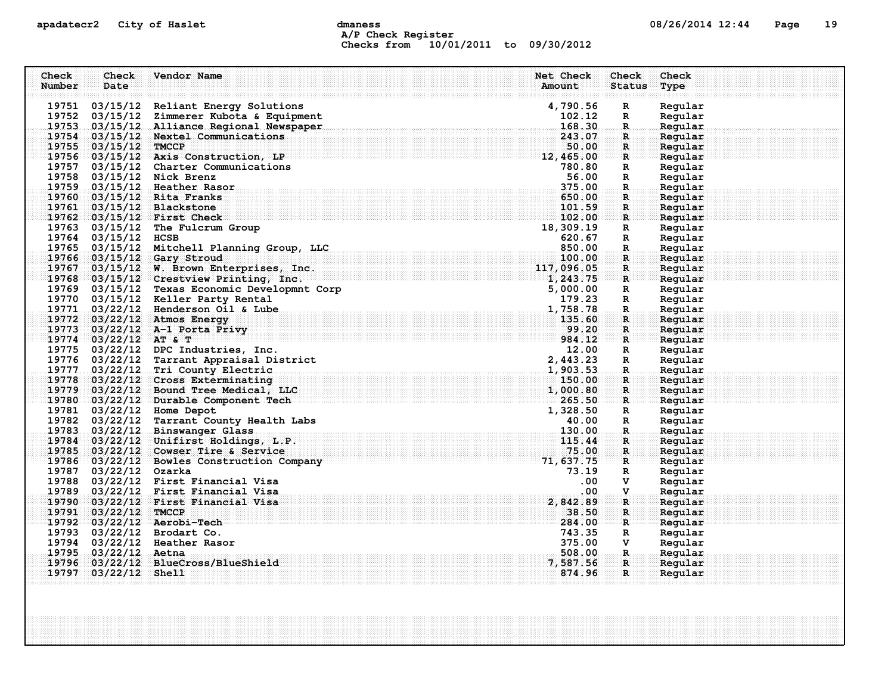## apadatecr2 City of Haslet compound dmaness compound the definition of the compound of the Page 19 A/P Check Register Checks from 10/01/2011 to 09/30/2012

| Check  | Check                   | Vendor Name                                   | Net Check        | Check         | Check              |
|--------|-------------------------|-----------------------------------------------|------------------|---------------|--------------------|
| Number | Date                    |                                               | Amount           | <b>Status</b> | Type               |
|        |                         |                                               |                  |               |                    |
|        |                         | 19751 03/15/12 Reliant Energy Solutions       | 4,790.56         | $\mathbf R$   | Regular            |
|        |                         | 19752 03/15/12 Zimmerer Kubota & Equipment    | 102.12<br>168.30 | $\mathbb{R}$  | Regular            |
|        |                         | 19753 03/15/12 Alliance Regional Newspaper    | 243.07           | $\mathbb{R}$  | Regular<br>Regular |
|        | 19755 03/15/12 TMCCP    | 19754 03/15/12 Nextel Communications          | 50.00            | R<br>R        | Regular            |
|        |                         | $19756$ 03/15/12 Axis Construction, LP        | 12,465.00        | $\mathbf{R}$  | Regular            |
|        |                         | 19757 03/15/12 Charter Communications         | 780.80           | R             | Regular            |
|        |                         | 19758 03/15/12 Nick Brenz                     | 56.00            | $\mathbb{R}$  | Regular            |
|        |                         | 19759 03/15/12 Heather Rasor                  | 375.00           | R.            | Regular            |
|        |                         | 19760 03/15/12 Rita Franks                    | 650.00           | $\mathbf R$   | Regular            |
|        |                         | 19761 03/15/12 Blackstone                     | 101.59           | R             | Regular            |
|        |                         | 19762 03/15/12 First Check                    | 102.00           | $\mathbf{R}$  | Regular            |
|        |                         | 19763 03/15/12 The Fulcrum Group              | 18,309.19        | $\mathbb{R}$  | Regular            |
|        | 19764 03/15/12 HCSB     |                                               | 620.67           | R             | Regular            |
|        |                         | 19765 03/15/12 Mitchell Planning Group, LLC   | 850.00           | $\mathbf{R}$  | Regular            |
|        |                         | 19766 03/15/12 Gary Stroud                    | 100.00           | $\mathbf{R}$  | Regular            |
|        |                         | 19767 03/15/12 W. Brown Enterprises, Inc.     | 117,096.05       | $\mathbf{R}$  | Regular            |
|        |                         | 19768 03/15/12 Crestview Printing, Inc.       |                  | $\mathbf{R}$  | Regular            |
|        |                         | 19769 03/15/12 Texas Economic Developmnt Corp | 5,000.00         | R             | Regular            |
|        |                         | 19770 03/15/12 Keller Party Rental            | 179.23           | R             | Regular            |
|        |                         | 19771 03/22/12 Henderson Oil & Lube           | 1,758.78         | R.            | Regular            |
|        |                         | 19772 03/22/12 Atmos Energy                   | 135.60           | R             | Regular            |
|        |                         | 19773 03/22/12 A-1 Porta Privy                | 99.20            | $\mathbf{R}$  | Regular            |
|        | $19774$ 03/22/12 AT & T |                                               | 984.12           | R             | Regular            |
|        |                         | 19775 03/22/12 DPC Industries, Inc.           | 12.00            | $\mathbb{R}$  | Regular            |
|        |                         | 19776 03/22/12 Tarrant Appraisal District     | 2,443.23         | $\mathbf{R}$  | Regular            |
|        |                         | 19777 03/22/12 Tri County Electric            | 1,903.53         | $\mathbf R$   | Regular            |
|        |                         | 19778 03/22/12 Cross Exterminating            | 150.00           | $\mathbf R$   | Regular            |
|        |                         | 19779 03/22/12 Bound Tree Medical, LLC        | 1,000.80         | $\mathbf{R}$  | Regular            |
|        |                         | 19780 03/22/12 Durable Component Tech         | 265.50           | $\mathbf R$   | Reqular            |
|        |                         | 19781 03/22/12 Home Depot                     | 1,328.50         | $\mathbf R$   | Regular            |
|        |                         | 19782 03/22/12 Tarrant County Health Labs     | 40.00            | R             | Regular            |
|        |                         | 19783 03/22/12 Binswanger Glass               | 130.00           | $\mathbf R$ . | Regular            |
|        |                         | 19784 03/22/12 Unifirst Holdings, L.P.        | 115.44           | R             | Reqular            |
|        |                         | 19785 03/22/12 Cowser Tire & Service          | 75.00            | $\mathbf{R}$  | Regular            |
|        |                         | 19786 03/22/12 Bowles Construction Company    | 71,637.75        | R             | Reqular            |
|        | 19787 03/22/12 Ozarka   |                                               | 73.19            | R             | Regular            |
|        |                         | 19788 03/22/12 First Financial Visa           | .00              | v             | Regular            |
|        |                         | 19789 03/22/12 First Financial Visa           | .00.             | V.            | Regular            |
|        |                         | 19790 03/22/12 First Financial Visa           | 2,842.89         | $\mathbf R$   | Regular            |
|        | 19791 03/22/12 TMCCP    |                                               | 38.50            | R             | Regular            |
|        |                         | 19792 03/22/12 Aerobi-Tech                    | 284.00           | $\mathbf{R}$  | Regular            |
|        |                         | 19793 03/22/12 Brodart Co.                    | 743.35           | $\mathbf{R}$  | Regular            |
|        |                         | 19794 03/22/12 Heather Rasor                  | 375.00           | v             | Regular            |
|        | 19795 03/22/12 Aetna    |                                               | 508.00           | R.            | Regular            |
|        |                         | 19796 03/22/12 BlueCross/BlueShield           | 7,587.56         | R             | Regular            |
|        | 19797 03/22/12 Shell    |                                               | 874.96           | $\mathbf{R}$  | Regular            |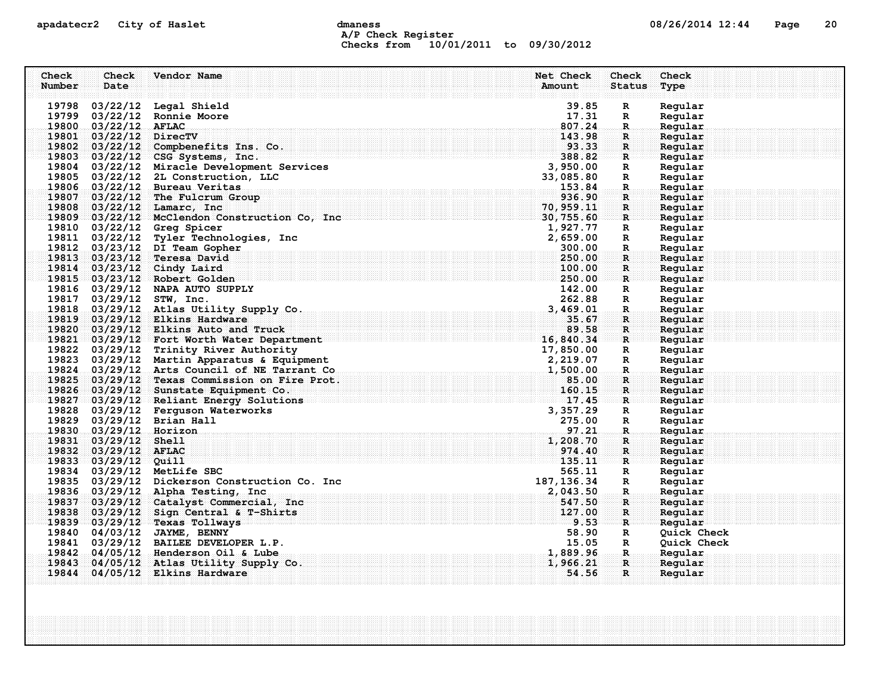## apadatecr2 City of Haslet computer dmaness computer dmanus dmaness computer of  $08/26/2014$  12:44 Page 20 A/P Check Register Checks from 10/01/2011 to 09/30/2012

| Check  | Check                  | Vendor Name                                                                                   | Net Check         | Check                         | Check              |
|--------|------------------------|-----------------------------------------------------------------------------------------------|-------------------|-------------------------------|--------------------|
| Number | Date                   |                                                                                               | Amount            | <b>Status</b>                 | Type               |
|        |                        | 19798 03/22/12 Legal Shield                                                                   | 39.85             |                               |                    |
|        |                        | 19799 03/22/12 Ronnie Moore                                                                   | 17.31             | $\mathbb{R}$<br>R             | Regular<br>Regular |
|        | 19800 03/22/12 AFLAC   |                                                                                               | 807.24            | $\mathbf{R}$                  | Regular            |
|        | 19801 03/22/12 DirecTV |                                                                                               | 143.98            | R                             | Regular            |
|        |                        | 19802 03/22/12 Compbenefits Ins. Co.                                                          | 93.33             | R                             | Regular            |
|        |                        | 19803 03/22/12 CSG Systems, Inc.                                                              | 388.82            | $\mathbf{R}$                  | Regular            |
|        |                        | 19804 03/22/12 Miracle Development Services                                                   | 3,950.00          | $\mathbb{R}$                  | Regular            |
|        |                        | 19805 03/22/12 2L Construction, LLC                                                           | 33,085.80         | $\mathbb{R}$                  | Regular            |
|        |                        | 19806 03/22/12 Bureau Veritas                                                                 | 153.84            | $\mathbf R$                   | Regular            |
|        |                        | 19807 03/22/12 The Fulcrum Group                                                              | 936.90            | R                             | Regular            |
|        |                        | 19808 03/22/12 Lamarc, Inc                                                                    | 70, 959.11        | R                             | Regular            |
|        |                        | 19809 03/22/12 McClendon Construction Co, Inc                                                 | 30,755.60         | $\mathbf{R}$                  | Regular            |
|        |                        | 19810 03/22/12 Greg Spicer                                                                    | 1,927.77          | R                             | Regular            |
|        |                        | 19811 03/22/12 Tyler Technologies, Inc                                                        | 2,659.00          | R                             | Regular            |
|        |                        | 19812 03/23/12 DI Team Gopher                                                                 | 300.00            | $\mathbf{R}$                  | Regular            |
|        |                        | 19813 03/23/12 Teresa David                                                                   | 250.00            | R                             | Regular            |
|        |                        | 19814 03/23/12 Cindy Laird                                                                    | 100.00            | R.                            | Regular            |
|        |                        | 19815 03/23/12 Robert Golden                                                                  | 250.00            | $\mathbf R$                   | Regular            |
|        |                        | 19816 03/29/12 NAPA AUTO SUPPLY                                                               | 142.00            | R                             | Regular            |
|        |                        | 19817 03/29/12 STW, Inc.                                                                      | 262.88            | R                             | Regular            |
|        |                        | 19818 03/29/12 Atlas Utility Supply Co.                                                       | 3,469.01          | R.                            | Regular            |
|        |                        | 19819 03/29/12 Elkins Hardware                                                                | 35.67             | R                             | Regular            |
|        |                        | 19820 03/29/12 Elkins Auto and Truck                                                          | 89.58             | R                             | Regular            |
|        |                        | 19821 03/29/12 Fort Worth Water Department                                                    | 16,840.34         | $\mathbf{R}$                  | Regular            |
|        |                        | 19822 03/29/12 Trinity River Authority                                                        | 17,850.00         | $\mathbb{R}$                  | Regular            |
|        |                        | 19823 03/29/12 Martin Apparatus & Equipment                                                   | 2,219.07          | R                             | Regular            |
|        |                        | 19824 03/29/12 Arts Council of NE Tarrant Co<br>19825 03/29/12 Texas Commission on Fire Prot. | 1,500.00<br>85.00 | $\mathbf{R}_\odot$            | Regular<br>Regular |
|        |                        | 19826 03/29/12 Sunstate Equipment Co.                                                         | 160.15            | $\mathbf R$ :<br>$\mathbf{R}$ | Regular            |
|        |                        | 19827 03/29/12 Reliant Energy Solutions                                                       | 17.45             | R                             | Regular            |
|        |                        | 19828 03/29/12 Ferguson Waterworks                                                            | 3,357.29          | R                             | Regular            |
|        |                        | 19829 03/29/12 Brian Hall                                                                     | 275.00            | R                             | Regular            |
|        | 19830 03/29/12 Horizon |                                                                                               | 97.21             | R.                            | Regular            |
|        | 19831 03/29/12 Shell   |                                                                                               | 1,208.70          | R                             | Regular            |
|        | 19832 03/29/12 AFLAC   |                                                                                               | 974.40            | R                             | Regular            |
|        | 19833 03/29/12 Quill   |                                                                                               | 135.11            | $\mathbf{R}$                  | Regular            |
|        |                        | 19834 03/29/12 MetLife SBC                                                                    | 565.11            | $\mathbf{R}$                  | Regular            |
|        |                        | 19835 03/29/12 Dickerson Construction Co. Inc                                                 | 187, 136.34       | R                             | Regular            |
|        |                        | 19836 03/29/12 Alpha Testing, Inc.                                                            | 2,043.50          | R.                            | Regular            |
|        |                        | 19837 03/29/12 Catalyst Commercial, Inc.                                                      | 547.50            | R                             | Regular            |
|        |                        | 19838 03/29/12 Sign Central & T-Shirts                                                        | 127.00            | $\mathbf R$                   | Regular            |
|        |                        | 19839 03/29/12 Texas Tollways                                                                 | 9.53              | $\mathbf{R}$                  | Regular            |
|        |                        | 19840 04/03/12 JAYME, BENNY                                                                   | 58.90             | $\mathbf{R}$                  | Quick Check        |
|        |                        | 19841 03/29/12 BAILEE DEVELOPER L.P.                                                          | 15.05             | $\mathbb{R}$                  | Quick Check        |
|        |                        | 19842 04/05/12 Henderson Oil & Lube                                                           | 1,889.96          | $\mathbf R$ .                 | Regular            |
| 19843  |                        | 04/05/12 Atlas Utility Supply Co.                                                             | 1,966.21          | R                             | Reqular            |
|        |                        | 19844 04/05/12 Elkins Hardware                                                                | 54.56             | $\mathbf{R}$                  | Regular            |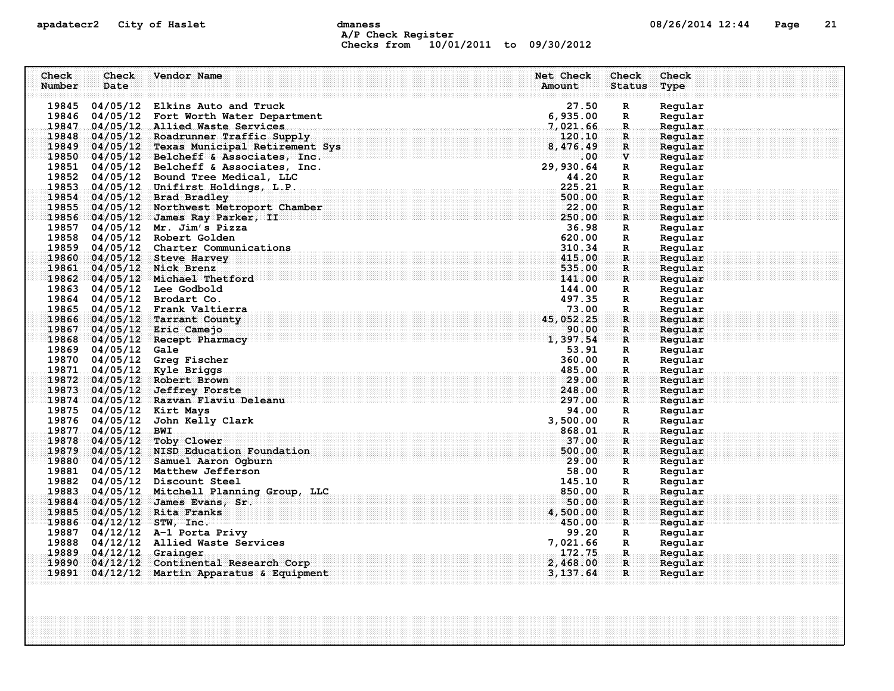## apadatecr2 City of Haslet control dmaness control dmaness control and 08/26/2014 12:44 Page 21 A/P Check Register Checks from 10/01/2011 to 09/30/2012

| Check  | Check                   | Vendor Name                                                                    | Net Check        | Check             | Check              |
|--------|-------------------------|--------------------------------------------------------------------------------|------------------|-------------------|--------------------|
| Number | Date                    |                                                                                | Amount           | <b>Status</b>     | Type               |
|        |                         | 19845 04/05/12 Elkins Auto and Truck                                           | 27.50            | $\mathbb{R}$      | Regular            |
|        |                         | 19846 04/05/12 Fort Worth Water Department                                     | 6,935.00         | R                 | Regular            |
|        |                         | 19847 04/05/12 Allied Waste Services                                           | 7,021.66         | $\mathbf R$       | Regular            |
|        |                         | 19848 04/05/12 Roadrunner Traffic Supply                                       | 120.10           | R                 | Regular            |
|        |                         | 19849 04/05/12 Texas Municipal Retirement Sys                                  | 8,476.49         | R                 | Regular            |
|        |                         | 19850 04/05/12 Belcheff & Associates, Inc.                                     | $.00 \,$         | $\mathbf{V}$      | Regular            |
|        |                         | 19851 04/05/12 Belcheff & Associates, Inc.                                     | 29,930.64        | R                 | Regular            |
|        |                         | 19852 04/05/12 Bound Tree Medical, LLC                                         | 44.20            | $\mathbb{R}$      | Regular            |
|        |                         | 19853 04/05/12 Unifirst Holdings, L.P.                                         | 225.21           | $\mathbf{R}$      | Regular            |
|        |                         | 19854 04/05/12 Brad Bradley                                                    | 500.00           | R                 | Regular            |
|        |                         | 19855 04/05/12 Northwest Metroport Chamber                                     | 22.00            | R                 | Regular            |
|        |                         | 19856 04/05/12 James Ray Parker, II                                            | 250.00           | $\mathbf{R}$      | Regular            |
|        |                         | 19857 04/05/12 Mr. Jim's Pizza                                                 | 36.98            | R                 | Regular            |
|        |                         | 19858 04/05/12 Robert Golden                                                   | 620.00           | R                 | Regular            |
|        |                         | 19859 04/05/12 Charter Communications                                          | 310.34           | R                 | Regular            |
|        |                         | 19860 04/05/12 Steve Harvey                                                    | 415.00           | R                 | Regular            |
|        |                         | 19861 04/05/12 Nick Brenz                                                      | 535.00           | R.                | Regular            |
|        |                         | 19862 04/05/12 Michael Thetford                                                | 141.00<br>144.00 | $\mathbf{R}$      | Regular            |
|        |                         | 19863 04/05/12 Lee Godbold<br>19864 04/05/12 Brodart Co.                       | 497.35           | R<br>R            | Regular<br>Regular |
|        |                         | 19865 04/05/12 Frank Valtierra                                                 | 73.00            | R.                | Regular            |
|        |                         | 19866 04/05/12 Tarrant County                                                  | 45,052.25        | R                 | Regular            |
|        |                         | 19867 04/05/12 Eric Camejo                                                     | 90.00            | R                 | Regular            |
|        |                         | 19868 04/05/12 Recept Pharmacy                                                 | 1,397.54         | $\mathbf{R}$      | Regular            |
|        | 19869 04/05/12 Gale     |                                                                                | 53.91            | $\mathbb{R}$      | Regular            |
|        |                         | 19870 04/05/12 Greg Fischer                                                    | 360.00           | $\mathbb{R}$      | Regular            |
|        |                         | 19871 04/05/12 Kyle Briggs                                                     | 485.00           | $\mathbf R$       | Regular            |
|        |                         | 19872 04/05/12 Robert Brown                                                    | 29.00            | R                 | Regular            |
|        |                         | 19873 04/05/12 Jeffrey Forste                                                  | 248.00           | $\mathbf{R}$      | Regular            |
|        |                         | 19874 04/05/12 Razvan Flaviu Deleanu                                           | 297.00           | R                 | Regular            |
|        |                         | 19875 04/05/12 Kirt Mays                                                       | 94.00            | $\mathbb{R}$      | Regular            |
|        |                         | 19876 04/05/12 John Kelly Clark                                                | 3,500.00         | R                 | Regular            |
|        | 19877 04/05/12 BWI      |                                                                                | 868.01           | R.                | Regular            |
|        |                         | 19878 04/05/12 Toby Clower                                                     | 37.00            | R                 | Regular            |
|        |                         | 19879 04/05/12 NISD Education Foundation                                       | 500.00           | $\mathbf{R}$      | Regular            |
|        |                         | 19880 04/05/12 Samuel Aaron Ogburn                                             | 29.00            | $\mathbf{R}$      | Regular            |
|        |                         | 19881 04/05/12 Matthew Jefferson                                               | 58.00            | R                 | Regular            |
|        |                         | 19882 04/05/12 Discount Steel                                                  | 145.10<br>850.00 | R                 | Regular<br>Regular |
|        |                         | 19883 04/05/12 Mitchell Planning Group, LLC<br>19884 04/05/12 James Evans, Sr. | 50.00            | $\mathbf{R}$<br>R | Regular            |
|        |                         | 19885 04/05/12 Rita Franks                                                     | 4,500.00         | $\mathbf R$       | Regular            |
|        |                         | 19886 04/12/12 STW, Inc.                                                       | 450.00           | $\mathbf{R}$      | Regular            |
|        |                         | 19887 04/12/12 A-1 Porta Privy                                                 | 99.20            | R                 | Regular            |
|        |                         | 19888 04/12/12 Allied Waste Services                                           | 7,021.66         | R                 | Regular            |
|        | 19889 04/12/12 Grainger |                                                                                | 172.75           | .R.               | Regular            |
| 19890  |                         | 04/12/12 Continental Research Corp                                             | 2,468.00         | $\mathbf{R}$      | Reqular            |
|        |                         | 19891 04/12/12 Martin Apparatus & Equipment                                    | 3, 137.64        | $\mathbf{R}$      | Regular            |
|        |                         |                                                                                |                  |                   |                    |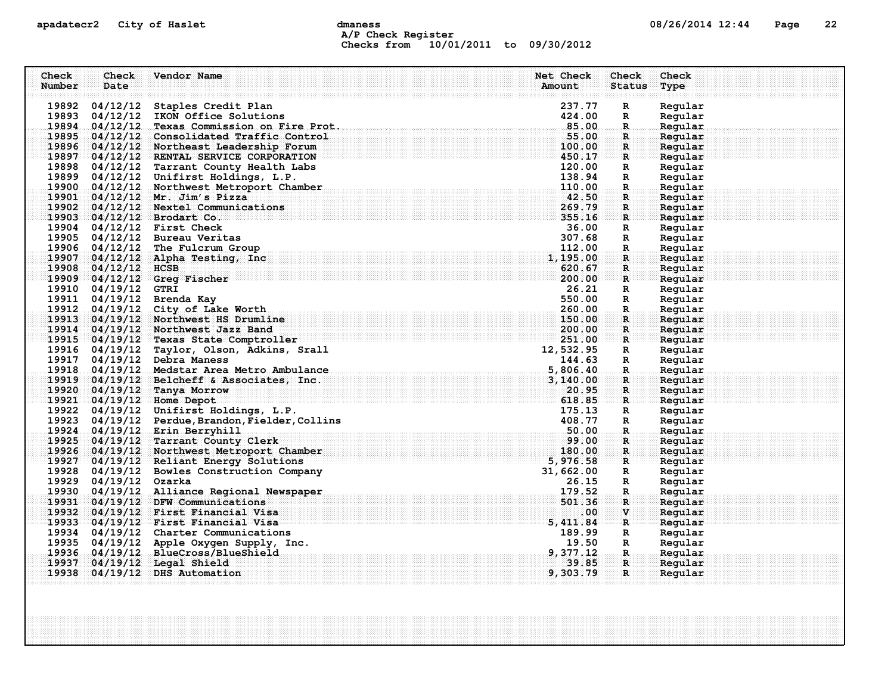## apadatecr2 City of Haslet computer dmaness computer dmaness computer of  $08/26/2014$  12:44 Page 22 A/P Check Register Checks from 10/01/2011 to 09/30/2012

| Check<br>Number | Check<br>Date         | Vendor Name                                                                                  | Net Check<br>Amount | Check<br><b>Status</b>     | Check<br>Type      |
|-----------------|-----------------------|----------------------------------------------------------------------------------------------|---------------------|----------------------------|--------------------|
|                 |                       |                                                                                              |                     |                            |                    |
|                 |                       | 19892 04/12/12 Staples Credit Plan                                                           | 237.77              | R                          | Regular            |
|                 |                       | 19893 04/12/12 IKON Office Solutions                                                         | 424.00<br>85.00     | R                          | Regular            |
|                 |                       | 19894 04/12/12 Texas Commission on Fire Prot.<br>19895 04/12/12 Consolidated Traffic Control | 55.00               | $\mathbf R$<br>$\mathbf R$ | Regular<br>Regular |
|                 |                       | 19896 04/12/12 Northeast Leadership Forum                                                    | 100.00              | $\mathbf{R}$               | Regular            |
|                 |                       | 19897 04/12/12 RENTAL SERVICE CORPORATION                                                    | 450.17              | R                          | Regular            |
|                 |                       | 19898 04/12/12 Tarrant County Health Labs                                                    | 120.00              | R                          | Regular            |
|                 |                       | 19899 04/12/12 Unifirst Holdings, L.P.                                                       | 138.94              | R                          | Regular            |
|                 |                       | 19900 04/12/12 Northwest Metroport Chamber                                                   | 110.00              | $\mathbf{R}$               | Regular            |
|                 |                       | 19901 04/12/12 Mr. Jim's Pizza                                                               | 42.50               | R.                         | Regular            |
|                 |                       | 19902 04/12/12 Nextel Communications                                                         | 269.79              | $\mathbf R$                | Regular            |
|                 |                       | 19903 04/12/12 Brodart Co.                                                                   | 355.16              | $\mathbf{R}$               | Regular            |
|                 |                       | 19904 04/12/12 First Check                                                                   | 36.00               | R                          | Regular            |
|                 |                       | 19905 04/12/12 Bureau Veritas                                                                | 307.68              | R                          | Regular            |
|                 |                       | 19906 04/12/12 The Fulcrum Group                                                             | 112.00              | $\mathbf R$                | Regular            |
|                 |                       | $19907$ 04/12/12 Alpha Testing, Inc                                                          | 1,195.00            | R                          | Regular            |
|                 | 19908 04/12/12 HCSB   |                                                                                              | 620.67              | R                          | Regular            |
|                 |                       | 19909 04/12/12 Greg Fischer                                                                  | 200.00              | R                          | Regular            |
|                 | 19910 04/19/12 GTRI   |                                                                                              | 26.21               | R                          | Regular            |
|                 |                       | 19911 04/19/12 Brenda Kay                                                                    | 550.00              | $\mathbf R$                | Regular            |
|                 |                       | 19912 04/19/12 City of Lake Worth                                                            | 260.00              | $\mathbf{R}$               | Regular            |
|                 |                       | 19913 04/19/12 Northwest HS Drumline                                                         | 150.00              | R                          | Regular            |
|                 |                       | 19914 04/19/12 Northwest Jazz Band                                                           | 200.00              | $\mathbf{R}$               | Regular            |
|                 |                       | 19915 04/19/12 Texas State Comptroller<br>19916 04/19/12 Taylor, Olson, Adkins, Srall        | 251.00<br>12,532.95 | R                          | Regular<br>Regular |
|                 |                       | 19917 04/19/12 Debra Maness                                                                  | 144.63              | R<br>$\mathbf{R}$          | Regular            |
|                 |                       | 19918 04/19/12 Medstar Area Metro Ambulance                                                  | 5,806.40            | $\mathbf R$                | Regular            |
|                 |                       | 19919 04/19/12 Belcheff & Associates, Inc.                                                   | 3,140.00            | R                          | Regular            |
|                 |                       | 19920 04/19/12 Tanya Morrow                                                                  | 20.95               | R                          | Regular            |
|                 |                       | 19921 04/19/12 Home Depot                                                                    | 618.85              | ार                         | Regular            |
|                 |                       | 19922 04/19/12 Unifirst Holdings, L.P.                                                       | 175.13              | R                          | Regular            |
|                 |                       | 19923 04/19/12 Perdue, Brandon, Fielder, Collins                                             | 408.77              | $\mathbf{R}$               | Regular            |
|                 |                       | 19924 04/19/12 Erin Berryhill                                                                | 50.00               | $\mathbf R$                | Regular            |
|                 |                       | 19925 04/19/12 Tarrant County Clerk                                                          | 99.00               | R                          | Regular            |
|                 |                       | 19926 04/19/12 Northwest Metroport Chamber                                                   | 180.00              | R                          | Regular            |
|                 |                       | 19927 04/19/12 Reliant Energy Solutions                                                      | 5,976.58            | R                          | Regular            |
|                 |                       | 19928 04/19/12 Bowles Construction Company                                                   | 31,662.00           | R                          | Regular            |
|                 | 19929 04/19/12 Ozarka |                                                                                              | 26.15               | R                          | Regular            |
|                 |                       | 19930 04/19/12 Alliance Regional Newspaper                                                   | 179.52              | R.                         | Regular            |
|                 |                       | 19931 04/19/12 DFW Communications                                                            | 501.36              | $\mathbf R$                | Regular            |
|                 |                       | 19932 04/19/12 First Financial Visa                                                          | .00.                | V                          | Regular            |
|                 |                       | 19933 04/19/12 First Financial Visa                                                          | 5, 411.84           | $\mathbf{R}$               | Regular            |
|                 |                       | 19934 04/19/12 Charter Communications                                                        | 189.99              | R                          | Regular            |
|                 |                       | 19935 04/19/12 Apple Oxygen Supply, Inc.                                                     | 19.50               | R                          | Regular            |
|                 |                       | 19936 04/19/12 BlueCross/BlueShield                                                          | 9,377.12            | -R.,                       | Regular            |
| 19937           |                       | $04/19/12$ Legal Shield                                                                      | 39.85               | $\mathbf{R}$               | Regular            |
|                 |                       | 19938 04/19/12 DHS Automation                                                                | 9,303.79            | R                          | Regular            |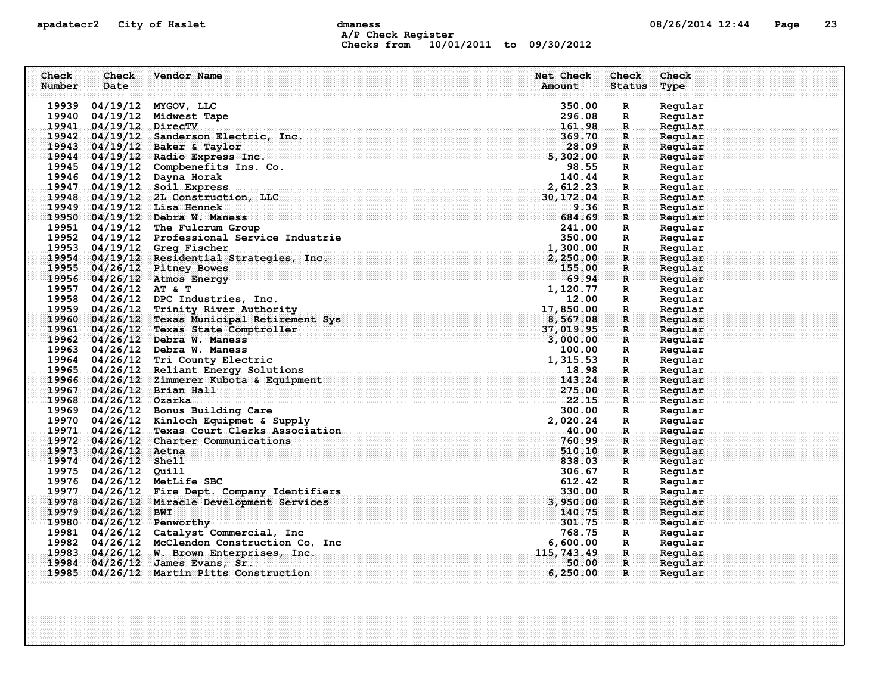## apadatecr2 City of Haslet computer dmaness computer dmaness computer of  $08/26/2014$  12:44 Page 23 A/P Check Register Checks from 10/01/2011 to 09/30/2012

| Check  | Check                  | Vendor Name                                                                             | Net Check          | Check                          | Check              |
|--------|------------------------|-----------------------------------------------------------------------------------------|--------------------|--------------------------------|--------------------|
| Number | Date                   |                                                                                         | Amount             | <b>Status</b>                  | Type               |
|        |                        |                                                                                         |                    |                                |                    |
|        |                        | 19939 04/19/12 MYGOV, LLC                                                               | 350.00             | $\mathbb{R}$                   | Regular            |
|        |                        | 19940 04/19/12 Midwest Tape                                                             | 296.08             | R                              | Regular            |
|        | 19941 04/19/12 DirecTV |                                                                                         | 161.98             | $\mathbf R$ .                  | Regular            |
|        |                        | 19942 04/19/12 Sanderson Electric, Inc.                                                 | 369.70             | $\mathbf R$ :                  | Regular            |
|        |                        | 19943 04/19/12 Baker & Taylor                                                           | 28.09              | $\mathbf{R}$                   | Regular            |
|        |                        | 19944 04/19/12 Radio Express Inc.                                                       | 5,302.00           | $\mathbf{R}$                   | Regular            |
|        |                        | 19945 04/19/12 Compbenefits Ins. Co.                                                    | 98.55              | R                              | Regular            |
|        |                        | 19946 04/19/12 Dayna Horak                                                              | 140.44             | $\mathbb{R}$                   | Regular            |
|        |                        | 19947 04/19/12 Soil Express                                                             | 2,612.23           | $\mathbf{R}$ .                 | Regular            |
|        |                        | 19948 04/19/12 2L Construction, LLC                                                     | 30,172.04          | $\mathbf{R}$                   | Regular            |
|        |                        | 19949 04/19/12 Lisa Hennek                                                              | 9.36               | $\mathbf R$                    | Regular            |
|        |                        | 19950 04/19/12 Debra W. Maness                                                          | 684.69             | $\mathbf{R}$ .                 | Regular            |
|        |                        | 19951 04/19/12 The Fulcrum Group                                                        | 241.00             | R                              | Regular            |
|        |                        | 19952 04/19/12 Professional Service Industrie                                           | 350.00             | $\mathbf{R}$                   | Regular            |
|        |                        | 19953 04/19/12 Greg Fischer<br>19954 04/19/12 Residential Strategies, Inc.              | 1,300.00           | $\mathbf R$                    | Regular            |
|        |                        |                                                                                         | 2,250.00           | $\mathbf{R}$                   | Regular            |
|        |                        | 19955 04/26/12 Pitney Bowes                                                             | 155.00<br>69.94    | $\mathbf R$                    | Regular            |
|        | 19957 04/26/12 AT & T  | 19956 04/26/12 Atmos Energy                                                             | 1,120.77           | $\mathbf{R}$                   | Regular            |
|        |                        | 19958 04/26/12 DPC Industries, Inc.                                                     |                    | $\mathbf{R}$                   | Regular<br>Regular |
|        |                        | 19959 04/26/12 Trinity River Authority                                                  | 12.00<br>17,850.00 | $\mathbf{R}$<br>$\mathbf{R}$ . | Regular            |
|        |                        | 19960 04/26/12 Texas Municipal Retirement Sys                                           | 8,567.08           | R                              | Regular            |
|        |                        | 19961 04/26/12 Texas State Comptroller                                                  | 37,019.95          | $\mathbf{R}$                   | Regular            |
|        |                        | rement Sys (1995)<br>Ler (1996)<br>Santa Carlo (1996)<br>19962 04/26/12 Debra W. Maness | 3,000.00           | $\mathbf{R}$                   | Regular            |
|        |                        | 19963 04/26/12 Debra W. Maness                                                          | 100.00             | $\mathbf R$                    | Regular            |
|        |                        | 19964 04/26/12 Tri County Electric                                                      | 1,315.53           | $\mathbb{R}$                   | Regular            |
|        |                        | 19965 04/26/12 Reliant Energy Solutions                                                 |                    | $\mathbf R$ .                  | Reqular            |
|        |                        | 19966 04/26/12 Zimmerer Kubota & Equipment                                              | 143.24             | $\mathbf R$ :                  | Regular            |
|        |                        | 19967 04/26/12 Brian Hall                                                               | 275.00             | $\mathbf{R}$                   | Regular            |
|        | 19968 04/26/12 Ozarka  |                                                                                         |                    | $\mathbf R$                    | Regular            |
|        |                        | 19969 04/26/12 Bonus Building Care                                                      | 300.00             | $\mathbf{R}$                   | Regular            |
|        |                        | 19970 04/26/12 Kinloch Equipmet & Supply                                                | 2,020.24           | $\mathbb{R}$                   | Regular            |
|        |                        | 19971 04/26/12 Texas Court Clerks Association                                           | 40.00              | $\mathbf{R}$                   | Regular            |
|        |                        | 19972 04/26/12 Charter Communications                                                   | 760.99             | $\mathbf R$                    | Regular            |
|        | 19973 04/26/12 Aetna   |                                                                                         | 510.10             | R                              | Regular            |
|        | 19974 04/26/12 Shell   |                                                                                         | 838.03             | $\mathbf{R}$                   | Regular            |
|        | 19975 04/26/12 Quill   |                                                                                         | 306.67             | $\mathbf{R}$                   | Regular            |
|        |                        | 19976 04/26/12 MetLife SBC                                                              | 612.42             | R                              | Regular            |
|        |                        | 19977 04/26/12 Fire Dept. Company Identifiers                                           | 330.00             | $\mathbf{R}$ .                 | Regular            |
|        |                        | 19978 04/26/12 Miracle Development Services                                             | 3,950.00           | R                              | Regular            |
|        | 19979 04/26/12 BWI     |                                                                                         | 140.75             | $\mathbf R$                    | Regular            |
|        |                        | 19980 04/26/12 Penworthy                                                                | 301.75             | $\mathbf{R}$                   | Regular            |
|        |                        | 19981 04/26/12 Catalyst Commercial, Inc                                                 | 768.75             | $\mathbf{R}$                   | Regular            |
|        |                        | 19982 04/26/12 McClendon Construction Co, Inc                                           | 6,600.00           | $\mathbb{R}$                   | Regular            |
|        |                        | 19983 04/26/12 W. Brown Enterprises, Inc.                                               | 115,743.49         | $\mathbf{R}_\perp$             | Regular            |
|        |                        | 19984 04/26/12 James Evans, Sr.                                                         | 50.00              | $\mathbf R$ :                  | Regular            |
|        |                        | 19985 04/26/12 Martin Pitts Construction                                                | 6, 250.00          | $\mathbf{R}$                   | Regular            |
|        |                        |                                                                                         |                    |                                |                    |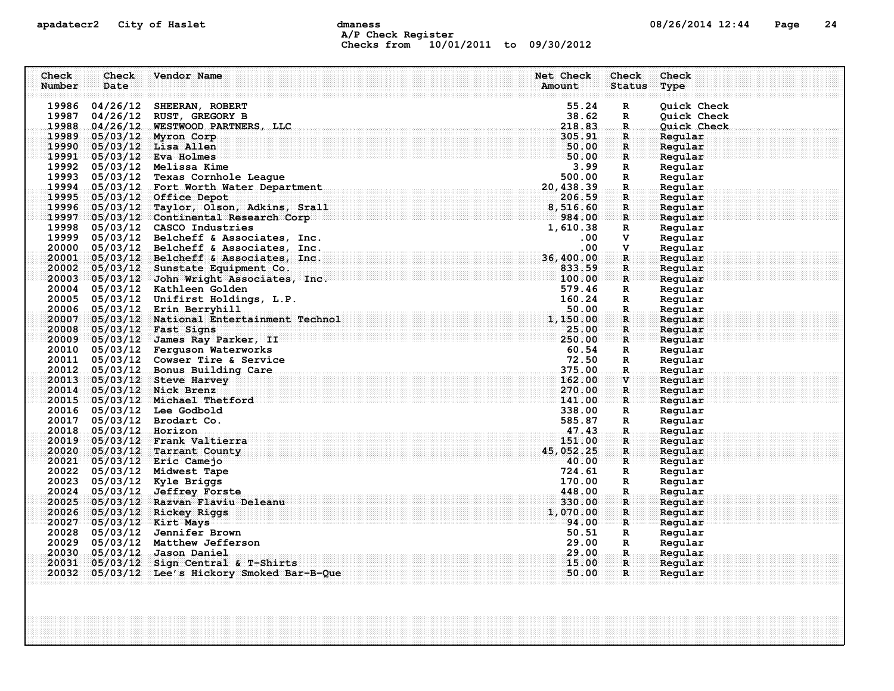## apadatecr2 City of Haslet and dmaness dmaness and the 08/26/2014 12:44 Page 24 A/P Check Register Checks from 10/01/2011 to 09/30/2012

| Check<br>Number | Check<br>Date          | Vendor Name                                                     | Net Check<br>Amount | Check<br><b>Status</b>        | Check<br>Type      |
|-----------------|------------------------|-----------------------------------------------------------------|---------------------|-------------------------------|--------------------|
|                 |                        | 19986 04/26/12 SHEERAN, ROBERT                                  | 55.24               | $\mathbb{R}$                  | Ouick Check        |
|                 |                        | 19987 04/26/12 RUST, GREGORY B                                  | 38.62               | $\mathbb{R}$                  | Quick Check        |
|                 |                        | 19988 04/26/12 WESTWOOD PARTNERS, LLC                           | 218.83              | $\mathbf R$                   | Quick Check        |
|                 |                        | 19989 05/03/12 Myron Corp                                       | 305.91              | $\mathbf{R}$                  | Regular            |
|                 |                        | 19990 05/03/12 Lisa Allen                                       | 50.00               | $\mathbf{R}$                  | Regular            |
|                 |                        | 19991 05/03/12 Eva Holmes                                       | 50.00               | $\mathbf R$                   | Regular            |
|                 |                        | 19992 05/03/12 Melissa Kime                                     | 3.99                | $\mathbb{R}$                  | Regular            |
|                 |                        | 19993 05/03/12 Texas Cornhole League                            | 500.00              | $\mathbf R$                   | Regular            |
|                 |                        | 19994 05/03/12 Fort Worth Water Department                      | 20,438.39           | $\mathbf R$                   | Regular            |
|                 |                        | 19995 05/03/12 Office Depot                                     | 206.59              | R                             | Regular            |
|                 |                        | 19996 05/03/12 Taylor, Olson, Adkins, Srall                     | 8,516.60            | $\mathbf R$                   | Regular            |
|                 |                        | 19997 05/03/12 Continental Research Corp                        | 984.00              | $\mathbf{R}$                  | Regular            |
|                 |                        | 19998 05/03/12 CASCO Industries                                 | 1,610.38            | R                             | Regular            |
|                 |                        | 19999 05/03/12 Belcheff & Associates, Inc.                      | $.00 \,$            | v                             | Regular            |
|                 |                        | 20000 05/03/12 Belcheff & Associates, Inc.                      | .00.                | V.                            | Regular            |
|                 |                        | 20001 05/03/12 Belcheff & Associates, Inc.                      | 36,400.00           | R                             | Regular            |
|                 |                        | 20002 05/03/12 Sunstate Equipment Co.                           | 833.59              | $\mathbf R$                   | Regular            |
|                 |                        | 20003 05/03/12 John Wright Associates, Inc.                     | 100.00              | $\mathbf{R}$                  | Regular            |
|                 |                        | 20004 05/03/12 Kathleen Golden                                  | 579.46              | R                             | Regular            |
|                 |                        | 20005 05/03/12 Unifirst Holdings, L.P.                          | 160.24              | $\mathbf R$                   | Regular            |
|                 |                        | 20006 05/03/12 Erin Berryhill                                   | 50.00               | $\mathbf R$                   | Regular            |
|                 |                        | 20007 05/03/12 National Entertainment Technol                   | 1,150.00            | $\mathbf R$                   | Regular            |
|                 |                        | 20008 05/03/12 Fast Signs                                       | 25.00               | $\mathbf{R}$                  | Regular            |
|                 |                        | 20009 05/03/12 James Ray Parker, II                             | 250.00              | $\mathbf{R}$                  | Regular            |
|                 |                        | 20010 05/03/12 Ferguson Waterworks                              | 60.54               | R                             | Regular            |
|                 |                        | 20011 05/03/12 Cowser Tire & Service                            | 72.50               | $\mathbf{R}$                  | Regular            |
|                 |                        | 20012 05/03/12 Bonus Building Care                              | 375.00              | R.                            | Regular            |
|                 |                        | 20013 05/03/12 Steve Harvey                                     | 162.00              | $\mathbf{v}$                  | Regular            |
|                 |                        | 20014 05/03/12 Nick Brenz                                       | 270.00              | $\mathbf{R}$                  | Regular            |
|                 |                        | 20015 05/03/12 Michael Thetford                                 | 141.00              | R                             | Reqular            |
|                 |                        | 20016 05/03/12 Lee Godbold                                      | 338.00              | R                             | Regular            |
|                 |                        | 20017 05/03/12 Brodart Co.                                      | 585.87              | $\mathbb{R}$                  | Regular            |
|                 | 20018 05/03/12 Horizon |                                                                 | 47.43               | R.                            | Regular            |
|                 |                        | 20019 05/03/12 Frank Valtierra                                  | 151.00              | $\mathbf R$                   | Regular            |
|                 |                        | 20020 05/03/12 Tarrant County                                   | 45,052.25           | $\mathbf{R}$                  | Regular            |
|                 |                        | 20021 05/03/12 Eric Camejo                                      | $-40.00$            | $\mathbf{R}$                  | Regular            |
|                 |                        | 20022 05/03/12 Midwest Tape                                     | 724.61              | R                             | Regular            |
|                 |                        | 20023 05/03/12 Kyle Briggs                                      | 170.00              | $\mathbb{R}$                  | Regular            |
|                 |                        | 20024 05/03/12 Jeffrey Forste                                   | 448.00              | $\mathbf R$                   | Regular            |
|                 |                        | 20025 05/03/12 Razvan Flaviu Deleanu                            | 330.00              | $\mathbf{R}$                  | Regular            |
|                 |                        | 20026 05/03/12 Rickey Riggs                                     | 1,070.00            | $\mathbf R$                   | Regular            |
|                 |                        | 20027 05/03/12 Kirt Mays                                        | 94.00               | $\mathbf R$                   | Regular            |
|                 |                        | 20028 05/03/12 Jennifer Brown                                   | 50.51               | $\mathbf{R}$                  | Regular            |
|                 |                        | 20029 05/03/12 Matthew Jefferson<br>20030 05/03/12 Jason Daniel | 29.00<br>29.00      | $\mathbf{R}$<br>$\mathbf R$ . | Regular<br>Regular |
|                 |                        | 20031 05/03/12 Sign Central & T-Shirts                          | 15.00               | $\mathbf{R}$                  | Reqular            |
|                 |                        | 20032 05/03/12 Lee's Hickory Smoked Bar-B-Que                   | 50.00               | $\mathbf{R}$                  | Regular            |
|                 |                        |                                                                 |                     |                               |                    |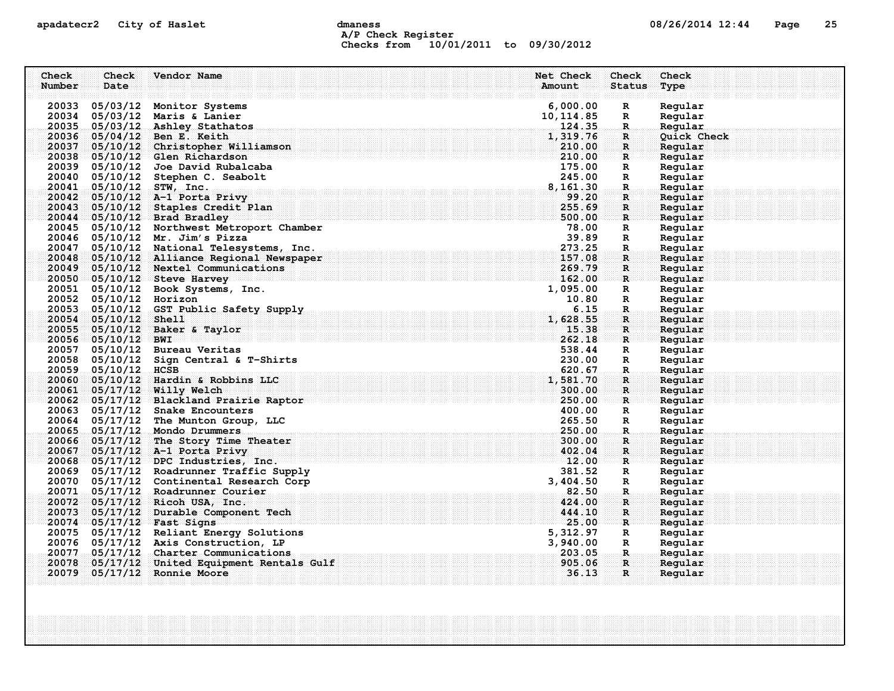## apadatecr2 City of Haslet computer dmaness computer dmanus dmaness computer computer of  $08/26/2014$  12:44 Page 25 A/P Check Register Checks from 10/01/2011 to 09/30/2012

| Check<br>Number | Check<br>Date          | Vendor Name                                | Net Check<br>Amount | Check<br><b>Status</b> | Check<br>Type |
|-----------------|------------------------|--------------------------------------------|---------------------|------------------------|---------------|
|                 |                        | 20033 05/03/12 Monitor Systems             | 6,000.00            | R                      | Regular       |
|                 |                        | 20034 05/03/12 Maris & Lanier              | 10, 114.85          | $\mathbf R$            | Regular       |
|                 |                        | 20035 05/03/12 Ashley Stathatos            | 124.35              | $\mathbb{R}$           | Regular       |
|                 |                        | 20036 05/04/12 Ben E. Keith                | 1,319.76            | $\mathbf R$            | Quick Check   |
|                 |                        | 20037 05/10/12 Christopher Williamson      | 210.00              | $\mathbf{R}$           | Regular       |
|                 |                        | 20038 05/10/12 Glen Richardson             | 210.00              | R                      | Regular       |
|                 |                        | 20039 05/10/12 Joe David Rubalcaba         | 175.00              | $\mathbf R$            | Regular       |
|                 | 20040 05/10/12         | Stephen C. Seabolt                         | 245.00              | R                      | Regular       |
|                 |                        | 20041 05/10/12 STW, Inc.                   | 8, 161.30           | $\mathbf R$            | Regular       |
|                 |                        | 20042 05/10/12 A-1 Porta Privy             | 99.20               | $\mathbf{R}$           | Regular       |
|                 |                        | 20043 05/10/12 Staples Credit Plan         | 255.69              | $\mathbf{R}$           | Reqular       |
|                 |                        | 20044 05/10/12 Brad Bradley                | 500.00              | $\mathbf{R}$           | Regular       |
|                 |                        | 20045 05/10/12 Northwest Metroport Chamber | 78.00               | R                      | Regular       |
|                 |                        | 20046 05/10/12 Mr. Jim's Pizza             | 39.89               | $\mathbb{R}$           | Regular       |
|                 |                        | 20047 05/10/12 National Telesystems, Inc.  | 273.25              | R                      | Regular       |
|                 |                        | 20048 05/10/12 Alliance Regional Newspaper | 157.08              | $\mathbf R$            | Regular       |
|                 |                        | 20049 05/10/12 Nextel Communications       | 269.79              | $\mathbf{R}$           | Regular       |
|                 |                        | 20050 05/10/12 Steve Harvey                | 162.00              | $\mathbf{R}$           | Regular       |
|                 |                        | 20051 05/10/12 Book Systems, Inc.          | 1,095.00            | $\mathbf R$            | Regular       |
|                 | 20052 05/10/12 Horizon |                                            | 10.80               | $\mathbf R$            | Regular       |
|                 |                        | 20053 05/10/12 GST Public Safety Supply    | 6.15                | $\mathbf R$            | Regular       |
|                 | 20054 05/10/12 Shell   |                                            | 1,628.55            | $\mathbf R$            | Regular       |
|                 |                        | 20055 05/10/12 Baker & Taylor              | 15.38               | $\mathbf{R}$           | Regular       |
|                 | 20056 05/10/12 BWI     |                                            | 262.18              | $\mathbf{R}$           | Regular       |
|                 |                        | 20057 05/10/12 Bureau Veritas              | 538.44              | $\mathbf R$            | Regular       |
|                 |                        | 20058 05/10/12 Sign Central & T-Shirts     | 230.00              | $\mathbf R$            | Regular       |
|                 | 20059 05/10/12 HCSB    |                                            | 620.67              | $\mathbf{R}$           | Regular       |
|                 |                        | 20060 05/10/12 Hardin & Robbins LLC        | 1,581.70            | $\mathbf{R}$           | Regular       |
|                 |                        | 20061 05/17/12 Willy Welch                 | 300.00              | $\mathbf{R}$           | Regular       |
|                 |                        | 20062 05/17/12 Blackland Prairie Raptor    | 250.00              | R                      | Regular       |
|                 |                        | 20063 05/17/12 Snake Encounters            | 400.00              | R                      | Regular       |
|                 |                        | 20064 05/17/12 The Munton Group, LLC       | 265.50              | $\mathbf R$            | Regular       |
|                 |                        | 20065 05/17/12 Mondo Drummers              | 250.00              | $\mathbb{R}$ .         | Regular       |
|                 |                        | 20066 05/17/12 The Story Time Theater      | 300.00              | $\mathbf R$            | Regular       |
|                 |                        | 20067 05/17/12 A-1 Porta Privy             | 402.04              | $\mathbf{R}$           | Regular       |
|                 |                        | $20068 - 05/17/12$ DPC Industries, Inc.    | 12.00               | R                      | Reqular       |
|                 |                        | 20069 05/17/12 Roadrunner Traffic Supply   | 381.52              | R                      | Regular       |
|                 |                        | 20070 05/17/12 Continental Research Corp   | 3,404.50            | $\mathbf R$            | Regular       |
|                 |                        | 20071 05/17/12 Roadrunner Courier          | .82.50              | $\mathbf{R}$           | Regular       |
|                 |                        | 20072 05/17/12 Ricoh USA, Inc.             | 424.00              | $\mathbf R$            | Regular       |
|                 |                        | 20073 05/17/12 Durable Component Tech      | 444.10              | $\mathbf R$            | Regular       |
|                 |                        | 20074 05/17/12 Fast Signs                  | 25.00               | $\mathbf{R}$           | Regular       |
|                 |                        | 20075 05/17/12 Reliant Energy Solutions    | 5,312.97            | R                      | Regular       |
|                 |                        | 20076 05/17/12 Axis Construction, LP       | 3,940.00            | $\mathbf R$            | Regular       |
| 20077           |                        | 05/17/12 Charter Communications            | 203.05              | $\mathbf R$            | Regular       |
| 20078           |                        | 05/17/12 United Equipment Rentals Gulf     | 905.06              | $\mathbf{R}$           | Reqular       |
|                 |                        | 20079 05/17/12 Ronnie Moore                | 36.13               | $\mathbf{R}$           | Regular       |
|                 |                        |                                            |                     |                        |               |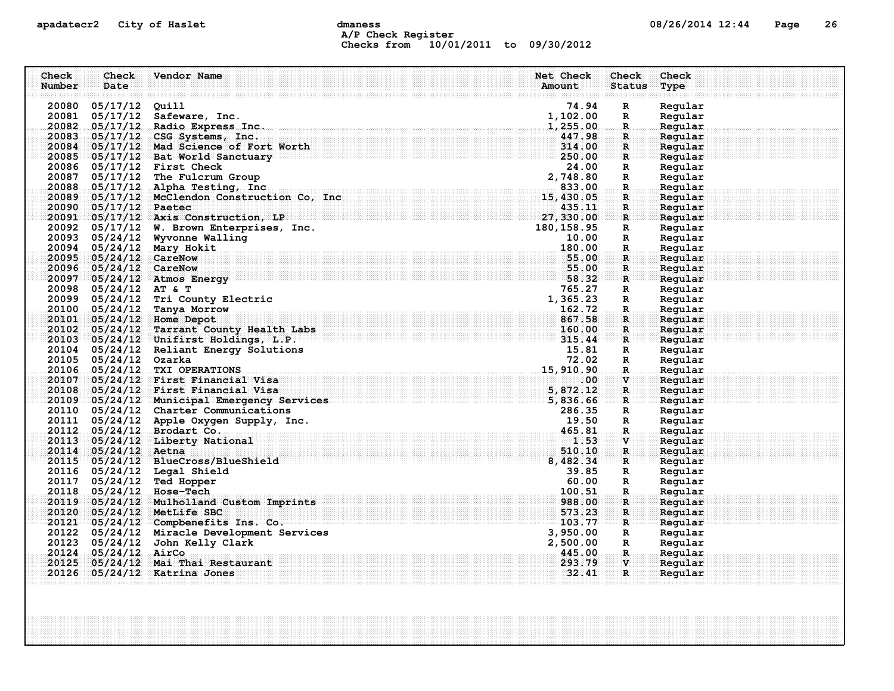## apadatecr2 City of Haslet computer dmaness computer dmanus dmaness computer of  $08/26/2014$  12:44 Page 26 A/P Check Register Checks from 10/01/2011 to 09/30/2012

| Check  | Check                  | Vendor Name                                                                                                                                                                           | Net Check                                                                          | Check                                    | Check              |
|--------|------------------------|---------------------------------------------------------------------------------------------------------------------------------------------------------------------------------------|------------------------------------------------------------------------------------|------------------------------------------|--------------------|
| Number | Date                   |                                                                                                                                                                                       | Amount                                                                             | <b>Status</b>                            | Type               |
|        |                        |                                                                                                                                                                                       |                                                                                    |                                          |                    |
|        | 20080 05/17/12 Quill   |                                                                                                                                                                                       | 74.94                                                                              | $\mathbf R$                              | Regular            |
|        |                        | 20081 05/17/12 Safeware, Inc.<br>20082 05/17/12 Radio Express Inc.                                                                                                                    | 1,102.00<br>1,255.00                                                               | $\mathbb{R}$<br>$\mathbb{R}$             | Regular<br>Regular |
|        |                        | 20083 05/17/12 CSG Systems, Inc.                                                                                                                                                      |                                                                                    | $\mathbf R$                              | Regular            |
|        |                        | 20084 05/17/12 Mad Science of Fort Worth                                                                                                                                              |                                                                                    | $\mathbf{R}$                             | Regular            |
|        |                        | $20085 - 05/17/12$ Bat World Sanctuary                                                                                                                                                | $\begin{array}{r} \textbf{447.98} \ \textbf{314.00} \ \textbf{250.00} \end{array}$ | $\mathbb{R}$ .                           | Regular            |
|        |                        | 20086 05/17/12 First Check                                                                                                                                                            | 24.00                                                                              | $\mathbf R$                              | Regular            |
| 20087  |                        | 05/17/12 The Fulcrum Group                                                                                                                                                            | 2,748.80                                                                           | $\mathbb{R}$                             | Regular            |
|        |                        | 20088 05/17/12 Alpha Testing, Inc.                                                                                                                                                    |                                                                                    | $\mathbf{R}$                             | Regular            |
|        |                        | $\begin{array}{r} \text{7} \ \text{833.00} \ \text{15,430.05} \ \text{15,430.05} \ \text{435.11} \ \text{27,330.00} \end{array}$<br>20089 05/17/12 McClendon Construction Co, Inc     |                                                                                    | $\mathbf{R}$                             | Regular            |
|        | 20090 05/17/12 Paetec  |                                                                                                                                                                                       |                                                                                    | $\mathbf{R}$                             | Regular            |
|        |                        | 20091 05/17/12 Axis Construction, LP                                                                                                                                                  |                                                                                    | $\mathbf{R}$                             | Regular            |
|        |                        | $\frac{27}{180}$<br>20092 05/17/12 W. Brown Enterprises, Inc.                                                                                                                         | 180, 158.95                                                                        | $\mathbf R$                              | Regular            |
|        |                        | 20093 05/24/12 Wyvonne Walling                                                                                                                                                        | 10.00                                                                              | $\mathbf R$                              | Regular            |
|        |                        | 20094 05/24/12 Mary Hokit                                                                                                                                                             | 180.00                                                                             | $\mathbb{R}$                             | Regular            |
|        | 20095 05/24/12 CareNow |                                                                                                                                                                                       | 55.00                                                                              | $\mathbf{R}$                             | Regular            |
|        | 20096 05/24/12 CareNow |                                                                                                                                                                                       | 55.00                                                                              | $\mathbf{R}$                             | Regular            |
|        |                        | 20097 05/24/12 Atmos Energy                                                                                                                                                           | 58.32                                                                              | $\mathbf{R}$                             | Regular            |
|        | 20098 05/24/12 AT & T  |                                                                                                                                                                                       | 765.27                                                                             | $\mathbf R$                              | Regular            |
|        |                        | 20099 05/24/12 Tri County Electric                                                                                                                                                    |                                                                                    | $\mathbb{R}$                             | Regular            |
|        |                        | 20100 05/24/12 Tanya Morrow                                                                                                                                                           |                                                                                    | $\mathbf{R}$                             | Regular            |
|        |                        | 20101 05/24/12 Home Depot                                                                                                                                                             |                                                                                    | $\mathbf{R}$                             | Regular            |
|        |                        | $\begin{array}{r} \textbf{765.27} \\ \textbf{1,365.23} \\ \textbf{162.72} \\ \textbf{567.58} \\ \textbf{1abs} \\ \textbf{P} \end{array}$<br>20102 05/24/12 Tarrant County Health Labs |                                                                                    | $\mathbf{R}$                             | Regular            |
|        |                        | 20103 05/24/12 Unifirst Holdings, L.P.                                                                                                                                                |                                                                                    | $\mathbf{R}$ . The $\mathbf{R}$          | Regular            |
|        |                        | 20104 05/24/12 Reliant Energy Solutions                                                                                                                                               | 15.81                                                                              | $\mathbf R$                              | Regular            |
|        | 20105 05/24/12 Ozarka  |                                                                                                                                                                                       | 72.02                                                                              | R                                        | Regular            |
|        |                        | 15,910,90<br>20106 05/24/12 TXI OPERATIONS<br>20107 05/24/12 First Financial Visa                                                                                                     | .00.                                                                               | $\mathbf{R}_{\text{in}}$<br>$\mathbf{V}$ | Regular<br>Regular |
|        |                        | 20108 05/24/12 First Financial Visa                                                                                                                                                   | 5,872.12                                                                           | $\mathbf R$                              | Regular            |
|        |                        | 20108 05/24/12 First Financial Visa<br>20109 05/24/12 Municipal Emergency Services 20109 05/24/12 Municipal Emergency Services                                                        |                                                                                    | $\mathbf{R}$ . The $\mathbf{R}$          | Reqular            |
|        |                        | 20110 05/24/12 Charter Communications                                                                                                                                                 | 286.35                                                                             | $\mathbb{R}$                             | Regular            |
|        |                        | 20111 05/24/12 Apple Oxygen Supply, Inc.                                                                                                                                              | 19.50                                                                              | $\mathbf R$                              | Regular            |
|        |                        | 20112 05/24/12 Brodart Co.                                                                                                                                                            | 465.81                                                                             | $\mathbf{R}$                             | Regular            |
|        |                        | 20113 05/24/12 Liberty National                                                                                                                                                       | 1.53                                                                               | $\mathbf{V}$                             | Regular            |
|        | 20114 05/24/12 Aetna   |                                                                                                                                                                                       | 510.10                                                                             | $\mathbf{R}$                             | Regular            |
|        |                        | 20115 05/24/12 BlueCross/BlueShield                                                                                                                                                   | 8,482.34                                                                           | R                                        | Regular            |
|        |                        | 20116 05/24/12 Legal Shield                                                                                                                                                           | 39.85                                                                              | $\mathbf R$                              | Regular            |
|        |                        | 20117 05/24/12 Ted Hopper                                                                                                                                                             | 60.00                                                                              | $\mathbb{R}$                             | Regular            |
|        |                        | 20118 05/24/12 Hose-Tech                                                                                                                                                              | 100.51                                                                             | $\mathbf R$                              | Regular            |
|        |                        | 20119 05/24/12 Mulholland Custom Imprints                                                                                                                                             | 988.00                                                                             | $\mathbf R$                              | Regular            |
|        |                        | 20120 05/24/12 MetLife SBC                                                                                                                                                            | 573.23                                                                             | $\mathbf R$                              | Regular            |
|        |                        | 20121 05/24/12 Compbenefits Ins. Co.                                                                                                                                                  | 103.77                                                                             | $\mathbf{R}$                             | Regular            |
|        |                        | 20122 05/24/12 Miracle Development Services                                                                                                                                           | 3,950.00                                                                           | $\mathbf R$                              | Regular            |
|        |                        | 20123 05/24/12 John Kelly Clark                                                                                                                                                       | 2,500.00                                                                           | $\mathbf R$                              | Regular            |
|        | 20124 05/24/12 AirCo   |                                                                                                                                                                                       | 445.00                                                                             | $\mathbf{R}$ .                           | Regular            |
| 20125  |                        | 05/24/12 Mai Thai Restaurant                                                                                                                                                          | 293.79                                                                             | $\mathbf{v}$                             | Reqular            |
|        |                        | 20126 05/24/12 Katrina Jones                                                                                                                                                          | 32.41                                                                              | $\mathbf{R}$                             | Regular            |
|        |                        |                                                                                                                                                                                       |                                                                                    |                                          |                    |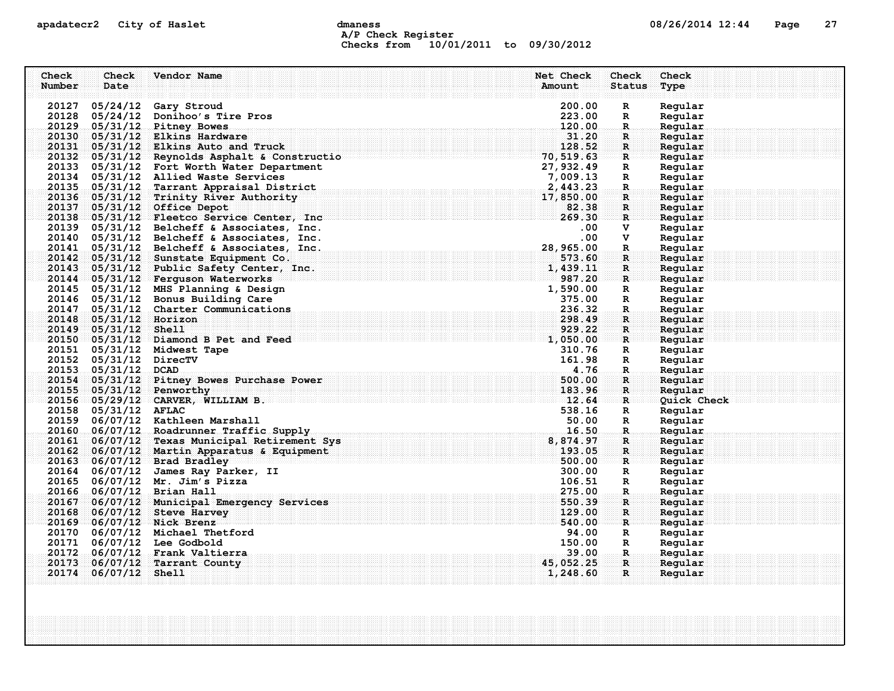## apadatecr2 City of Haslet and dmaness dmaness and the 08/26/2014 12:44 Page 27 A/P Check Register Checks from 10/01/2011 to 09/30/2012

| Check  | Check                  | Vendor Name                                                                                                                                                                                                                              | Net Check          | Check             | Check              |  |
|--------|------------------------|------------------------------------------------------------------------------------------------------------------------------------------------------------------------------------------------------------------------------------------|--------------------|-------------------|--------------------|--|
| Number | Date                   |                                                                                                                                                                                                                                          | Amount             | Status            | Type               |  |
|        |                        |                                                                                                                                                                                                                                          |                    |                   |                    |  |
|        |                        | 20127 05/24/12 Gary Stroud                                                                                                                                                                                                               | 200.00             | $\mathbf R$       | Regular            |  |
|        |                        | 20128 05/24/12 Donihoo's Tire Pros                                                                                                                                                                                                       | 223.00             | R                 | Regular            |  |
|        |                        | 20129 05/31/12 Pitney Bowes                                                                                                                                                                                                              | 120.00             | $\mathbf R$       | Regular            |  |
|        |                        | 20130 05/31/12 Elkins Hardware                                                                                                                                                                                                           | 31.20              | R.                | Regular            |  |
|        |                        | 20131 05/31/12 Elkins Auto and Truck<br>$\frac{20132}{20132}$ $\frac{0.5}{0.5191}$ $\frac{120}{12}$ Reynolds Asphalt & Constructio $\frac{120}{10}$ , $\frac{120}{0.5191}$ , 63                                                          | 128.52             | $\mathbf{R}$      | Regular            |  |
|        |                        | 20132 05/31/12 Reynolds Asphalt & Constructio<br>20133 05/31/12 Fort Worth Water Department<br>20134 05/31/12 Allied Waste Services<br>20135 05/31/12 Tarrant Appraisal District<br>20136 05/31/12 Trinity River Authority<br>20137 05/3 |                    | $\mathbf{R}$      | Regular            |  |
|        |                        |                                                                                                                                                                                                                                          |                    | R                 | Regular            |  |
|        |                        |                                                                                                                                                                                                                                          |                    | $\mathbf{R}$      | Regular            |  |
|        |                        |                                                                                                                                                                                                                                          |                    | R.                | Regular            |  |
|        |                        |                                                                                                                                                                                                                                          |                    | $\mathbf{R}$      | Regular            |  |
|        |                        | 20138 05/31/12 Fleetco Service Center, Inc                                                                                                                                                                                               |                    | $\mathbf R$       | Reqular            |  |
|        |                        | 20139 05/31/12 Belcheff & Associates, Inc.                                                                                                                                                                                               |                    | $\mathbf{R}$<br>V | Regular<br>Regular |  |
|        |                        | 20140 05/31/12 Belcheff & Associates, Inc.                                                                                                                                                                                               | $.00 \,$<br>.00    | v                 | Regular            |  |
|        |                        | 20141 05/31/12 Belcheff & Associates, Inc.                                                                                                                                                                                               | 28,965.00          | $\mathbf R$       | Regular            |  |
|        |                        | 20142 05/31/12 Sunstate Equipment Co.                                                                                                                                                                                                    | 573.60             | $\mathbf{R}$      | Regular            |  |
|        |                        | 20143 05/31/12 Public Safety Center, Inc.                                                                                                                                                                                                | 1,439.11           | $\mathbf{R}$      | Regular            |  |
|        |                        | 20144 05/31/12 Ferguson Waterworks                                                                                                                                                                                                       | 987.20             | $\mathbf{R}$      | Regular            |  |
|        |                        | 20145 05/31/12 MHS Planning & Design                                                                                                                                                                                                     | 1,590.00           | R                 | Regular            |  |
|        |                        | 20146 05/31/12 Bonus Building Care                                                                                                                                                                                                       | 375.00             | $\mathbf R$       | Regular            |  |
|        |                        | 20147 05/31/12 Charter Communications                                                                                                                                                                                                    | 236.32             | $\mathbf{R}$      | Regular            |  |
|        | 20148 05/31/12 Horizon |                                                                                                                                                                                                                                          | 298.49             | $\mathbf{R}$      | Regular            |  |
|        | 20149 05/31/12 Shell   |                                                                                                                                                                                                                                          | 929.22             | $\mathbf{R}$      | Regular            |  |
|        |                        | $20150$ 05/31/12 Diamond B Pet and Feed                                                                                                                                                                                                  | 1,050.00           | R                 | Regular            |  |
|        |                        | 20151 05/31/12 Midwest Tape                                                                                                                                                                                                              | 310.76             | R                 | Regular            |  |
|        | 20152 05/31/12 DirecTV |                                                                                                                                                                                                                                          | 161.98             | R                 | Regular            |  |
|        | 20153 05/31/12 DCAD    |                                                                                                                                                                                                                                          | 4.76               | $\mathbf{R}$      | Regular            |  |
|        |                        | 20154 05/31/12 Pitney Bowes Purchase Power                                                                                                                                                                                               | 500.00             | R.                | Regular            |  |
|        |                        | 20155 05/31/12 Penworthy                                                                                                                                                                                                                 | 183.96             | $\mathbf{R}$      | Regular            |  |
|        |                        | 20156 05/29/12 CARVER, WILLIAM B.                                                                                                                                                                                                        | $\frac{1}{2}$ , 64 | R                 | Quick Check        |  |
|        | 20158 05/31/12 AFLAC   |                                                                                                                                                                                                                                          | 538.16             | $\mathbf R$       | Regular            |  |
|        |                        | 20159 06/07/12 Kathleen Marshall                                                                                                                                                                                                         | 50.00              | R                 | Regular            |  |
|        |                        | 20160 06/07/12 Roadrunner Traffic Supply                                                                                                                                                                                                 | 16.50              | $\mathbf R$ .     | Regular            |  |
|        |                        | 20161 06/07/12 Texas Municipal Retirement Sys                                                                                                                                                                                            | 8,874.97           | R                 | Reqular            |  |
|        |                        | 20162 06/07/12 Martin Apparatus & Equipment                                                                                                                                                                                              | 193.05             | $\mathbf{R}$      | Regular            |  |
|        |                        | 20163 06/07/12 Brad Bradley                                                                                                                                                                                                              | 500.00             | $\mathbf{R}$      | Reqular            |  |
|        |                        | 20164 06/07/12 James Ray Parker, II                                                                                                                                                                                                      | 300.00             | $\mathbf R$       | Regular            |  |
|        |                        | 20165 06/07/12 Mr. Jim's Pizza                                                                                                                                                                                                           | 106.51             | $\mathbb{R}$      | Regular            |  |
|        |                        | 20166 06/07/12 Brian Hall                                                                                                                                                                                                                | 275.00             | R.                | Regular            |  |
|        |                        | 20167 06/07/12 Municipal Emergency Services                                                                                                                                                                                              | 550.39             | $\mathbf{R}$      | Regular            |  |
|        |                        | 20168 06/07/12 Steve Harvey                                                                                                                                                                                                              | 129.00             | $\mathbf R$       | Regular            |  |
|        |                        | 20169 06/07/12 Nick Brenz                                                                                                                                                                                                                | 540.00             | $\mathbf{R}$      | Regular            |  |
|        |                        | 20170 06/07/12 Michael Thetford                                                                                                                                                                                                          | 94.00              | R                 | Regular            |  |
|        |                        | 20171 06/07/12 Lee Godbold                                                                                                                                                                                                               | 150.00             | $\mathbb{R}$      | Regular            |  |
|        |                        | 20172 06/07/12 Frank Valtierra                                                                                                                                                                                                           | 39.00              | .R.               | Regular            |  |
|        |                        | 20173 06/07/12 Tarrant County                                                                                                                                                                                                            | 45,052.25          | $\mathbf{R}$      | Regular            |  |
|        | 20174 06/07/12 Shell   |                                                                                                                                                                                                                                          | 1,248.60           | $\mathbf{R}$      | Regular            |  |
|        |                        |                                                                                                                                                                                                                                          |                    |                   |                    |  |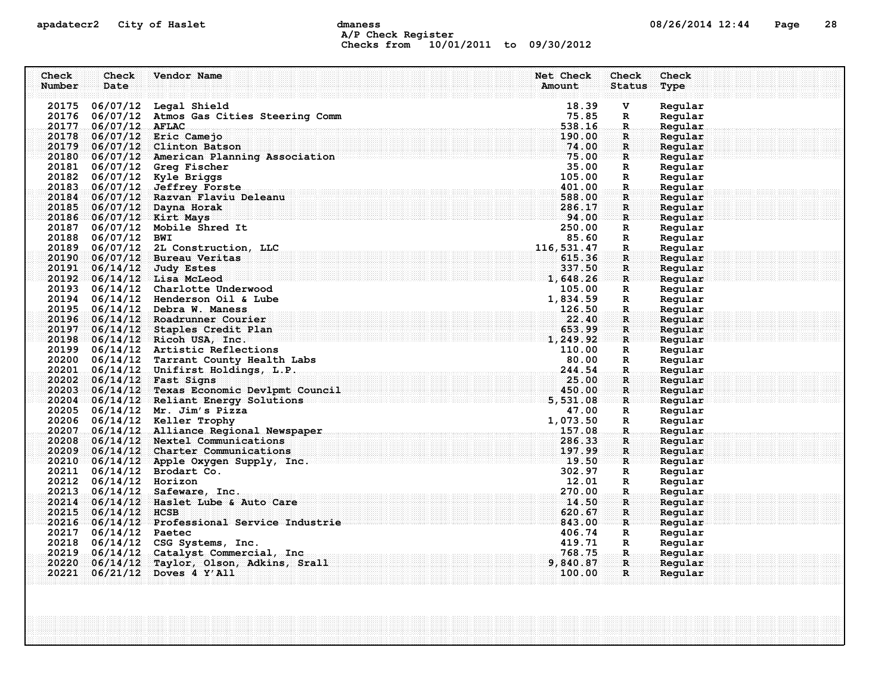## apadatecr2 City of Haslet compound dmaness compound the detection of the US/26/2014 12:44 Page 28 A/P Check Register Checks from 10/01/2011 to 09/30/2012

| Check  | Check                  | Vendor Name                                                                                                                                                      | Net Check          | <b>Check</b>                 | Check              |
|--------|------------------------|------------------------------------------------------------------------------------------------------------------------------------------------------------------|--------------------|------------------------------|--------------------|
| Number | Date                   |                                                                                                                                                                  | Amount             | <b>Status</b>                | Type               |
|        |                        |                                                                                                                                                                  |                    |                              |                    |
|        |                        | 20175 06/07/12 Legal Shield                                                                                                                                      | 18.39              | V                            | Regular            |
|        |                        | 20176 06/07/12 Atmos Gas Cities Steering Comm                                                                                                                    | 75.85              | $\mathbf R$                  | Regular            |
|        | 20177 06/07/12 AFLAC   |                                                                                                                                                                  | 538.16             | $\mathbb{R}$                 | Regular            |
|        |                        | 20178 06/07/12 Eric Camejo                                                                                                                                       | 190.00<br>74.00    | $\mathbf{R}$                 | Regular            |
|        |                        | 20179 06/07/12 Clinton Batson<br>20180 06/07/12 American Planning Association                                                                                    | 75.00              | $\mathbf{R}$<br>$\mathbf{R}$ | Regular<br>Regular |
|        |                        | 20181 06/07/12 Greg Fischer                                                                                                                                      | 35.00              | R                            | Regular            |
|        |                        | 20182 06/07/12 Kyle Briggs                                                                                                                                       | 105.00             | $\mathbb{R}$                 | Regular            |
|        |                        | 20183 06/07/12 Jeffrey Forste                                                                                                                                    | 401.00             | $\mathbf R$ .                | Regular            |
|        |                        | 20184 06/07/12 Razvan Flaviu Deleanu                                                                                                                             | 588.00             | $\mathbf{R}$                 | Regular            |
|        |                        | 20185 06/07/12 Dayna Horak                                                                                                                                       | 286.17             | R                            | Regular            |
|        |                        | . The set of the set of the set of the set of $\mathbf{94:00}$ .<br>20186 06/07/12 Kirt Mays                                                                     |                    | R                            | Regular            |
|        |                        | 20187 06/07/12 Mobile Shred It                                                                                                                                   | 250.00             | R                            | Regular            |
|        | 20188 06/07/12 BWI     |                                                                                                                                                                  | 85.60              | $\mathbb{R}$                 | Regular            |
|        |                        | 20189 06/07/12 2L Construction, LLC                                                                                                                              | 116,531.47         | R.                           | Regular            |
|        |                        | 20190 06/07/12 Bureau Veritas                                                                                                                                    | 615.36             | $\mathbf{R}$                 | Regular            |
|        |                        | 20191 06/14/12 Judy Estes                                                                                                                                        | 337.50             | $\mathbf{R}$                 | Regular            |
|        |                        | <b>1,648.26</b><br>20192 06/14/12 Lisa McLeod                                                                                                                    |                    | $\mathbf{R}$                 | Regular            |
|        |                        | 20193 06/14/12 Charlotte Underwood                                                                                                                               | 105.00             | R                            | Regular            |
|        |                        | 20194 06/14/12 Henderson Oil & Lube                                                                                                                              | 1,834.59           | R                            | Regular            |
|        |                        | 20195 06/14/12 Debra W. Maness                                                                                                                                   | 126.50             | $\mathbf{R}$                 | Regular            |
|        |                        | 20196 06/14/12 Roadrunner Courier                                                                                                                                | 22.40              | $\mathbf R$                  | Regular            |
|        |                        | 20197 06/14/12 Staples Credit Plan                                                                                                                               |                    | $\mathbf{R}$                 | Reqular            |
|        |                        | $\frac{653.99}{1,249.92}$<br>20198 06/14/12 Ricoh USA, Inc.                                                                                                      |                    | $\mathbf{R}$                 | Regular            |
|        |                        | 20199 06/14/12 Artistic Reflections                                                                                                                              | 110.00             | R                            | Regular            |
|        |                        | 20200 06/14/12 Tarrant County Health Labs                                                                                                                        | 80.00              | $\mathbb{R}$                 | Regular            |
|        |                        | 20201 06/14/12 Unifirst Holdings, L.P.                                                                                                                           | 244.54             | $\mathbf R$                  | Regular            |
|        |                        |                                                                                                                                                                  |                    | R.                           | Regular            |
|        |                        | 20202 06/14/12 Fast Signs 25.00<br>20203 06/14/12 Texas Economic Devlpmt Council 20203 06/14/12 450.00<br>20204 06/14/12 Reliant Energy Solutions 20204 5,531.08 |                    | $\mathbf{R}$                 | Regular            |
|        |                        |                                                                                                                                                                  |                    | $\mathbf{R}$                 | Regular            |
|        |                        | 20205 06/14/12 Mr. Jim's Pizza                                                                                                                                   | 47.00              | R                            | Regular            |
|        |                        | 20206 06/14/12 Keller Trophy                                                                                                                                     | 1,073.50           | R                            | Regular            |
|        |                        | 20207 06/14/12 Alliance Regional Newspaper                                                                                                                       | 157.08             | $\mathbf{R}$                 | Regular            |
|        |                        | 20208 06/14/12 Nextel Communications                                                                                                                             | 286.33             | $\mathbf R$ :                | Regular            |
|        |                        | 20209 06/14/12 Charter Communications                                                                                                                            | 197.99             | $\mathbf{R}$                 | Regular            |
|        |                        | . The set of the set of the set of the set of $\mathbf{F9:50}$<br>20210 06/14/12 Apple Oxygen Supply, Inc.                                                       |                    | R                            | Regular            |
|        |                        | 20211 06/14/12 Brodart Co.                                                                                                                                       | 302.97             | R                            | Regular            |
|        | 20212 06/14/12 Horizon |                                                                                                                                                                  | 12.01              | $\mathbb{R}$                 | Regular            |
|        |                        | 20213 06/14/12 Safeware, Inc.                                                                                                                                    | 270.00             | R.                           | Regular            |
|        |                        | 20214 06/14/12 Haslet Lube & Auto Care                                                                                                                           | 14.50              | $\mathbf{R}$                 | Regular            |
|        | 20215 06/14/12 HCSB    |                                                                                                                                                                  | 620.67             | $\mathbf R$                  | Regular            |
|        |                        | 20216 06/14/12 Professional Service Industrie                                                                                                                    | 843.00             | $\mathbf R$                  | Regular            |
|        | 20217 06/14/12 Paetec  |                                                                                                                                                                  | 406.74             | $\mathbf{R}$                 | Regular            |
|        |                        | 20218 06/14/12 CSG Systems, Inc.                                                                                                                                 | 419.71             | R                            | Regular            |
|        |                        | 20219 06/14/12 Catalyst Commercial, Inc.                                                                                                                         | 768.75             | R.,<br>$\mathbf{R}$          | Regular            |
|        |                        | 20220 06/14/12 Taylor, Olson, Adkins, Srall<br>20221 06/21/12 Doves 4 Y'All                                                                                      | 9,840.87<br>100.00 | $\mathbf{R}$                 | Reqular            |
|        |                        |                                                                                                                                                                  |                    |                              | Regular            |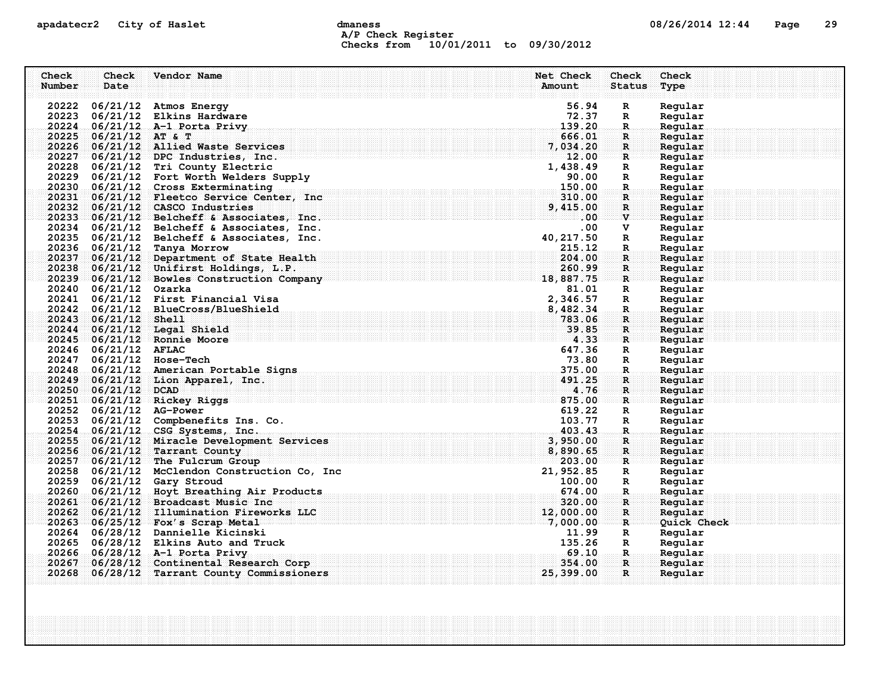## apadatecr2 City of Haslet compound dmaness compound the detection of the compound of the Page 29 A/P Check Register Checks from 10/01/2011 to 09/30/2012

| Check  | Check                   | Vendor Name                                                                      | Net Check               | Check                       | Check              |
|--------|-------------------------|----------------------------------------------------------------------------------|-------------------------|-----------------------------|--------------------|
| Number | Date                    |                                                                                  | Amount                  | <b>Status</b>               | Type               |
|        |                         |                                                                                  |                         |                             |                    |
|        |                         | 20222 06/21/12 Atmos Energy                                                      | 56.94                   | $\mathbf R$                 | Regular            |
|        |                         | 20223 06/21/12 Elkins Hardware                                                   | 72.37                   | $\mathbf{R}$                | Regular            |
|        |                         | 20224 06/21/12 A-1 Porta Privy                                                   | 139.20                  | $\mathbb{R}$                | Regular            |
|        | 20225 06/21/12 AT & T   |                                                                                  | 666.01                  | R                           | Regular            |
|        |                         | 20226 06/21/12 Allied Waste Services                                             | 7,034.20                | $\mathbf{R}$                | Regular            |
|        |                         | $20227 - 06/21/12$ DPC Industries, Inc.                                          | 12.00                   | $\mathbf{R}$                | Regular            |
|        |                         | 20228 06/21/12 Tri County Electric                                               | 1,438.49                | $\mathbf R$                 | Regular            |
|        |                         | 20229 06/21/12 Fort Worth Welders Supply                                         | 90.00                   | $\mathbf{R}$                | Regular            |
|        |                         | 20230 06/21/12 Cross Exterminating<br>20231 06/21/12 Fleetco Service Center, Inc | 150.00                  | $\mathbf{R}$                | Regular            |
|        |                         | 20232 06/21/12 CASCO Industries                                                  | 310.00<br>9,415.00      | $\mathbf{R}$<br>$\mathbf R$ | Regular<br>Regular |
|        |                         | $20233 - 06/21/12$ Belcheff & Associates, Inc.                                   | $.00\,$                 | $\mathbf{v}$                | Regular            |
|        |                         | 20234 06/21/12 Belcheff & Associates, Inc.                                       | $.00 \,$                | v                           | Regular            |
|        |                         | 20235 06/21/12 Belcheff & Associates, Inc.                                       | 40, 217.50              | $\mathbf R$                 | Regular            |
|        |                         | 20236 06/21/12 Tanya Morrow                                                      | 215.12                  | $\mathbf R$ .               | Regular            |
|        |                         | 20237 06/21/12 Department of State Health                                        | 204.00                  | $\mathbf{R}$                | Regular            |
|        |                         | 20238 06/21/12 Unifirst Holdings, L.P.                                           | 260.99                  | $\mathbf R$                 | Regular            |
|        |                         | 20239 06/21/12 Bowles Construction Company 18, 887.75                            |                         | $\mathbf{R}$                | Regular            |
|        | 20240 06/21/12 Ozarka   |                                                                                  | 81.01                   | $\mathbf R$                 | Regular            |
|        |                         | 20241 06/21/12 First Financial Visa                                              | 2,346.57                | $\mathbb{R}$                | Regular            |
|        |                         | 20242 06/21/12 BlueCross/BlueShield                                              | 8,482.34                | $\mathbf R$                 | Regular            |
|        | 20243 06/21/12 Shell    |                                                                                  | 783.06                  | $\mathbf{R}$                | Regular            |
|        |                         | 20244 06/21/12 Legal Shield                                                      |                         | $\mathbf{R}$                | Regular            |
|        |                         | 20245 06/21/12 Ronnie Moore                                                      | $\frac{39}{4 \cdot 33}$ | $\mathbf{R}$                | Reqular            |
|        | 20246 06/21/12 AFLAC    |                                                                                  | 647.36                  | $\mathbf R$                 | Regular            |
|        |                         | 20247 06/21/12 Hose-Tech                                                         | 73.80                   | R                           | Regular            |
|        |                         | 20248 06/21/12 American Portable Signs                                           | 375.00                  | $\mathbf{R}$                | Regular            |
|        |                         | 20249 06/21/12 Lion Apparel, Inc.                                                | 491.25                  | $\mathbf R$                 | Regular            |
|        | 20250 06/21/12 DCAD     |                                                                                  | 4.76                    | $\mathbf{R}$                | Regular            |
|        |                         | 20251 06/21/12 Rickey Riggs                                                      | 875.00                  | $\mathbf{R}$                | Reqular            |
|        | 20252 06/21/12 AG-Power |                                                                                  | 619.22                  | $\mathbb{R}$                | Regular            |
|        |                         | 20253 06/21/12 Compbenefits Ins. Co.                                             | 103.77                  | $\mathbf R$                 | Regular            |
|        |                         | 20254 06/21/12 CSG Systems, Inc.                                                 | 403.43                  | R.                          | Regular            |
|        |                         | 20255 06/21/12 Miracle Development Services                                      | 3,950.00                | $\mathbf R$                 | Regular            |
|        |                         | 20256 06/21/12 Tarrant County                                                    | 8,890.65                | $\mathbf{R}$                | Regular            |
|        |                         | $20257 - 06/21/12$ The Fulcrum Group                                             | 203.00                  | $R$ .                       | Regular            |
|        |                         | 20258 06/21/12 McClendon Construction Co, Inc                                    | 21,952.85               | R                           | Regular            |
|        |                         | 20259 06/21/12 Gary Stroud                                                       | 100.00                  | $\mathbf R$                 | Regular            |
|        |                         | 20260 06/21/12 Hoyt Breathing Air Products                                       | 674.00                  | R.                          | Regular            |
|        |                         | 20261 06/21/12 Broadcast Music Inc                                               | 320.00                  | R                           | Regular            |
|        |                         | 20262 06/21/12 Illumination Fireworks LLC                                        | 12,000.00               | $\mathbf R$                 | Regular            |
|        |                         | 20263 06/25/12 Fox's Scrap Metal                                                 | 7,000.00                | R                           | Quick Check        |
|        |                         | 20264 06/28/12 Dannielle Kicinski                                                | 11.99<br>135.26         | R                           | Regular            |
|        |                         | 20265 06/28/12 Elkins Auto and Truck                                             | 69.10                   | R                           | Regular            |
| 20267  |                         | 20266 06/28/12 A-1 Porta Privy<br>06/28/12 Continental Research Corp             | 354.00                  | -R.,<br>$\mathbf{R}$        | Regular<br>Reqular |
|        |                         | 20268 06/28/12 Tarrant County Commissioners                                      | 25,399.00               | $\mathbf{R}$                | Regular            |
|        |                         |                                                                                  |                         |                             |                    |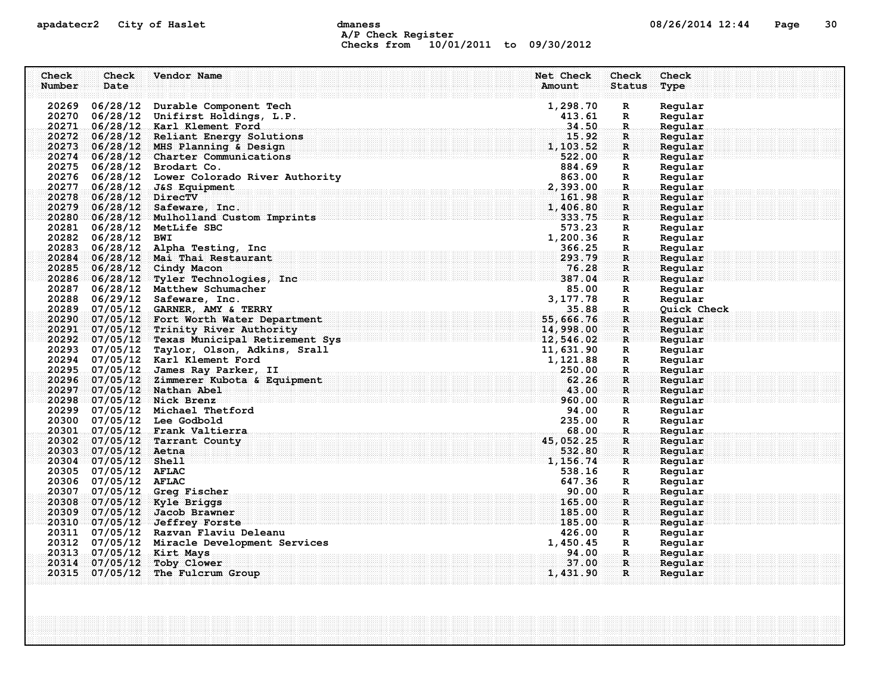## apadatecr2 City of Haslet control dmaness control dmaness control control of the defense of  $08/26/2014$  12:44 Page 30 A/P Check Register Checks from 10/01/2011 to 09/30/2012

| Check<br>Number | Check<br>Date          | Vendor Name                                                                                                                                                                                                                                          | Net Check<br>Check<br>Amount<br><b>Status</b> | Check<br>Type      |
|-----------------|------------------------|------------------------------------------------------------------------------------------------------------------------------------------------------------------------------------------------------------------------------------------------------|-----------------------------------------------|--------------------|
|                 |                        | 20269 06/28/12 Durable Component Tech                                                                                                                                                                                                                | 1,298.70<br>R                                 | Regular            |
|                 |                        | 20270 06/28/12 Unifirst Holdings, L.P.                                                                                                                                                                                                               | 413.61<br>R                                   | Regular            |
|                 |                        | 20271 06/28/12 Karl Klement Ford                                                                                                                                                                                                                     | 34.50<br>$\mathbb{R}$                         | Regular            |
|                 |                        | 20272 06/28/12 Reliant Energy Solutions                                                                                                                                                                                                              | 15.92<br>$\mathbf R$                          | Regular            |
|                 |                        | 20273 06/28/12 MHS Planning & Design                                                                                                                                                                                                                 | 1,103.52<br>$\mathbf{R}$                      | Regular            |
|                 |                        | 20274 06/28/12 Charter Communications                                                                                                                                                                                                                | 522.00<br>R                                   | Regular            |
|                 |                        | 20275 06/28/12 Brodart Co.                                                                                                                                                                                                                           | 884.69<br>R                                   | Regular            |
|                 |                        | 20276 06/28/12 Lower Colorado River Authority                                                                                                                                                                                                        | 863.00<br>R                                   | Regular            |
|                 |                        | 20277 06/28/12 J&S Equipment                                                                                                                                                                                                                         | 2,393.00<br>$\mathbf{R}$                      | Regular            |
|                 | 20278 06/28/12 DirecTV |                                                                                                                                                                                                                                                      | 161.98<br>$\mathbf{R}$                        | Regular            |
|                 |                        | 20279 06/28/12 Safeware, Inc.                                                                                                                                                                                                                        | 1,406.80<br>$\mathbf R$                       | Regular            |
|                 |                        | 20280 06/28/12 Mulholland Custom Imprints                                                                                                                                                                                                            | 333.75<br>$\mathbf{R}$                        | Regular            |
|                 |                        | 20281 06/28/12 MetLife SBC                                                                                                                                                                                                                           | 573.23<br>R                                   | Regular            |
|                 | 20282 06/28/12 BWI     |                                                                                                                                                                                                                                                      | 1,200.36<br>$\mathbf R$                       | Regular            |
|                 |                        | 20283 06/28/12 Alpha Testing, Inc.                                                                                                                                                                                                                   | 366.25<br>$\mathbf R$                         | Regular            |
|                 |                        | 20284 06/28/12 Mai Thai Restaurant                                                                                                                                                                                                                   | 293.79<br>$\mathbf{R}$                        | Regular            |
|                 |                        | 20285 06/28/12 Cindy Macon                                                                                                                                                                                                                           | 76.28<br>$\mathbf R$                          | Reqular            |
|                 |                        | 20286 06/28/12 Tyler Technologies, Inc                                                                                                                                                                                                               | 387.04<br>$\mathbf{R}$                        | Regular            |
|                 |                        | 20287 06/28/12 Matthew Schumacher                                                                                                                                                                                                                    | 85.00<br>R                                    | Regular            |
|                 |                        | 20288 06/29/12 Safeware, Inc.                                                                                                                                                                                                                        | 3, 177.78<br>R                                | Regular            |
| 20289           |                        | 07/05/12 GARNER, AMY & TERRY<br>20289 07/05/12 GARNER, AMY & TERRY<br>20290 07/05/12 Fort Worth Water Department 55, 55, 666.76<br>20291 07/05/12 Trinity River Authority 598 14, 998.00<br>20292 07/05/12 Texas Municipal Retirement Sys 12, 546.02 | 35.88<br>$\mathbf R$                          | Quick Check        |
|                 |                        |                                                                                                                                                                                                                                                      | $\mathbf R$                                   | Regular            |
|                 |                        |                                                                                                                                                                                                                                                      | $\mathbf{R}$<br>R                             | Reqular<br>Regular |
|                 |                        | 20293 07/05/12 Taylor, Olson, Adkins, Srall                                                                                                                                                                                                          | 11,631.90<br>R                                | Regular            |
|                 |                        | 20294 07/05/12 Karl Klement Ford                                                                                                                                                                                                                     | 1,121.88<br>R                                 | Regular            |
|                 |                        | 20295 07/05/12 James Ray Parker, II                                                                                                                                                                                                                  | 250.00<br>$\mathbf R$                         | Regular            |
|                 |                        | 20296 07/05/12 Zimmerer Kubota & Equipment                                                                                                                                                                                                           | 62.26<br>R                                    | Regular            |
|                 |                        | 20297 07/05/12 Nathan Abel                                                                                                                                                                                                                           | 43.00<br>$\mathbf{R}$                         | Regular            |
|                 |                        | 20298 07/05/12 Nick Brenz                                                                                                                                                                                                                            | 960.00<br>R                                   | Regular            |
|                 |                        | 20299 07/05/12 Michael Thetford                                                                                                                                                                                                                      | 94.00<br>$\mathbf R$                          | Regular            |
|                 |                        | 20300 07/05/12 Lee Godbold                                                                                                                                                                                                                           | 235.00<br>$\mathbb{R}$                        | Regular            |
|                 |                        | 20301 07/05/12 Frank Valtierra                                                                                                                                                                                                                       | 68.00<br>R.                                   | Regular            |
|                 |                        | 20302 07/05/12 Tarrant County                                                                                                                                                                                                                        | 45, 052.25<br>R                               | Regular            |
|                 | 20303 07/05/12 Aetna   |                                                                                                                                                                                                                                                      | 532.80<br>R                                   | Regular            |
|                 | 20304 07/05/12 Shell   |                                                                                                                                                                                                                                                      | 1,156.74<br>$\mathbf{R}$                      | Regular            |
|                 | 20305 07/05/12 AFLAC   |                                                                                                                                                                                                                                                      | 538.16<br>R                                   | Regular            |
|                 | 20306 07/05/12 AFLAC   |                                                                                                                                                                                                                                                      | 647.36<br>R                                   | Regular            |
|                 |                        | 20307 07/05/12 Greg Fischer                                                                                                                                                                                                                          | .90.00<br>R.                                  | Regular            |
|                 |                        | 20308 07/05/12 Kyle Briggs                                                                                                                                                                                                                           | 165.00<br>$\mathbf{R}$                        | Reqular            |
|                 |                        | 20309 07/05/12 Jacob Brawner                                                                                                                                                                                                                         | 185.00<br>$\mathbf R$                         | Regular            |
|                 |                        | 20310 07/05/12 Jeffrey Forste                                                                                                                                                                                                                        | 185.00<br>R                                   | Regular            |
|                 |                        | 20311 07/05/12 Razvan Flaviu Deleanu                                                                                                                                                                                                                 | 426.00<br>R                                   | Regular            |
|                 |                        | 20312 07/05/12 Miracle Development Services                                                                                                                                                                                                          | 1,450.45<br>R                                 | Regular            |
|                 |                        | 20313 07/05/12 Kirt Mays                                                                                                                                                                                                                             | 94.00<br>R.                                   | Regular            |
| 20314           |                        | $07/05/12$ Toby Clower                                                                                                                                                                                                                               | 37.00<br>$\mathbf{R}$                         | Regular            |
|                 |                        | 20315 07/05/12 The Fulcrum Group                                                                                                                                                                                                                     | 1,431.90<br>$\mathbf{R}$                      | Regular            |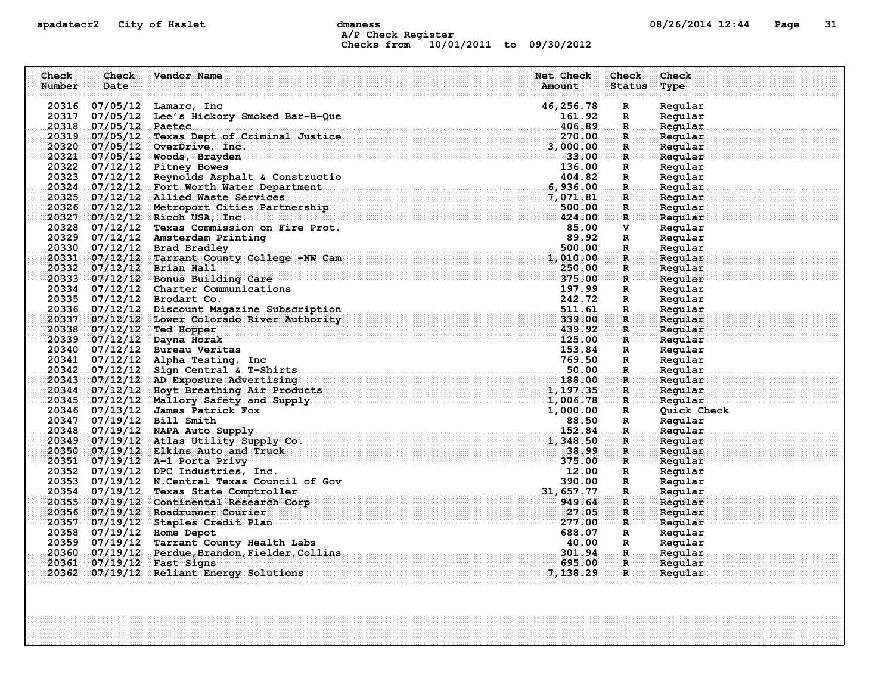## apadatecr2 City of Haslet control dmaness control dmaness control and the US/26/2014 12:44 Page 31 A/P Check Register Checks from 10/01/2011 to 09/30/2012

| Check  | Check                 | Vendor Name                                                                                                                                                                                                                                                             | Net Check  | Check                           | Check       |
|--------|-----------------------|-------------------------------------------------------------------------------------------------------------------------------------------------------------------------------------------------------------------------------------------------------------------------|------------|---------------------------------|-------------|
| Number | Date                  |                                                                                                                                                                                                                                                                         | Amount     | <b>Status</b>                   | Type        |
|        |                       |                                                                                                                                                                                                                                                                         |            |                                 |             |
|        |                       | 20316 07/05/12 Lamarc, Inc                                                                                                                                                                                                                                              | 46, 256.78 | $\mathbf R$                     | Regular     |
|        |                       | 20317 07/05/12 Lee's Hickory Smoked Bar-B-Que                                                                                                                                                                                                                           | 161.92     | $\mathbf{R}$                    | Regular     |
|        | 20318 07/05/12 Paetec |                                                                                                                                                                                                                                                                         | 406.89     | $\mathbf R$ .                   | Regular     |
|        |                       | 20319 07/05/12 Texas Dept of Criminal Justice                                                                                                                                                                                                                           | 270.00     | $\mathbf{R}$                    | Regular     |
|        |                       | 20320 07/05/12 OverDrive, Inc.                                                                                                                                                                                                                                          | 3,000.00   | $\mathbf{R}$                    | Regular     |
|        |                       | 20321 07/05/12 Woods, Brayden                                                                                                                                                                                                                                           | 33.00      | $\mathbf{R}$                    | Regular     |
|        |                       | 20322 07/12/12 Pitney Bowes                                                                                                                                                                                                                                             | 136.00     | $\mathbb{R}$                    | Regular     |
|        |                       | 20323 07/12/12 Reynolds Asphalt & Constructio                                                                                                                                                                                                                           | 404.82     | $\mathbb{R}$                    | Regular     |
|        |                       | 20324 07/12/12 Fort Worth Water Department                                                                                                                                                                                                                              | 6,936.00   | $\mathbf{R}$ .                  | Regular     |
|        |                       | 20325 07/12/12 Allied Waste Services                                                                                                                                                                                                                                    | 7,071.81   | $\mathbf{R}$                    | Regular     |
|        |                       | 20326 07/12/12 Metroport Cities Partnership                                                                                                                                                                                                                             | 500.00     | $\mathbf R$                     | Regular     |
|        |                       | 20327 07/12/12 Ricoh USA, Inc.                                                                                                                                                                                                                                          | 424.00     | $\mathbf{R}$                    | Regular     |
|        |                       | 20328 07/12/12 Texas Commission on Fire Prot.                                                                                                                                                                                                                           | 85.00      | V                               | Regular     |
|        |                       | 20329 07/12/12 Amsterdam Printing                                                                                                                                                                                                                                       | 89.92      | $\mathbf R$                     | Regular     |
|        |                       | 20330 07/12/12 Brad Bradley                                                                                                                                                                                                                                             | 500.00     | R.                              | Regular     |
|        |                       | 20331 07/12/12 Tarrant County College -NW Cam                                                                                                                                                                                                                           | 1,010.00   | $\mathbf{R}$                    | Regular     |
|        |                       | 20332 07/12/12 Brian Hall                                                                                                                                                                                                                                               | 250.00     | $\mathbf{R}$                    | Regular     |
|        |                       | 20333 07/12/12 Bonus Building Care                                                                                                                                                                                                                                      | 375.00     | $\mathbf{R}$                    | Regular     |
|        |                       | 20334 07/12/12 Charter Communications                                                                                                                                                                                                                                   | 197.99     | $\mathbf R$                     | Regular     |
|        |                       | 20335 07/12/12 Brodart Co.                                                                                                                                                                                                                                              | 242.72     | $\mathbb{R}$                    | Regular     |
|        |                       | 20336 07/12/12 Discount Magazine Subscription                                                                                                                                                                                                                           | 511.61     | $\mathbf R$                     | Regular     |
|        |                       | 20337 07/12/12 Lower Colorado River Authority                                                                                                                                                                                                                           | 339.00     | R                               | Regular     |
|        |                       | 20338 07/12/12 Ted Hopper                                                                                                                                                                                                                                               | 439.92     | R                               | Regular     |
|        |                       | 20339 07/12/12 Dayna Horak                                                                                                                                                                                                                                              | 125.00     | $\mathbf{R}$                    | Reqular     |
|        |                       | 20340 07/12/12 Bureau Veritas                                                                                                                                                                                                                                           | 153.84     | $\mathbf R$                     | Regular     |
|        |                       | 20341 07/12/12 Alpha Testing, Inc                                                                                                                                                                                                                                       | 769.50     | $\mathbf{R}$                    | Regular     |
|        |                       | . $50.00$ . $50.00$ . $50.00$ . $50.00$ . $50.00$ . $50.00$ . $50.00$ . $50.00$ . $50.00$ . $50.00$ . $50.00$ . $50.00$ . $50.00$ . $50.00$ . $50.00$ . $50.00$ . $50.00$ . $50.00$ . $50.00$ . $50.00$ . $50.00$ . $50.00$ .<br>20342 07/12/12 Sign Central & T-Shirts |            | $\ldots$ R $\ldots$             | Regular     |
|        |                       | 20343 07/12/12 AD Exposure Advertising                                                                                                                                                                                                                                  | 188.00     | $\mathbf R$ :                   | Regular     |
|        |                       | 20344 07/12/12 Hoyt Breathing Air Products                                                                                                                                                                                                                              | 1,197.35   | $\mathbf{R}$                    | Regular     |
|        |                       | $20345 - 07/12/12$ Mallory Safety and Supply                                                                                                                                                                                                                            | 1,006.78   | $\mathbf{R}$                    | Reqular     |
|        |                       | 20346 07/13/12 James Patrick Fox                                                                                                                                                                                                                                        | 1,000.00   | $\mathbf R$                     | Quick Check |
|        |                       | 20347 07/19/12 Bill Smith                                                                                                                                                                                                                                               | 88.50      | $\mathbf{R}$                    | Regular     |
|        |                       | 20348 07/19/12 NAPA Auto Supply                                                                                                                                                                                                                                         | 152.84     | $\mathbf R$ .                   | Regular     |
|        |                       | 20349 07/19/12 Atlas Utility Supply Co.                                                                                                                                                                                                                                 | 1,348.50   | $\mathbf R$                     | Regular     |
|        |                       | 20350 07/19/12 Elkins Auto and Truck                                                                                                                                                                                                                                    | 38.99      | $\mathbf{R}$                    | Regular     |
|        |                       | 20351 07/19/12 A-1 Porta Privy                                                                                                                                                                                                                                          | 375.00     | $\mathbf{R}$ . The $\mathbf{R}$ | Reqular     |
|        |                       | 20352 07/19/12 DPC Industries, Inc.<br>20352 07/19/12 DPC Industries, Inc.<br>20353 07/19/12 N.Central Texas Council of Gov<br>20354 07/19/12 Texas State Comptroller                                                                                                   | 12.00      | $\mathbf{R}$                    | Regular     |
|        |                       |                                                                                                                                                                                                                                                                         | 390.00     | $\mathbf R$                     | Regular     |
|        |                       |                                                                                                                                                                                                                                                                         | 31,657.77  | $\mathbf{R}_1$                  | Regular     |
|        |                       | 20355 07/19/12 Continental Research Corp                                                                                                                                                                                                                                | 949.64     | R                               | Regular     |
|        |                       | 20356 07/19/12 Roadrunner Courier                                                                                                                                                                                                                                       | 27.05      | $\mathbf R$                     | Regular     |
|        |                       | 20357 07/19/12 Staples Credit Plan                                                                                                                                                                                                                                      | 277.00     | $\mathbf{R}$                    | Regular     |
|        |                       | 20358 07/19/12 Home Depot                                                                                                                                                                                                                                               | 688.07     | $\mathbf{R}$                    | Regular     |
|        |                       | 20359 07/19/12 Tarrant County Health Labs                                                                                                                                                                                                                               | 40.00      | $\mathbf{R}$                    | Regular     |
|        |                       | 20360 07/19/12 Perdue, Brandon, Fielder, Collins                                                                                                                                                                                                                        | 301.94     | .R.                             | Regular     |
|        |                       | 20361 07/19/12 Fast Signs                                                                                                                                                                                                                                               | 695.00     | $\mathbf{R}$                    | Reqular     |
|        |                       | 20362 07/19/12 Reliant Energy Solutions                                                                                                                                                                                                                                 | 7,138.29   | $\mathbf R$                     | Regular     |
|        |                       |                                                                                                                                                                                                                                                                         |            |                                 |             |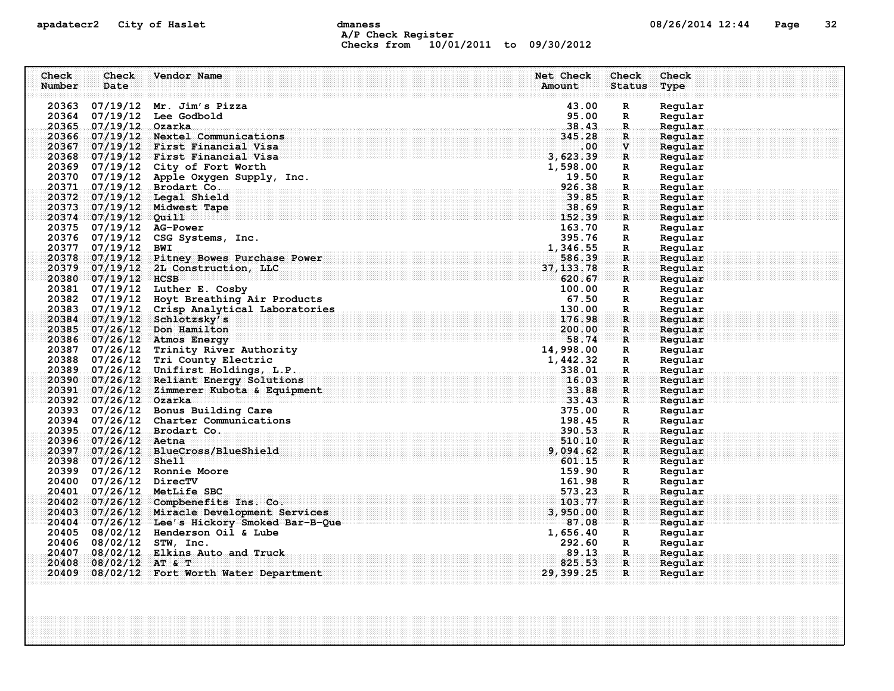## apadatecr2 City of Haslet comparess communications of the dmanness compared of the compared of the compared of the Page 32 A/P Check Register Checks from 10/01/2011 to 09/30/2012

| Check  | Check                    | Vendor Name                                                                                                              | Net Check      | Check                          | Check              |
|--------|--------------------------|--------------------------------------------------------------------------------------------------------------------------|----------------|--------------------------------|--------------------|
| Number | Date                     |                                                                                                                          | Amount         | <b>Status</b>                  | Type               |
|        |                          | 20363 07/19/12 Mr. Jim's Pizza                                                                                           | 43.00          | $\mathbf R$                    | Regular            |
|        |                          | 20364 07/19/12 Lee Godbold                                                                                               | 95.00          | R                              | Regular            |
|        | 20365 07/19/12 Ozarka    |                                                                                                                          | 38.43          | $\mathbf R$ .                  | Regular            |
| 20366  |                          | 07/19/12 Nextel Communications                                                                                           | 345.28         | R                              | Regular            |
|        |                          | 20367 07/19/12 First Financial Visa                                                                                      | $.00 \,$       | $\mathbf{V}$                   | Regular            |
|        |                          | $20368$ $07/19/12$ First Financial Visa                                                                                  | 3,623.39       | $\mathbf{R}$                   | Regular            |
|        |                          | 20369 07/19/12 City of Fort Worth                                                                                        | 1,598.00       | $\mathbf R$                    | Regular            |
|        |                          | 20370 07/19/12 Apple Oxygen Supply, Inc.                                                                                 | 19.50          | $\mathbf{R}$                   | Regular            |
|        |                          | 20371 07/19/12 Brodart Co.                                                                                               | 926.38         | $\mathbf{R}$                   | Regular            |
|        |                          | 20372 07/19/12 Legal Shield                                                                                              | 39.85          | R                              | Regular            |
|        |                          | 20373 07/19/12 Midwest Tape                                                                                              | 38.69          | $\mathbf R$                    | Regular            |
|        | 20374 07/19/12 Quill     |                                                                                                                          | 152.39         | $\mathbf{R}$                   | Regular            |
|        | 20375 07/19/12 AG-Power  |                                                                                                                          | 163.70         | R                              | Regular            |
|        |                          | 20376 07/19/12 CSG Systems, Inc.                                                                                         | 395.76         | $\mathbf R$                    | Regular            |
|        | 20377 07/19/12 BWI       |                                                                                                                          | 1,346.55       | $\mathbf R$                    | Regular            |
|        |                          | 20378 07/19/12 Pitney Bowes Purchase Power                                                                               | 586.39         | $\mathbf{R}$                   | Reqular            |
|        |                          | 20379 07/19/12 2L Construction, LLC                                                                                      | 37, 133.78     | R                              | Reqular            |
|        | 20380 07/19/12 HCSB      |                                                                                                                          | 620.67         | R                              | Regular            |
|        |                          | 20381 07/19/12 Luther E. Cosby                                                                                           | 100.00         | R                              | Regular            |
|        |                          | 20382 07/19/12 Hoyt Breathing Air Products                                                                               | 67.50          | $\mathbf R$                    | Regular            |
|        |                          | 20383 07/19/12 Crisp Analytical Laboratories                                                                             | 130.00         | R.                             | Regular            |
| 20384  |                          | 07/19/12 Schlotzsky's                                                                                                    | 176.98         | R                              | Regular            |
|        |                          | 20385 07/26/12 Don Hamilton                                                                                              | 200.00         | $\mathbf{R}$                   | Reqular            |
|        |                          | 20386 07/26/12 Atmos Energy                                                                                              | 58.74          | R                              | Regular            |
|        |                          | 20387 07/26/12 Trinity River Authority                                                                                   | 14,998.00      | R                              | Regular            |
|        |                          | 20388 07/26/12 Tri County Electric                                                                                       | 1,442.32       | R                              | Regular            |
|        |                          | 20389 07/26/12 Unifirst Holdings, L.P.                                                                                   | 338.01         | $\mathbf{R}$                   | Regular            |
|        |                          | 20390 07/26/12 Reliant Energy Solutions                                                                                  | 16.03<br>33.88 | R.                             | Regular            |
|        | 20392 07/26/12 Ozarka    | 20391 07/26/12 Zimmerer Kubota & Equipment<br>. The set of the set of the set of the set of $\sim$ 33 $\cdot$ 43 $\cdot$ |                | $\mathbf{R}$<br>$\mathbf{R}$ . | Regular<br>Regular |
|        |                          | 20393 07/26/12 Bonus Building Care                                                                                       | 375.00         | R                              | Regular            |
|        |                          | 20394 07/26/12 Charter Communications                                                                                    | 198.45         | $\mathbf{R}$                   | Regular            |
|        |                          | 20395 07/26/12 Brodart Co.                                                                                               | 390.53         | $\mathbf{R}$ .                 | Regular            |
|        | 20396 07/26/12 Aetna     |                                                                                                                          | 510.10         | R                              | Regular            |
| 20397  |                          | 07/26/12 BlueCross/BlueShield                                                                                            | 9,094.62       | $\mathbf{R}$                   | Regular            |
|        | 20398 07/26/12 Shell     |                                                                                                                          | 601.15         | ार                             | Regular            |
|        |                          | 20399 07/26/12 Ronnie Moore                                                                                              | 159.90         | R                              | Regular            |
|        | 20400 07/26/12 DirecTV   |                                                                                                                          | 161.98         | R                              | Regular            |
|        |                          | 20401 07/26/12 MetLife SBC                                                                                               | 573.23         | $\mathbf{R}_1$                 | Regular            |
|        |                          | 20402 07/26/12 Compbenefits Ins. Co.                                                                                     | 103.77         | $\mathbf{R}$                   | Regular            |
| 20403  |                          | 07/26/12 Miracle Development Services                                                                                    | 3,950.00       | R                              | Regular            |
|        |                          | 20404 07/26/12 Lee's Hickory Smoked Bar-B-Que                                                                            | 87.08          | R                              | Regular            |
|        |                          | 20405 08/02/12 Henderson Oil & Lube                                                                                      | 1,656.40       | R                              | Regular            |
|        | 20406 08/02/12 STW, Inc. |                                                                                                                          | 292.60         | R                              | Regular            |
| 20407  |                          | 08/02/12 Elkins Auto and Truck                                                                                           | 89.13          | $\mathbf{R}$ .                 | Regular            |
| 20408  | $08/02/12$ AT & T        |                                                                                                                          | 825.53         | $\mathbf{R}$ .                 | Regular            |
| 20409  |                          | 08/02/12 Fort Worth Water Department                                                                                     | 29, 399.25     | $\mathbf R$                    | Regular            |
|        |                          |                                                                                                                          |                |                                |                    |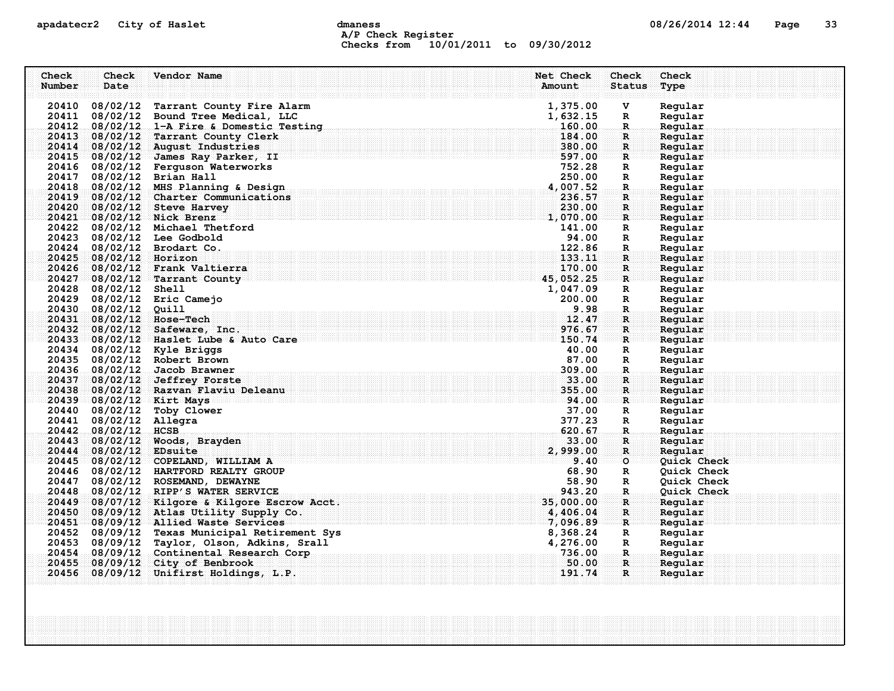## apadatecr2 City of Haslet dmaness dmaness and the 08/26/2014 12:44 Page 33 A/P Check Register Checks from 10/01/2011 to 09/30/2012

| Check<br>Check               | Vendor Name                                   |                             | Net Check           | Check                        | Check              |
|------------------------------|-----------------------------------------------|-----------------------------|---------------------|------------------------------|--------------------|
| Number<br>Date               |                                               |                             | Amount              | <b>Status</b>                | Type               |
|                              |                                               |                             |                     |                              |                    |
|                              | 20410 08/02/12 Tarrant County Fire Alarm      |                             | 1,375.00            | v                            | Regular            |
| 20411                        | 08/02/12 Bound Tree Medical, LLC              |                             | 1,632.15            | R                            | Regular            |
|                              | 20412 08/02/12 1-A Fire & Domestic Testing    |                             | 160.00              | $\mathbf R$                  | Regular            |
| 20413                        | 08/02/12 Tarrant County Clerk                 |                             | 184.00              | R                            | Regular            |
| 20414                        | 08/02/12 August Industries                    |                             | 380.00              | $\mathbf{R}$                 | Regular            |
|                              | 20415 08/02/12 James Ray Parker, II           |                             | 597.00              | R                            | Regular            |
|                              | 20416 08/02/12 Ferguson Waterworks            |                             | 752.28              | R                            | Regular            |
| 20417                        | 08/02/12 Brian Hall                           |                             | 250.00              | $\mathbb{R}$                 | Regular            |
| 20418                        | 08/02/12 MHS Planning & Design                |                             | 4,007.52            | $\mathbf{R}$                 | Regular            |
| 20419                        | 08/02/12 Charter Communications               |                             | 236.57              | R                            | Regular            |
| 20420                        | 08/02/12 Steve Harvey                         |                             | 230.00              | R                            | Regular            |
| 20421 08/02/12 Nick Brenz    |                                               |                             | 1,070.00            | $\mathbf R$                  | Regular            |
|                              | 20422 08/02/12 Michael Thetford               |                             | 141.00              | $\mathbb{R}$                 | Regular            |
| 20423 08/02/12 Lee Godbold   |                                               |                             | 94.00               | R                            | Regular            |
| 20424 08/02/12 Brodart Co.   |                                               |                             | 122.86              | R.                           | Regular            |
| 20425 08/02/12 Horizon       |                                               |                             | 133.11              | R                            | Regular            |
| 20426                        | 08/02/12 Frank Valtierra                      |                             | 170.00<br>45,052.25 | $\mathbf{R}$<br>$\mathbf{R}$ | Regular            |
| 20428 08/02/12 Shell         | 20427 08/02/12 Tarrant County                 |                             | 1,047.09            |                              | Regular            |
| 20429 08/02/12 Eric Camejo   |                                               |                             | 200.00              | R<br>R                       | Regular<br>Regular |
| 20430<br>$08/02/12$ Quill    |                                               |                             | 9.98                | $\mathbf R$                  | Regular.           |
| 20431                        | 08/02/12 Hose-Tech                            |                             | 12.47               | R                            | Regular            |
| 20432                        | 08/02/12 Safeware, Inc.                       |                             | 976.67              | $\mathbf{R}$                 | Regular            |
| 20433                        | 08/02/12 Haslet Lube & Auto Care              |                             | 150.74              | R.                           | Regular            |
| 20434 08/02/12 Kyle Briggs   |                                               |                             | 40.00               | $\mathbf R$                  | Regular            |
| 20435 08/02/12 Robert Brown  |                                               |                             | 87.00               | R                            | Regular            |
| 20436 08/02/12 Jacob Brawner |                                               |                             | 309.00              | $\mathbf{R}$                 | Regular            |
| 20437                        | 08/02/12 Jeffrey Forste                       |                             | 33.00               | R.                           | Regular            |
|                              | 20438 08/02/12 Razvan Flaviu Deleanu          |                             | 355.00              | $\mathbf{R}$                 | Regular            |
| 20439 08/02/12 Kirt Mays     |                                               | $\overline{\mathbf{94.00}}$ |                     | R                            | Regular            |
| 20440 08/02/12 Toby Clower   |                                               |                             | 37.00               | $\mathbb{R}$                 | Regular            |
| 20441 08/02/12 Allegra       |                                               |                             | 377.23              | $\mathbf R$                  | Regular            |
| 20442 08/02/12 HCSB          |                                               |                             | 620.67              | R.                           | Regular            |
| 20443                        | 08/02/12 Woods, Brayden                       |                             | 33.00               | R                            | Regular            |
| 20444                        | 08/02/12 EDsuite                              |                             | 2,999.00            | $\mathbb{R}$                 | Regular            |
|                              | $20445 - 08/02/12$ COPELAND, WILLIAM A        |                             | 9.40                | $\circ$                      | Quick Check        |
|                              | 20446 08/02/12 HARTFORD REALTY GROUP          |                             | 68.90               | R                            | Quick Check        |
|                              | 20447 08/02/12 ROSEMAND, DEWAYNE              |                             | 58.90               | R                            | Quick Check        |
| 20448                        | 08/02/12 RIPP'S WATER SERVICE                 |                             | 943.20              | R.                           | Quick Check        |
|                              | 20449 08/07/12 Kilgore & Kilgore Escrow Acct. |                             | 35,000.00           | $\mathbf R$                  | Regular            |
| 20450                        | 08/09/12 Atlas Utility Supply Co.             |                             | 4,406.04            | $\mathbf{R}$                 | Regular            |
|                              | 20451 08/09/12 Allied Waste Services          |                             | 7,096.89            | R                            | Reqular            |
|                              | 20452 08/09/12 Texas Municipal Retirement Sys |                             | 8,368.24            | R                            | Regular            |
|                              | 20453 08/09/12 Taylor, Olson, Adkins, Srall   |                             | 4,276.00            | R                            | Regular            |
| 20454                        | 08/09/12 Continental Research Corp            |                             | 736.00              | -R.                          | Regular            |
| 20455                        | 08/09/12 City of Benbrook                     |                             | 50.00               | $\mathbf{R}$                 | Regular            |
| 20456                        | 08/09/12 Unifirst Holdings, L.P.              |                             | 191.74              | $\mathbf{R}$                 | Regular            |
|                              |                                               |                             |                     |                              |                    |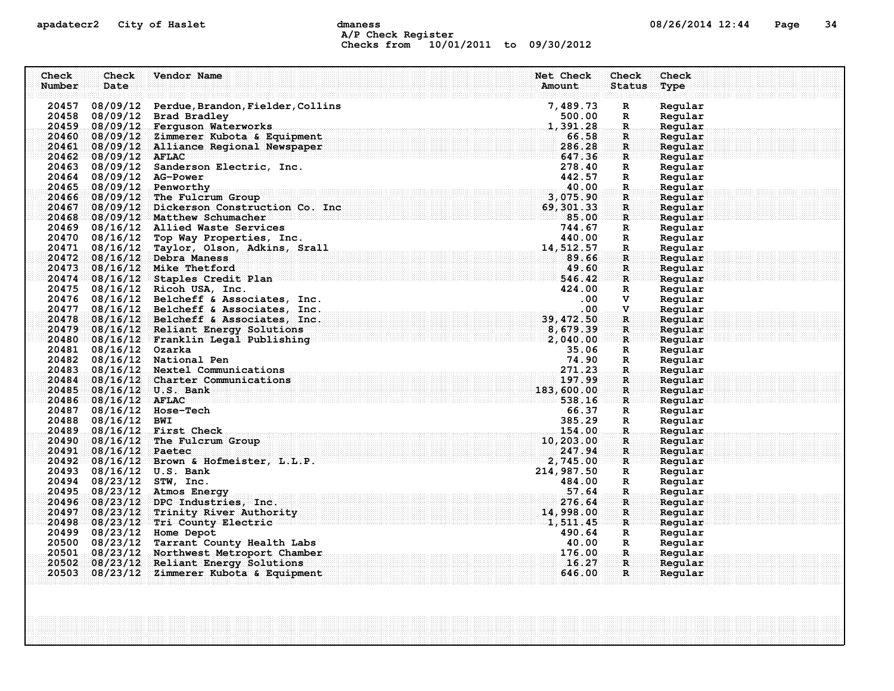# apadatecr2 City of Haslet compound dmaness compound the detection of the US/26/2014 12:44 Page 34 A/P Check Register Checks from 10/01/2011 to 09/30/2012

| Check<br>Number | Check<br>Date            | Vendor Name                                                       | Net Check<br>Amount | Check<br><b>Status</b>       | Check<br>Type      |  |
|-----------------|--------------------------|-------------------------------------------------------------------|---------------------|------------------------------|--------------------|--|
|                 |                          |                                                                   |                     |                              |                    |  |
|                 |                          | 20457 08/09/12 Perdue, Brandon, Fielder, Collins                  | 7,489.73            | $\mathbf R$                  | Regular            |  |
|                 |                          | 20458 08/09/12 Brad Bradley<br>20459 08/09/12 Ferguson Waterworks | 500.00<br>1,391.28  | $\mathbf R$<br>$\mathbf R$ . | Regular<br>Regular |  |
|                 |                          | 20460 08/09/12 Zimmerer Kubota & Equipment                        | 66.58               | R.                           | Regular            |  |
|                 |                          | 20461 08/09/12 Alliance Regional Newspaper                        | 286.28              | $\mathbf{R}$                 | Regular            |  |
|                 | 20462 08/09/12 AFLAC     |                                                                   | 647.36              | $\mathbf{R}$                 | Regular            |  |
|                 |                          | 20463 08/09/12 Sanderson Electric, Inc.                           | 278.40              | R                            | Regular            |  |
|                 | 20464 08/09/12 AG-Power  |                                                                   | 442.57              | R                            | Regular            |  |
|                 |                          | 20465 08/09/12 Penworthy                                          | 40.00               | R.                           | Regular            |  |
| 20466           |                          | 08/09/12 The Fulcrum Group                                        | 3,075.90            | $\mathbf{R}$                 | Regular            |  |
| 20467           |                          | 08/09/12 Dickerson Construction Co. Inc                           | 69, 301, 33         | $\mathbf{R}$                 | Regular            |  |
|                 |                          | 20468 08/09/12 Matthew Schumacher                                 | 85.00               | $\mathbf{R}$                 | Reqular            |  |
|                 |                          | 20469 08/16/12 Allied Waste Services                              | 744.67              | R                            | Regular            |  |
|                 |                          | 20470 08/16/12 Top Way Properties, Inc.                           | 440.00              | R                            | Regular            |  |
|                 |                          | 20471 08/16/12 Taylor, Olson, Adkins, Srall                       | 14, 512, 57         | $\mathbf R$                  | Regular            |  |
|                 |                          | 20472 08/16/12 Debra Maness                                       | 89.66               | $\mathbf{R}$                 | Regular            |  |
|                 |                          | 20473 08/16/12 Mike Thetford                                      | 49.60               | $\mathbf{R}$                 | Regular            |  |
|                 |                          | 20474 08/16/12 Staples Credit Plan                                | 546.42              | $\mathbf{R}$                 | Regular            |  |
|                 |                          | 20475 08/16/12 Ricoh USA, Inc.                                    | 424.00              | R                            | Regular            |  |
|                 |                          | 20476 08/16/12 Belcheff & Associates, Inc.                        | $.00 \,$            | v                            | Regular            |  |
|                 |                          | 20477 08/16/12 Belcheff & Associates, Inc.                        | .00.                | $\mathbf v$                  | Regular            |  |
|                 |                          | 20478 08/16/12 Belcheff & Associates, Inc.                        | 39, 472.50          | R                            | Regular            |  |
| 20479           |                          | 08/16/12 Reliant Energy Solutions                                 | 8,679.39            | R.                           | Reqular            |  |
|                 | 20481 08/16/12 Ozarka    | 20480 08/16/12 Franklin Legal Publishing                          | 2,040.00<br>35.06   | $\mathbf{R}$                 | Regular<br>Regular |  |
|                 |                          | 20482 08/16/12 National Pen                                       | 74.90               | R<br>R                       | Regular            |  |
|                 |                          | 20483 08/16/12 Nextel Communications                              | 271.23              | $\mathbf{R}$                 | Regular            |  |
| 20484           |                          | 08/16/12 Charter Communications                                   | 197.99              | R                            | Regular            |  |
|                 |                          | 20485 08/16/12 U.S. Bank                                          | 183,600.00          | $\mathbf{R}$                 | Regular            |  |
|                 | 20486 08/16/12 AFLAC     |                                                                   | 538.16              | $\mathbb{R}$ issesses        | Regular            |  |
|                 |                          | 20487 08/16/12 Hose-Tech                                          | 66.37               | R                            | Regular            |  |
|                 | 20488 08/16/12 BWI       |                                                                   | 385.29              | R                            | Regular            |  |
|                 |                          | 20489 08/16/12 First Check                                        | 154.00              | $\mathbf R$                  | Regular            |  |
| 20490           |                          | 08/16/12 The Fulcrum Group                                        | 10,203.00           | R                            | Regular            |  |
| 20491           | $08/16/12$ Paetec        |                                                                   | 247.94              | R                            | Regular            |  |
|                 |                          | 20492 08/16/12 Brown & Hofmeister, L.L.P.                         | 2,745.00            | $\mathbf{R}$                 | Reqular            |  |
|                 |                          | 20493 08/16/12 U.S. Bank                                          | 214,987.50          | R                            | Regular            |  |
|                 | 20494 08/23/12 STW, Inc. |                                                                   | 484.00              | R                            | Regular            |  |
|                 |                          | 20495 08/23/12 Atmos Energy                                       | .57.64              | R.                           | Regular            |  |
|                 |                          | 20496 08/23/12 DPC Industries, Inc.                               | 276.64              | $\mathbf R$                  | Regular            |  |
|                 |                          | 20497 08/23/12 Trinity River Authority                            | 14,998.00           | $\mathbf{R}$                 | Regular            |  |
|                 |                          | 20498 08/23/12 Tri County Electric                                | 1,511.45            | $\mathbf{R}$                 | Regular            |  |
|                 |                          | 20499 08/23/12 Home Depot                                         | 490.64              | R                            | Regular            |  |
|                 |                          | 20500 08/23/12 Tarrant County Health Labs                         | 40.00               | R                            | Regular            |  |
|                 |                          | 20501 08/23/12 Northwest Metroport Chamber                        | 176.00              | .R.                          | Regular            |  |
| 20502<br>20503  |                          | 08/23/12 Reliant Energy Solutions                                 | 16.27<br>646.00     | $\mathbf{R}$<br>$\mathbf{R}$ | Reqular            |  |
|                 |                          | 08/23/12 Zimmerer Kubota & Equipment                              |                     |                              | Regular            |  |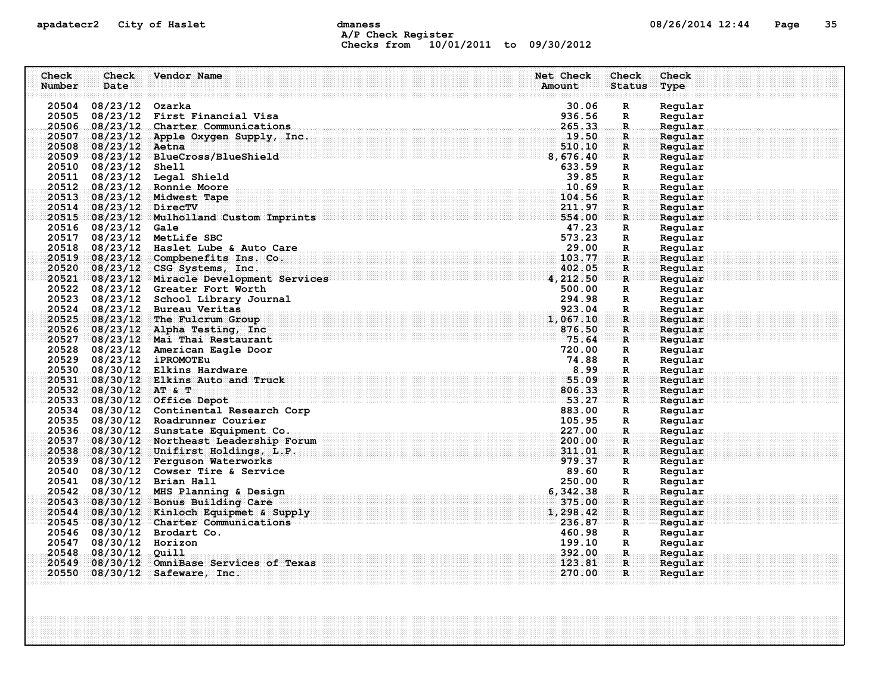## apadatecr2 City of Haslet dmaness dmaness and the 08/26/2014 12:44 Page 35 A/P Check Register Checks from 10/01/2011 to 09/30/2012

| Check<br>Number | Check<br>Date          | Vendor Name                                                                                                                                                                                                                           | Net Check<br>Amount | <b>Check</b><br><b>Status</b> | Check<br>Type      |
|-----------------|------------------------|---------------------------------------------------------------------------------------------------------------------------------------------------------------------------------------------------------------------------------------|---------------------|-------------------------------|--------------------|
|                 | 20504 08/23/12 Ozarka  |                                                                                                                                                                                                                                       | 30.06               | R                             | Regular            |
|                 |                        | 20505 08/23/12 First Financial Visa                                                                                                                                                                                                   | 936.56              | R                             | Regular            |
|                 |                        | 20506 08/23/12 Charter Communications                                                                                                                                                                                                 | 265.33              | R.                            | Regular            |
|                 |                        | 20507 08/23/12 Apple Oxygen Supply, Inc.                                                                                                                                                                                              | 19.50               | $\mathbf R$                   | Regular            |
|                 | 20508 08/23/12 Aetna   |                                                                                                                                                                                                                                       |                     | $\mathbf{R}$                  | Regular            |
|                 |                        | $\frac{510}{8}, \frac{10}{676}, \frac{10}{40}$<br>20509 08/23/12 BlueCross/BlueShield                                                                                                                                                 |                     | $\mathbf{R}$                  | Regular            |
|                 | 20510 08/23/12 Shell   |                                                                                                                                                                                                                                       | 633.59              | R                             | Regular            |
|                 |                        | 20511 08/23/12 Legal Shield                                                                                                                                                                                                           | 39.85               | R                             | Regular            |
|                 |                        | 20512 08/23/12 Ronnie Moore                                                                                                                                                                                                           | 10.69               | $\mathbf{R}$                  | Regular            |
|                 |                        | 20513 08/23/12 Midwest Tape                                                                                                                                                                                                           | 104.56              | R                             | Regular            |
|                 | 20514 08/23/12 DirecTV |                                                                                                                                                                                                                                       | 211.97              | $\mathbf{R}$                  | Reqular            |
|                 |                        | 20515 08/23/12 Mulholland Custom Imprints                                                                                                                                                                                             | 554.00              | R                             | Regular            |
|                 | 20516 08/23/12 Gale    |                                                                                                                                                                                                                                       | 47.23               | R                             | Regular            |
|                 |                        | 20517 08/23/12 MetLife SBC                                                                                                                                                                                                            | 573.23              | $\mathbb{R}$                  | Regular            |
|                 |                        | 20518 08/23/12 Haslet Lube & Auto Care                                                                                                                                                                                                | 29.00               | $\mathbf R$                   | Regular            |
|                 |                        | 20519 08/23/12 Compbenefits Ins. Co.                                                                                                                                                                                                  | 103.77              | R                             | Regular            |
|                 |                        | 20520 08/23/12 CSG Systems, Inc.                                                                                                                                                                                                      | 402.05              | $\mathbf R$                   | Regular            |
|                 |                        | $\frac{20520}{20521}$ $\frac{00/23/12}{08/23/12}$ Miracle Development Services and the services of the services of the services of the services of the services of the services of the services of the services of the services of th |                     | $\mathbf{R}$                  | Regular            |
|                 |                        | 20522 08/23/12 Greater Fort Worth                                                                                                                                                                                                     | 500.00              | R                             | Regular            |
|                 |                        | 20523 08/23/12 School Library Journal                                                                                                                                                                                                 | 294.98              | $\mathbb{R}$                  | Regular            |
|                 |                        | 20524 08/23/12 Bureau Veritas                                                                                                                                                                                                         | 923.04              | $\mathbf{R}$ .                | Regular            |
|                 |                        | 20525 08/23/12 The Fulcrum Group                                                                                                                                                                                                      | 1,067.10            | $\mathbf{R}$                  | Regular            |
|                 |                        | 20526 08/23/12 Alpha Testing, Inc.                                                                                                                                                                                                    | 876.50              | $\mathbf{R}$                  | Regular            |
|                 |                        | . The contract of the contract of $\mathbf{y}_5$ , $\mathbf{64}$<br>20527 08/23/12 Mai Thai Restaurant                                                                                                                                |                     | $\mathbf{R}$                  | Regular            |
|                 |                        | 20528 08/23/12 American Eagle Door                                                                                                                                                                                                    | 720.00              | R                             | Regular            |
|                 |                        | 20529 08/23/12 iPROMOTEu                                                                                                                                                                                                              | 74.88               | R                             | Regular            |
|                 |                        | 20530 08/30/12 Elkins Hardware                                                                                                                                                                                                        | 8.99                | $\mathbf R$ .                 | Regular            |
|                 |                        | 20531 08/30/12 Elkins Auto and Truck                                                                                                                                                                                                  | 55.09               | $\mathbf R$                   | Regular            |
|                 | 20532 08/30/12 AT & T  |                                                                                                                                                                                                                                       | 806.33              | R                             | Regular            |
|                 |                        | . $53.27$<br>20533 08/30/12 Office Depot                                                                                                                                                                                              |                     | ार                            | Regular            |
|                 |                        | 20534 08/30/12 Continental Research Corp                                                                                                                                                                                              | 883.00              | $\mathbb{R}$                  | Regular            |
|                 |                        | 20535 08/30/12 Roadrunner Courier                                                                                                                                                                                                     | 105.95              | $\mathbf{R}$                  | Regular            |
|                 |                        | 20536 08/30/12 Sunstate Equipment Co.                                                                                                                                                                                                 | 227.00              | $\mathbf{R}$                  | Regular            |
|                 |                        | 20537 08/30/12 Northeast Leadership Forum                                                                                                                                                                                             | 200.00              | R                             | Regular            |
|                 |                        | 20538 08/30/12 Unifirst Holdings, L.P.                                                                                                                                                                                                | 311.01              | $\mathbf{R}$                  | Regular            |
|                 |                        | 20539 08/30/12 Ferguson Waterworks                                                                                                                                                                                                    | 979.37              | R                             | Regular            |
|                 |                        | 20540 08/30/12 Cowser Tire & Service                                                                                                                                                                                                  | 89.60               | R                             | Regular            |
|                 |                        | 20541 08/30/12 Brian Hall                                                                                                                                                                                                             | 250.00              | $\mathbb{R}$                  | Regular            |
|                 |                        | 20542 08/30/12 MHS Planning & Design                                                                                                                                                                                                  | 6,342.38            | $\mathbf R$                   | Regular            |
|                 |                        | 20543 08/30/12 Bonus Building Care                                                                                                                                                                                                    | 375.00              | $\mathbf{R}$                  | Regular            |
|                 |                        | 20544 08/30/12 Kinloch Equipmet & Supply                                                                                                                                                                                              | 1,298.42            | $\mathbf{R}$                  | Regular            |
|                 |                        | 20545 08/30/12 Charter Communications<br>20546 08/30/12 Brodart Co.                                                                                                                                                                   | 236.87<br>460.98    | R                             | Regular            |
|                 | 20547 08/30/12 Horizon |                                                                                                                                                                                                                                       | 199.10              | R<br>$\mathbb{R}$             | Regular            |
|                 | 20548 08/30/12 Quill   |                                                                                                                                                                                                                                       | 392.00              | .R.                           | Regular<br>Regular |
|                 |                        | 20549 08/30/12 OmniBase Services of Texas                                                                                                                                                                                             | 123.81              | $\mathbf R$ :                 | Reqular            |
|                 |                        | 20550 08/30/12 Safeware, Inc.                                                                                                                                                                                                         | 270.00              | $\mathbf{R}$                  | Regular            |
|                 |                        |                                                                                                                                                                                                                                       |                     |                               |                    |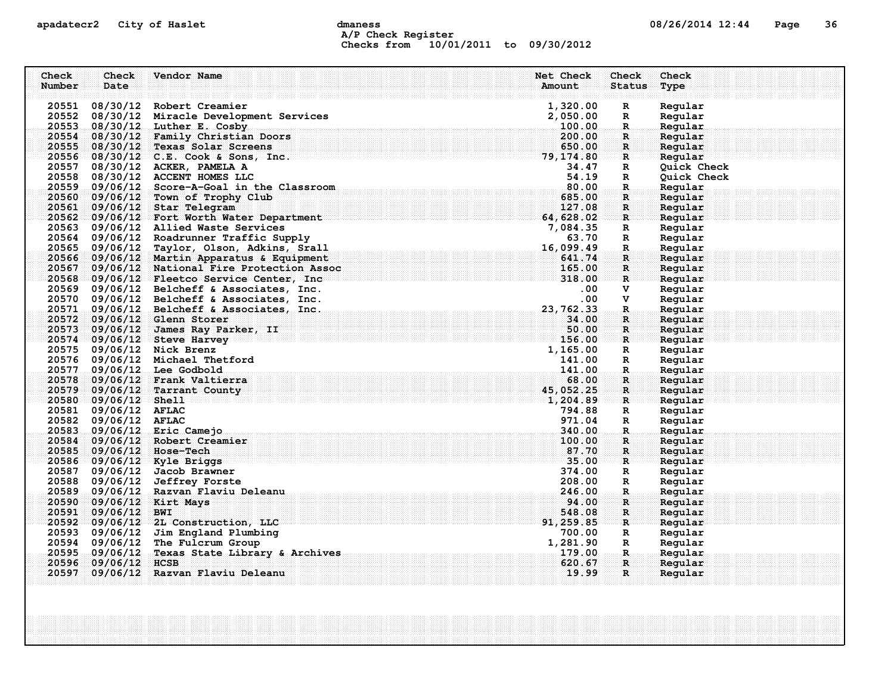## apadatecr2 City of Haslet dmaness dmaness and the 08/26/2014 12:44 Page 36 A/P Check Register Checks from 10/01/2011 to 09/30/2012

| Check  | Check                | Vendor Name                                   | Net Check       | Check          | Check       |
|--------|----------------------|-----------------------------------------------|-----------------|----------------|-------------|
| Number | Date                 |                                               | Amount          | <b>Status</b>  | Type        |
|        |                      |                                               |                 |                |             |
|        |                      | 20551 08/30/12 Robert Creamier                | 1,320.00        | R              | Regular     |
|        |                      | 20552 08/30/12 Miracle Development Services   | 2,050.00        | $\mathbf{R}$   | Regular     |
|        |                      | 20553 08/30/12 Luther E. Cosby                | 100.00          | $\mathbf R$    | Regular     |
|        |                      | 20554 08/30/12 Family Christian Doors         | 200.00          | R              | Regular     |
|        |                      | 20555 08/30/12 Texas Solar Screens            | 650.00          | $\mathbf{R}$   | Regular     |
|        |                      | 20556 08/30/12 C.E. Cook & Sons, Inc.         | 79, 174.80      | $\mathbf{R}$   | Regular     |
| 20557  |                      | 08/30/12 ACKER, PAMELA A                      | 34.47           | R              | Quick Check |
|        |                      | 20558 08/30/12 ACCENT HOMES LLC               | 54.19           | $\mathbb{R}$   | Quick Check |
|        |                      | 20559 09/06/12 Score-A-Goal in the Classroom  | 80.00           | $\mathbf{R}$ . | Regular     |
|        |                      | 20560 09/06/12 Town of Trophy Club            | 685.00          | R              | Regular     |
|        |                      | 20561 09/06/12 Star Telegram                  | 127.08          | $\mathbf R$    | Regular     |
|        |                      | 20562 09/06/12 Fort Worth Water Department    | 64,628.02       | R              | Regular     |
|        |                      | 20563 09/06/12 Allied Waste Services          | 7,084.35        | $\mathbb{R}$   | Regular     |
|        |                      | 20564 09/06/12 Roadrunner Traffic Supply      | 63.70           | $\mathbf R$    | Regular     |
|        |                      | 20565 09/06/12 Taylor, Olson, Adkins, Srall   | 16,099.49       | $\mathbf R$    | Regular     |
|        |                      | 20566 09/06/12 Martin Apparatus & Equipment   | 641.74          | $\mathbf{R}$   | Regular     |
|        |                      | 20567 09/06/12 National Fire Protection Assoc | 165.00          | $\mathbf R$    | Regular     |
|        |                      | 20568 09/06/12 Fleetco Service Center, Inc    | 318.00          | $\mathbf{R}$   | Regular     |
|        |                      | 20569 09/06/12 Belcheff & Associates, Inc.    | $.00 \,$        | v              | Regular     |
|        |                      | 20570 09/06/12 Belcheff & Associates, Inc.    | .00             | V              | Regular     |
|        |                      | 20571 09/06/12 Belcheff & Associates, Inc.    | 23, 762.33      | $\mathbf R$    | Regular     |
|        |                      | 20572 09/06/12 Glenn Storer                   | 34.00           | R              | Regular     |
|        |                      | 20573 09/06/12 James Ray Parker, II           | 50.00           | $\mathbf{R}$   | Reqular     |
|        |                      | 20574 09/06/12 Steve Harvey                   | 156.00          | $\mathbf{R}$   | Regular     |
|        |                      | 20575 09/06/12 Nick Brenz                     | 1,165.00        | R              | Regular     |
|        |                      | 20576 09/06/12 Michael Thetford               | 141.00          | R              | Regular     |
|        |                      | 20577 09/06/12 Lee Godbold                    | 141.00          | $\mathbf R$ .  | Regular     |
|        |                      | 20578 09/06/12 Frank Valtierra                | 68.00           | $\mathbf R$    | Regular     |
|        |                      | 20579 09/06/12 Tarrant County                 | 45,052.25       | $\mathbf{R}$   | Regular     |
|        | 20580 09/06/12 Shell |                                               | <b>1,204.89</b> | $\mathbf R$    | Regular     |
|        | 20581 09/06/12 AFLAC |                                               | 794.88          | R              | Regular     |
|        | 20582 09/06/12 AFLAC |                                               | 971.04          | $\mathbf R$    | Regular     |
|        |                      | 20583 09/06/12 Eric Camejo                    | 340.00          | $\mathbf R$    | Regular     |
|        |                      | 20584 09/06/12 Robert Creamier                | 100.00          | R              | Reqular     |
|        |                      | 20585 09/06/12 Hose-Tech                      | 87.70           | $\mathbf{R}$   | Regular     |
|        |                      | 20586 09/06/12 Kyle Briggs                    | 35.00           | R              | Reqular     |
|        |                      | 20587 09/06/12 Jacob Brawner                  | 374.00          | R              | Regular     |
|        |                      | 20588 09/06/12 Jeffrey Forste                 | 208.00          | $\mathbb{R}$   | Regular     |
|        |                      | 20589 09/06/12 Razvan Flaviu Deleanu          | 246.00          | $\mathbf{R}$   | Regular     |
| 20590  |                      | 09/06/12 Kirt Mays                            | 94.00           | $\mathbf{R}$   | Regular     |
|        | 20591 09/06/12 BWI   |                                               | 548.08          | $\mathbf R$    | Regular     |
|        |                      | 20592 09/06/12 2L Construction, LLC           | 91, 259.85      | $\mathbf{R}$   | Regular     |
|        |                      | 20593 09/06/12 Jim England Plumbing           | 700.00          | R              | Regular     |
|        |                      | 20594 09/06/12 The Fulcrum Group              | 1,281.90        | $\mathbb{R}$   | Regular     |
|        |                      | 20595 09/06/12 Texas State Library & Archives | 179.00          | .R.            | Regular     |
|        | 20596 09/06/12 HCSB  |                                               | 620.67          | $\mathbf R$    | Regular     |
|        |                      | 20597 09/06/12 Razvan Flaviu Deleanu          | 19.99           | $\mathbf{R}$   | Regular     |
|        |                      |                                               |                 |                |             |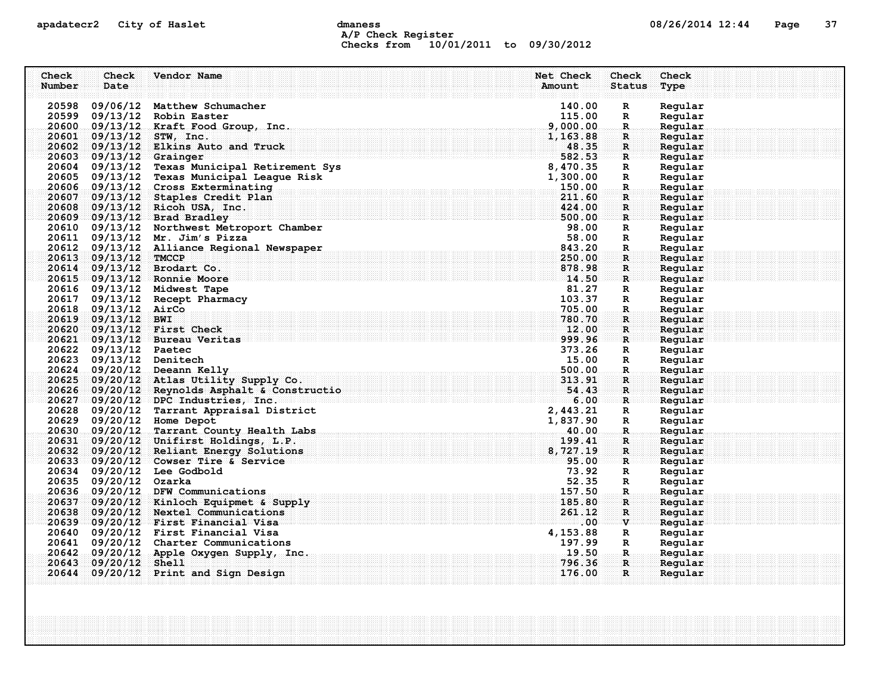## apadatecr2 City of Haslet dmaness dmaness and the control of the 12:44 Page 37 A/P Check Register Checks from 10/01/2011 to 09/30/2012

| Check  | Check                   | Vendor Name                                                                              | Net Check            | Check                         | Check              |
|--------|-------------------------|------------------------------------------------------------------------------------------|----------------------|-------------------------------|--------------------|
| Number | Date                    |                                                                                          | Amount               | <b>Status</b>                 | Type               |
|        |                         |                                                                                          |                      |                               |                    |
|        |                         | 20598 09/06/12 Matthew Schumacher                                                        | 140.00               | $\mathbf R$                   | Regular            |
|        |                         | 20599 09/13/12 Robin Easter                                                              | 115.00               | $\mathbb{R}$                  | Regular            |
|        |                         | 20600 09/13/12 Kraft Food Group, Inc.<br>20601 09/13/12 STW, Inc.                        | 9,000.00<br>1,163.88 | $\mathbf{R}$<br>$\mathbf R$ : | Regular<br>Regular |
|        |                         | 20602 09/13/12 Elkins Auto and Truck                                                     | 48.35                | $\mathbf{R}$                  | Regular            |
|        | 20603 09/13/12 Grainger |                                                                                          | 582.53               | $\mathbf{R}$                  | Regular            |
|        |                         | 20604 09/13/12 Texas Municipal Retirement Sys                                            | 8,470.35             | R                             | Regular            |
|        |                         | 20605 09/13/12 Texas Municipal League Risk                                               | 1,300.00             | R                             | Regular            |
|        |                         | 20606 09/13/12 Cross Exterminating                                                       | 150.00               | $\mathbf R$ .                 | Regular            |
|        |                         | 20607 09/13/12 Staples Credit Plan                                                       | 211.60               | R                             | Regular            |
|        |                         | 20608 09/13/12 Ricoh USA, Inc.                                                           | 424.00               | R                             | Regular            |
|        |                         | 20609 09/13/12 Brad Bradley                                                              | 500.00               | R                             | Regular            |
|        |                         | 20610 09/13/12 Northwest Metroport Chamber                                               | 98.00                | R                             | Regular            |
|        |                         | 20611 09/13/12 Mr. Jim's Pizza                                                           | 58.00                | R                             | Regular            |
|        |                         | 20612 09/13/12 Alliance Regional Newspaper                                               | 843.20               | $\mathbb{R}$                  | Regular            |
|        | 20613 09/13/12 TMCCP    |                                                                                          | 250.00               | R                             | Regular            |
|        |                         | 20614 09/13/12 Brodart Co.                                                               | 878.98               | R                             | Regular            |
|        |                         | 20615 09/13/12 Ronnie Moore                                                              | 14.50                | $\mathbf{R}$                  | Regular            |
|        |                         | 20616 09/13/12 Midwest Tape                                                              | 81.27                | R                             | Regular            |
|        |                         | 20617 09/13/12 Recept Pharmacy                                                           | 103.37               | R                             | Regular            |
|        | 20618 09/13/12 AirCo    |                                                                                          | 705.00               | $\mathbf R$ .                 | Regular            |
|        | 20619 09/13/12 BWI      |                                                                                          | 780.70               | R                             | Regular            |
|        |                         | 20620 09/13/12 First Check                                                               | 12.00                | R.                            | Regular            |
|        |                         | 20621 09/13/12 Bureau Veritas                                                            | 999.96               | $\mathbf{R}$                  | Regular            |
|        | 20622 09/13/12 Paetec   |                                                                                          | 373.26               | $\mathbb{R}$                  | Regular            |
|        | 20623 09/13/12 Denitech |                                                                                          | 15.00                | $\mathbb{R}$                  | Regular            |
|        |                         | 20624 09/20/12 Deeann Kelly                                                              | 500.00               | $\mathbf{R}$                  | Regular            |
|        |                         | 20625 09/20/12 Atlas Utility Supply Co.                                                  | 313.91               | $\mathbf R$ :                 | Regular            |
|        |                         | 20626 09/20/12 Reynolds Asphalt & Constructio<br>$20627 - 09/20/12$ DPC Industries, Inc. | 54.43<br>6.00        | $\mathbf{R}$<br>$\mathbf{R}$  | Regular            |
|        |                         | 20628 09/20/12 Tarrant Appraisal District                                                | 2,443.21             | R                             | Regular<br>Regular |
|        |                         | 20629 09/20/12 Home Depot                                                                | 1,837.90             | $\mathbb{R}$                  | Regular            |
|        |                         | 20630 09/20/12 Tarrant County Health Labs                                                | 40.00                | $\mathbf R$ .                 | Regular            |
|        |                         | 20631 09/20/12 Unifirst Holdings, L.P.                                                   | 199.41               | R                             | Regular            |
|        |                         | 20632 09/20/12 Reliant Energy Solutions                                                  | 8,727.19             | $\mathbf{R}$                  | Regular            |
|        |                         | $20633 - 09/20/12$ Cowser Tire & Service                                                 | 95.00                | $\mathbf{R}$                  | Regular            |
|        |                         | 20634 09/20/12 Lee Godbold                                                               | 73.92                | R                             | Regular            |
|        | 20635 09/20/12 Ozarka   |                                                                                          | 52.35                | $\mathbb{R}$                  | Regular            |
|        |                         | 20636 09/20/12 DFW Communications                                                        | 157.50               | R.                            | Regular            |
|        |                         | 20637 09/20/12 Kinloch Equipmet & Supply                                                 | 185.80               | R                             | Reqular            |
|        |                         | 20638 09/20/12 Nextel Communications                                                     | 261.12               | R                             | Regular            |
|        |                         | 20639 09/20/12 First Financial Visa                                                      | $.00\,$              | $\mathbf{v}$                  | Regular            |
|        |                         | 20640 09/20/12 First Financial Visa                                                      | 4, 153.88            | R                             | Regular            |
|        |                         | 20641 09/20/12 Charter Communications                                                    | 197.99               | $\mathbf{R}$                  | Regular            |
|        |                         | $20642$ 09/20/12 Apple Oxygen Supply, Inc.                                               | 19.50                | -R.,                          | Regular            |
|        | 20643 09/20/12 Shell    |                                                                                          | 796.36               | R.                            | Reqular            |
|        |                         | 20644 09/20/12 Print and Sign Design                                                     | 176.00               | $\mathbf{R}$                  | Regular            |
|        |                         |                                                                                          |                      |                               |                    |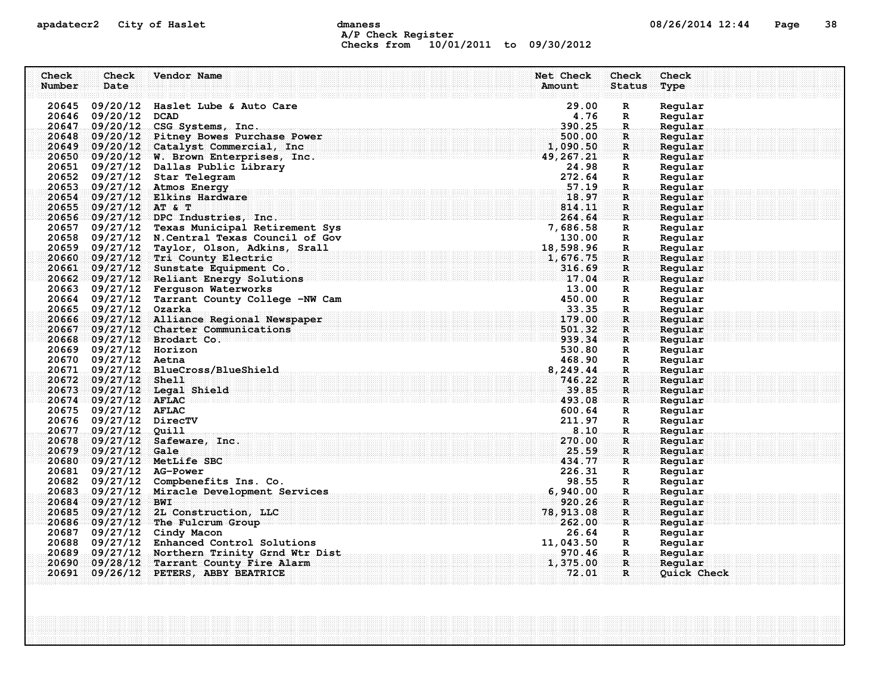## apadatecr2 City of Haslet computer dmaness computer dmaness computer of  $08/26/2014$  12:44 Page 38 A/P Check Register Checks from 10/01/2011 to 09/30/2012

| Check  | Check                    | Vendor Name                                    | Net Check             | <b>Check</b>       | Check              |
|--------|--------------------------|------------------------------------------------|-----------------------|--------------------|--------------------|
| Number | Date                     |                                                | Amount                | <b>Status</b>      | Type               |
|        |                          | 20645 09/20/12 Haslet Lube & Auto Care         | 29.00                 | R                  | Regular            |
|        | 20646 09/20/12 DCAD      |                                                | 4.76                  | R                  | Regular            |
|        |                          | 20647 09/20/12 CSG Systems, Inc.               | 390.25                | R.                 | Regular            |
|        |                          | 20648 09/20/12 Pitney Bowes Purchase Power     | 500.00                | $\mathbf{R}$       | Regular            |
|        |                          | 20649 09/20/12 Catalyst Commercial, Inc.       | 1,090.50              | $\mathbf{R}$       | Regular            |
|        |                          | 20650 09/20/12 W. Brown Enterprises, Inc.      | $\frac{1}{49,267.21}$ | $\mathbf{R}$       | Regular            |
|        |                          | 20651 09/27/12 Dallas Public Library           | 24.98                 | R                  | Regular            |
|        |                          | 20652 09/27/12 Star Telegram                   | 272.64                | R                  | Regular            |
|        |                          | 20653 09/27/12 Atmos Energy                    | $\sim$ 57.19          | R.                 | Regular            |
|        |                          | 20654 09/27/12 Elkins Hardware                 | 18.97                 | R                  | Regular            |
|        | 20655 09/27/12 AT & T    |                                                | 814.11                | R                  | Regular            |
|        |                          | 20656 09/27/12 DPC Industries, Inc.            | 264.64                | R                  | Regular            |
|        |                          | 20657 09/27/12 Texas Municipal Retirement Sys  | 7,686.58              | $\mathbf{R}$       | Regular            |
|        |                          | 20658 09/27/12 N. Central Texas Council of Gov | 130.00                | $\mathbb{R}$       | Regular            |
|        |                          | 20659 09/27/12 Taylor, Olson, Adkins, Srall    | 18,598.96             | R.                 | Regular            |
|        |                          | 20660 09/27/12 Tri County Electric             | 1,676.75              | $\mathbf{R}$       | Regular            |
|        |                          | 20661 09/27/12 Sunstate Equipment Co.          | 316.69                | R                  | Regular            |
|        |                          | 20662 09/27/12 Reliant Energy Solutions        | 17.04                 | $\mathbf{R}$       | Regular            |
|        |                          | 20663 09/27/12 Ferguson Waterworks             | 13.00                 | $\mathbf{R}$       | Regular            |
|        |                          | 20664 09/27/12 Tarrant County College -NW Cam  | 450.00                | R                  | Regular            |
|        | 20665 09/27/12 Ozarka    |                                                | 33.35                 | $\mathbf R$ .      | Regular            |
|        |                          | 20666 09/27/12 Alliance Regional Newspaper     | 179.00                | R                  | Regular            |
|        |                          | 20667 09/27/12 Charter Communications          | 501.32                | R                  | Reqular            |
|        |                          | 20668 09/27/12 Brodart Co.                     | 939.34                | R                  | Reqular            |
|        | 20669 09/27/12 Horizon   |                                                | 530.80                | R                  | Regular            |
|        | 20670 09/27/12 Aetna     |                                                | 468.90                | $\mathbf{R}$       | Regular            |
|        |                          | 20671 09/27/12 BlueCross/BlueShield            | 8,249.44              | $\mathbf R$ .      | Regular            |
|        | 20672 09/27/12 Shell     |                                                | 746.22                | R.                 | Regular            |
|        |                          | 20673 09/27/12 Legal Shield                    | 39.85                 | $\mathbf{R}$       | Regular            |
|        | $20674 = 09/27/12$ AFLAC |                                                | 493.08                | R                  | Regular            |
|        | 20675 09/27/12 AFLAC     |                                                | 600.64                | R                  | Regular            |
|        | 20676 09/27/12 DirecTV   |                                                | 211.97<br>8.10        | R                  | Regular            |
|        | 20677 09/27/12 Quill     | 20678 09/27/12 Safeware, Inc.                  | 270.00                | R.                 | Regular            |
|        | 20679 09/27/12 Gale      |                                                | 25.59                 | R<br>$\mathbf{R}$  | Regular<br>Regular |
|        |                          | 20680 09/27/12 MetLife SBC                     | 434.77                | $\mathbf R$        | Regular            |
|        | 20681 09/27/12 AG-Power  |                                                | 226.31                | $\mathbb{R}$       | Regular            |
|        |                          | 20682 09/27/12 Compbenefits Ins. Co.           | 98.55                 | R                  | Regular            |
|        |                          | 20683 09/27/12 Miracle Development Services    | 6,940.00              | R.                 | Regular            |
|        | 20684 09/27/12 BWI       |                                                | 920.26                | R                  | Regular            |
|        |                          | 20685 09/27/12 2L Construction, LLC            | 78, 913.08            | $\mathbf R$        | Regular            |
|        |                          | 20686 09/27/12 The Fulcrum Group               | 262.00                | $\mathbf{R}$       | Regular            |
|        |                          | 20687 09/27/12 Cindy Macon                     | 26.64                 | R                  | Regular            |
|        |                          | 20688 09/27/12 Enhanced Control Solutions      | 11,043.50             | R                  | Regular            |
|        |                          | 20689 09/27/12 Northern Trinity Grnd Wtr Dist  | 970.46                | $\mathbf{R}_\odot$ | Regular            |
|        |                          | 20690 09/28/12 Tarrant County Fire Alarm       | 1,375.00              | $\mathbf{R}$       | Regular            |
|        |                          | 20691 09/26/12 PETERS, ABBY BEATRICE           | 72.01                 | R                  | Quick Check        |
|        |                          |                                                |                       |                    |                    |